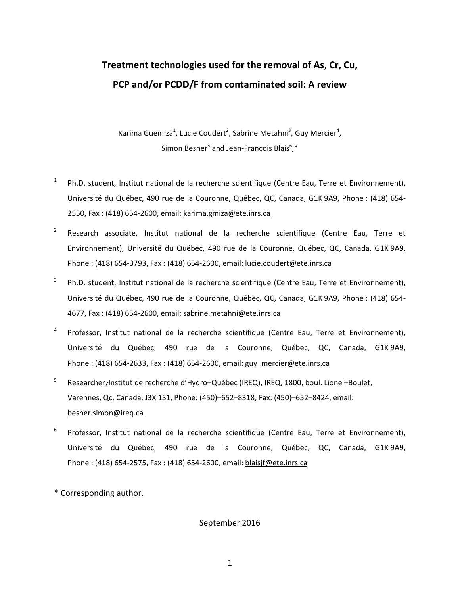# **Treatment technologies used for the removal of As, Cr, Cu, PCP and/or PCDD/F from contaminated soil: A review**

Karima Guemiza<sup>1</sup>, Lucie Coudert<sup>2</sup>, Sabrine Metahni<sup>3</sup>, Guy Mercier<sup>4</sup>, Simon Besner<sup>5</sup> and Jean-François Blais<sup>6</sup>,\*

- <sup>1</sup> Ph.D. student, Institut national de la recherche scientifique (Centre Eau, Terre et Environnement), Université du Québec, 490 rue de la Couronne, Québec, QC, Canada, G1K 9A9, Phone : (418) 654- 2550, Fax : (418) 654-2600, email: karima.gmiza@ete.inrs.ca
- <sup>2</sup> Research associate, Institut national de la recherche scientifique (Centre Eau, Terre et Environnement), Université du Québec, 490 rue de la Couronne, Québec, QC, Canada, G1K 9A9, Phone : (418) 654-3793, Fax : (418) 654-2600, email: lucie.coudert@ete.inrs.ca
- uéb[e](mailto:tyagi@inrs-eau.uquebec.ca)c, 490 rue de la Couronne, Québec, QC, Canada, G1K 9A<br>
654-2600, email: <u>karima.gmiza@ete.inrs.ca</u><br>
iate, Institut national de la recherche scientifique (Ce<br>
, Université du Québec, 490 rue de la Couronne, Québec, C<br>
4 <sup>3</sup> Ph.D. student, Institut national de la recherche scientifique (Centre Eau, Terre et Environnement), Université du Québec, 490 rue de la Couronne, Québec, QC, Canada, G1K 9A9, Phone : (418) 654- 4677, Fax : (418) 654-2600, email: sabrine.metahni@ete.inrs.ca
- <sup>4</sup> Professor, Institut national de la recherche scientifique (Centre Eau, Terre et Environnement), Université du Québec, 490 rue de la Couronne, Québec, QC, Canada, G1K 9A9, Phone : (418) 654-2633, Fax : (418) 654-2600, email: guy\_mercier@ete.inrs.ca
- 5 Researcher, Institut de recherche d'Hydro–Québec (IREQ), IREQ, 1800, boul. Lionel–Boulet, Varennes, Qc, Canada, J3X 1S1, Phone: (450)–652–8318, Fax: (450)–652–8424, email: [besner.simon@ireq.ca](mailto:besner.simon@ireq.ca)
- <sup>6</sup> Professor, Institut national de la recherche scientifique (Centre Eau, Terre et Environnement), Université du Québec, 490 rue de la Couronne, Québec, QC, Canada, G1K 9A9, Phone : (418) 654-2575, Fax : (418) 654-2600, email: blaisj[f@ete.inrs.ca](mailto:tyagi@inrs-eau.uquebec.ca)
- \* Corresponding author.

September 2016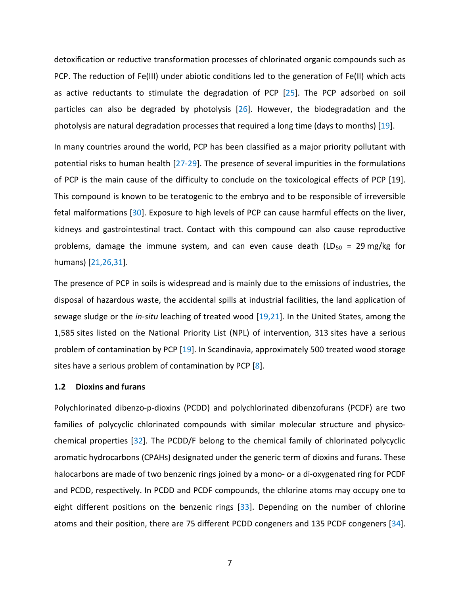detoxification or reductive transformation processes of chlorinated organic compounds such as PCP. The reduction of Fe(III) under abiotic conditions led to the generation of Fe(II) which acts as active reductants to stimulate the degradation of PCP [25]. The PCP adsorbed on soil particles can also be degraded by photolysis [26]. However, the biodegradation and the photolysis are natural degradation processes that required a long time (days to months) [19].

In many countries around the world, PCP has been classified as a major priority pollutant with potential risks to human health [27-29]. The presence of several impurities in the formulations of PCP is the main cause of the difficulty to conclude on the toxicological effects of PCP [19]. This compound is known to be teratogenic to the embryo and to be responsible of irreversible fetal malformations [30]. Exposure to high levels of PCP can cause harmful effects on the liver, kidneys and gastrointestinal tract. Contact with this compound can also cause reproductive problems, damage the immune system, and can even cause death (LD $_{50}$  = 29 mg/kg for humans) [21,26,31].

known to be teratogenic to the embryo and to be respons [30]. Exposure to high levels of PCP can cause harmful<br>pintestinal tract. Contact with this compound can also<br>e the immune system, and can even cause death (LD<br>J.<br>D.<br> The presence of PCP in soils is widespread and is mainly due to the emissions of industries, the disposal of hazardous waste, the accidental spills at industrial facilities, the land application of sewage sludge or the *in-situ* leaching of treated wood [19,21]. In the United States, among the 1,585 sites listed on the National Priority List (NPL) of intervention, 313 sites have a serious problem of contamination by PCP [19]. In Scandinavia, approximately 500 treated wood storage sites have a serious problem of contamination by PCP [8].

#### **1.2 Dioxins and furans**

Polychlorinated dibenzo-p-dioxins (PCDD) and polychlorinated dibenzofurans (PCDF) are two families of polycyclic chlorinated compounds with similar molecular structure and physicochemical properties [32]. The PCDD/F belong to the chemical family of chlorinated polycyclic aromatic hydrocarbons (CPAHs) designated under the generic term of dioxins and furans. These halocarbons are made of two benzenic rings joined by a mono- or a di-oxygenated ring for PCDF and PCDD, respectively. In PCDD and PCDF compounds, the chlorine atoms may occupy one to eight different positions on the benzenic rings [33]. Depending on the number of chlorine atoms and their position, there are 75 different PCDD congeners and 135 PCDF congeners [34].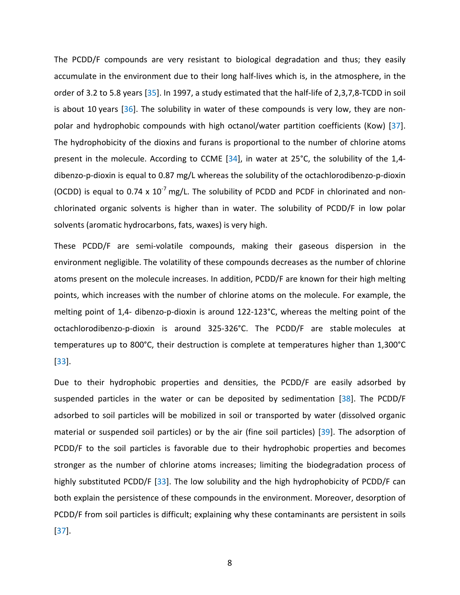The PCDD/F compounds are very resistant to biological degradation and thus; they easily accumulate in the environment due to their long half-lives which is, in the atmosphere, in the order of 3.2 to 5.8 years [35]. In 1997, a study estimated that the half-life of 2,3,7,8-TCDD in soil is about 10 years  $[36]$ . The solubility in water of these compounds is very low, they are nonpolar and hydrophobic compounds with high octanol/water partition coefficients (Kow) [37]. The hydrophobicity of the dioxins and furans is proportional to the number of chlorine atoms present in the molecule. According to CCME [34], in water at 25°C, the solubility of the 1,4 dibenzo-p-dioxin is equal to 0.87 mg/L whereas the solubility of the octachlorodibenzo-p-dioxin (OCDD) is equal to 0.74 x  $10^{-7}$  mg/L. The solubility of PCDD and PCDF in chlorinated and nonchlorinated organic solvents is higher than in water. The solubility of PCDD/F in low polar solvents (aromatic hydrocarbons, fats, waxes) is very high.

of the solutions, fats, waxes is higher than in water. The solubility of P<br>hydrocarbons, fats, waxes) is very high.<br>The semi-volatile compounds, making their gaseous<br>gible. The volatility of these compounds decreases as th These PCDD/F are semi-volatile compounds, making their gaseous dispersion in the environment negligible. The volatility of these compounds decreases as the number of chlorine atoms present on the molecule increases. In addition, PCDD/F are known for their high melting points, which increases with the number of chlorine atoms on the molecule. For example, the melting point of 1,4- dibenzo-p-dioxin is around 122-123°C, whereas the melting point of the octachlorodibenzo-p-dioxin is around 325-326°C. The PCDD/F are stable molecules at temperatures up to 800°C, their destruction is complete at temperatures higher than 1,300°C [33].

Due to their hydrophobic properties and densities, the PCDD/F are easily adsorbed by suspended particles in the water or can be deposited by sedimentation [38]. The PCDD/F adsorbed to soil particles will be mobilized in soil or transported by water (dissolved organic material or suspended soil particles) or by the air (fine soil particles) [39]. The adsorption of PCDD/F to the soil particles is favorable due to their hydrophobic properties and becomes stronger as the number of chlorine atoms increases; limiting the biodegradation process of highly substituted PCDD/F [33]. The low solubility and the high hydrophobicity of PCDD/F can both explain the persistence of these compounds in the environment. Moreover, desorption of PCDD/F from soil particles is difficult; explaining why these contaminants are persistent in soils [37].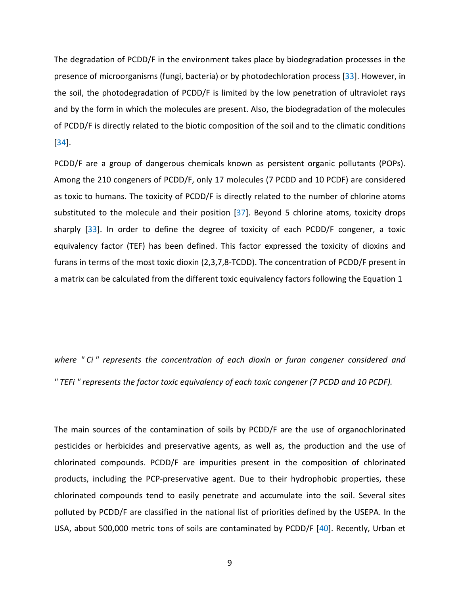The degradation of PCDD/F in the environment takes place by biodegradation processes in the presence of microorganisms (fungi, bacteria) or by photodechloration process [33]. However, in the soil, the photodegradation of PCDD/F is limited by the low penetration of ultraviolet rays and by the form in which the molecules are present. Also, the biodegradation of the molecules of PCDD/F is directly related to the biotic composition of the soil and to the climatic conditions [34].

Solution of PCDD/F is directly related to the number molecule and their position [37]. Beyond 5 chlorine at<br>rder to define the degree of toxicity of each PCDD/F<br>(TEF) has been defined. This factor expressed the tox<br>the mos PCDD/F are a group of dangerous chemicals known as persistent organic pollutants (POPs). Among the 210 congeners of PCDD/F, only 17 molecules (7 PCDD and 10 PCDF) are considered as toxic to humans. The toxicity of PCDD/F is directly related to the number of chlorine atoms substituted to the molecule and their position  $[37]$ . Beyond 5 chlorine atoms, toxicity drops sharply [33]. In order to define the degree of toxicity of each PCDD/F congener, a toxic equivalency factor (TEF) has been defined. This factor expressed the toxicity of dioxins and furans in terms of the most toxic dioxin (2,3,7,8-TCDD). The concentration of PCDD/F present in a matrix can be calculated from the different toxic equivalency factors following the Equation 1

*where " Ci " represents the concentration of each dioxin or furan congener considered and " TEFi " represents the factor toxic equivalency of each toxic congener (7 PCDD and 10 PCDF).* 

The main sources of the contamination of soils by PCDD/F are the use of organochlorinated pesticides or herbicides and preservative agents, as well as, the production and the use of chlorinated compounds. PCDD/F are impurities present in the composition of chlorinated products, including the PCP-preservative agent. Due to their hydrophobic properties, these chlorinated compounds tend to easily penetrate and accumulate into the soil. Several sites polluted by PCDD/F are classified in the national list of priorities defined by the USEPA. In the USA, about 500,000 metric tons of soils are contaminated by PCDD/F [40]. Recently, Urban et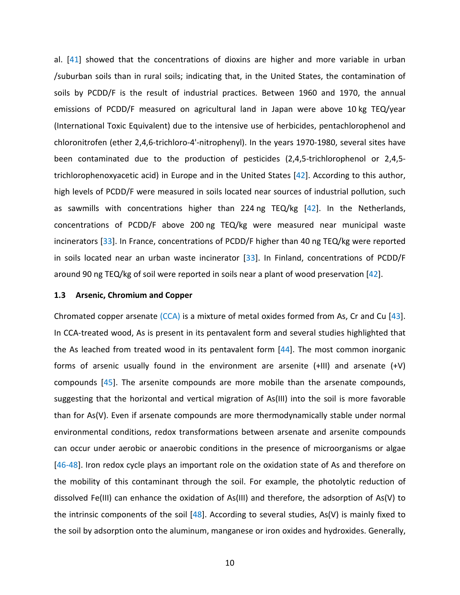al. [41] showed that the concentrations of dioxins are higher and more variable in urban /suburban soils than in rural soils; indicating that, in the United States, the contamination of soils by PCDD/F is the result of industrial practices. Between 1960 and 1970, the annual emissions of PCDD/F measured on agricultural land in Japan were above 10 kg TEQ/year (International Toxic Equivalent) due to the intensive use of herbicides, pentachlorophenol and chloronitrofen (ether 2,4,6-trichloro-4'-nitrophenyl). In the years 1970-1980, several sites have been contaminated due to the production of pesticides (2,4,5-trichlorophenol or 2,4,5 trichlorophenoxyacetic acid) in Europe and in the United States [42]. According to this author, high levels of PCDD/F were measured in soils located near sources of industrial pollution, such as sawmills with concentrations higher than 224 ng TEQ/kg  $[42]$ . In the Netherlands, concentrations of PCDD/F above 200 ng TEQ/kg were measured near municipal waste incinerators [33]. In France, concentrations of PCDD/F higher than 40 ng TEQ/kg were reported in soils located near an urban waste incinerator [33]. In Finland, concentrations of PCDD/F around 90 ng TEQ/kg of soil were reported in soils near a plant of wood preservation [42].

#### **1.3 Arsenic, Chromium and Copper**

concentrations higher than 224 ng TEQ/kg  $[42]$ . In<br>PCDD/F above 200 ng TEQ/kg were measured near<br>n France, concentrations of PCDD/F higher than 40 ng TE<br>ear an urban waste incinerator [33]. In Finland, concent<br>kg of soil Chromated copper arsenate (CCA) is a mixture of metal oxides formed from As, Cr and Cu [43]. In CCA-treated wood, As is present in its pentavalent form and several studies highlighted that the As leached from treated wood in its pentavalent form [44]. The most common inorganic forms of arsenic usually found in the environment are arsenite (+III) and arsenate (+V) compounds [45]. The arsenite compounds are more mobile than the arsenate compounds, suggesting that the horizontal and vertical migration of As(III) into the soil is more favorable than for As(V). Even if arsenate compounds are more thermodynamically stable under normal environmental conditions, redox transformations between arsenate and arsenite compounds can occur under aerobic or anaerobic conditions in the presence of microorganisms or algae [46-48]. Iron redox cycle plays an important role on the oxidation state of As and therefore on the mobility of this contaminant through the soil. For example, the photolytic reduction of dissolved Fe(III) can enhance the oxidation of As(III) and therefore, the adsorption of As(V) to the intrinsic components of the soil  $[48]$ . According to several studies, As(V) is mainly fixed to the soil by adsorption onto the aluminum, manganese or iron oxides and hydroxides. Generally,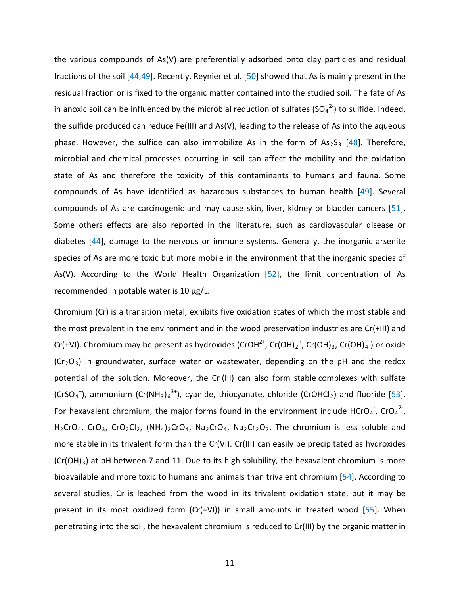are carcinogenic and may cause skin, liver, kidney or bluest are also reported in the literature, such as cardio anage to the nervous or immune systems. Generally, the nore toxic but more mobile in the environment that th the various compounds of As(V) are preferentially adsorbed onto clay particles and residual fractions of the soil [44,49]. Recently, Reynier et al. [50] showed that As is mainly present in the residual fraction or is fixed to the organic matter contained into the studied soil. The fate of As in anoxic soil can be influenced by the microbial reduction of sulfates (SO<sub>4</sub><sup>2</sup>) to sulfide. Indeed, the sulfide produced can reduce Fe(III) and As(V), leading to the release of As into the aqueous phase. However, the sulfide can also immobilize As in the form of  $As_2S_3$  [48]. Therefore, microbial and chemical processes occurring in soil can affect the mobility and the oxidation state of As and therefore the toxicity of this contaminants to humans and fauna. Some compounds of As have identified as hazardous substances to human health [49]. Several compounds of As are carcinogenic and may cause skin, liver, kidney or bladder cancers [51]. Some others effects are also reported in the literature, such as cardiovascular disease or diabetes [44], damage to the nervous or immune systems. Generally, the inorganic arsenite species of As are more toxic but more mobile in the environment that the inorganic species of As(V). According to the World Health Organization [52], the limit concentration of As recommended in potable water is 10 µg/L.

Chromium (Cr) is a transition metal, exhibits five oxidation states of which the most stable and the most prevalent in the environment and in the wood preservation industries are Cr(+III) and Cr(+VI). Chromium may be present as hydroxides (CrOH<sup>2+</sup>, Cr(OH)<sub>2</sub><sup>+</sup>, Cr(OH)<sub>3</sub>, Cr(OH)<sub>4</sub><sup>-</sup>) or oxide  $(Cr<sub>2</sub>O<sub>3</sub>)$  in groundwater, surface water or wastewater, depending on the pH and the redox potential of the solution. Moreover, the Cr (III) can also form stable complexes with sulfate (CrSO<sub>4</sub><sup>+</sup>), ammonium (Cr(NH<sub>3</sub>)<sub>6</sub><sup>3+</sup>), cyanide, thiocyanate, chloride (CrOHCl<sub>2</sub>) and fluoride [53]. For hexavalent chromium, the major forms found in the environment include HCrO<sub>4</sub>, CrO<sub>4</sub><sup>2</sup>,  $H_2$ CrO<sub>4</sub>, CrO<sub>3</sub>, CrO<sub>2</sub>Cl<sub>2</sub>, (NH<sub>4</sub>)<sub>2</sub>CrO<sub>4</sub>, Na<sub>2</sub>CrO<sub>4</sub>, Na<sub>2</sub>Cr<sub>2</sub>O<sub>7</sub>. The chromium is less soluble and more stable in its trivalent form than the Cr(VI). Cr(III) can easily be precipitated as hydroxides  $(Cr(OH)<sub>3</sub>)$  at pH between 7 and 11. Due to its high solubility, the hexavalent chromium is more bioavailable and more toxic to humans and animals than trivalent chromium [54]. According to several studies, Cr is leached from the wood in its trivalent oxidation state, but it may be present in its most oxidized form  $(Cr(+VI))$  in small amounts in treated wood [55]. When penetrating into the soil, the hexavalent chromium is reduced to Cr(III) by the organic matter in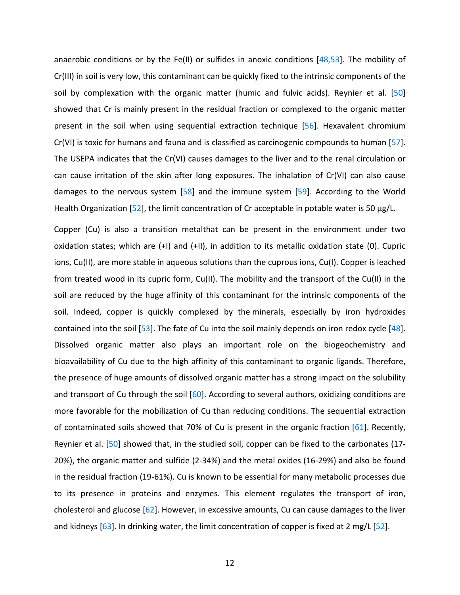anaerobic conditions or by the Fe(II) or sulfides in anoxic conditions  $[48,53]$ . The mobility of Cr(III) in soil is very low, this contaminant can be quickly fixed to the intrinsic components of the soil by complexation with the organic matter (humic and fulvic acids). Reynier et al. [50] showed that Cr is mainly present in the residual fraction or complexed to the organic matter present in the soil when using sequential extraction technique [56]. Hexavalent chromium Cr(VI) is toxic for humans and fauna and is classified as carcinogenic compounds to human [57]. The USEPA indicates that the Cr(VI) causes damages to the liver and to the renal circulation or can cause irritation of the skin after long exposures. The inhalation of Cr(VI) can also cause damages to the nervous system [58] and the immune system [59]. According to the World Health Organization [52], the limit concentration of Cr acceptable in potable water is 50  $\mu$ g/L.

In [52], the limit concentration of Cr acceptable in potable<br>In [52], the limit concentration of Cr acceptable in potable<br>so a transition metalthat can be present in the envir-<br>which are (+I) and (+II), in addition to its Copper (Cu) is also a transition metalthat can be present in the environment under two oxidation states; which are (+I) and (+II), in addition to its metallic oxidation state (0). Cupric ions, Cu(II), are more stable in aqueous solutions than the cuprous ions, Cu(I). Copper is leached from treated wood in its cupric form, Cu(II). The mobility and the transport of the Cu(II) in the soil are reduced by the huge affinity of this contaminant for the intrinsic components of the soil. Indeed, copper is quickly complexed by the minerals, especially by iron hydroxides contained into the soil [53]. The fate of Cu into the soil mainly depends on iron redox cycle [48]. Dissolved organic matter also plays an important role on the biogeochemistry and bioavailability of Cu due to the high affinity of this contaminant to organic ligands. Therefore, the presence of huge amounts of dissolved organic matter has a strong impact on the solubility and transport of Cu through the soil [60]. According to several authors, oxidizing conditions are more favorable for the mobilization of Cu than reducing conditions. The sequential extraction of contaminated soils showed that 70% of Cu is present in the organic fraction [61]. Recently, Reynier et al. [50] showed that, in the studied soil, copper can be fixed to the carbonates (17- 20%), the organic matter and sulfide (2-34%) and the metal oxides (16-29%) and also be found in the residual fraction (19-61%). Cu is known to be essential for many metabolic processes due to its presence in proteins and enzymes. This element regulates the transport of iron, cholesterol and glucose [62]. However, in excessive amounts, Cu can cause damages to the liver and kidneys [63]. In drinking water, the limit concentration of copper is fixed at 2 mg/L [52].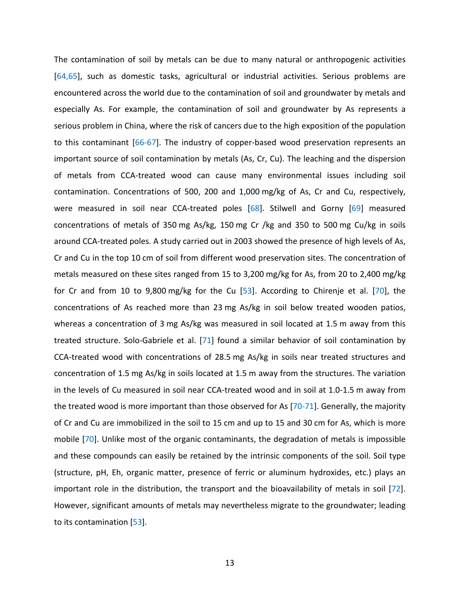In soil near CCA-treated poles [68]. Stilwell and Gometals of 350 mg As/kg, 150 mg Cr /kg and 350 to 50 d poles. A study carried out in 2003 showed the presence pp 10 cm of soil from different wood preservation sites. T b The contamination of soil by metals can be due to many natural or anthropogenic activities [64,65], such as domestic tasks, agricultural or industrial activities. Serious problems are encountered across the world due to the contamination of soil and groundwater by metals and especially As. For example, the contamination of soil and groundwater by As represents a serious problem in China, where the risk of cancers due to the high exposition of the population to this contaminant [66-67]. The industry of copper-based wood preservation represents an important source of soil contamination by metals (As, Cr, Cu). The leaching and the dispersion of metals from CCA-treated wood can cause many environmental issues including soil contamination. Concentrations of 500, 200 and 1,000 mg/kg of As, Cr and Cu, respectively, were measured in soil near CCA-treated poles [68]. Stilwell and Gorny [69] measured concentrations of metals of 350 mg As/kg, 150 mg Cr /kg and 350 to 500 mg Cu/kg in soils around CCA-treated poles. A study carried out in 2003 showed the presence of high levels of As, Cr and Cu in the top 10 cm of soil from different wood preservation sites. The concentration of metals measured on these sites ranged from 15 to 3,200 mg/kg for As, from 20 to 2,400 mg/kg for Cr and from 10 to 9,800 mg/kg for the Cu [53]. According to Chirenje et al. [70], the concentrations of As reached more than 23 mg As/kg in soil below treated wooden patios, whereas a concentration of 3 mg As/kg was measured in soil located at 1.5 m away from this treated structure. Solo-Gabriele et al. [71] found a similar behavior of soil contamination by CCA-treated wood with concentrations of 28.5 mg As/kg in soils near treated structures and concentration of 1.5 mg As/kg in soils located at 1.5 m away from the structures. The variation in the levels of Cu measured in soil near CCA-treated wood and in soil at 1.0-1.5 m away from the treated wood is more important than those observed for As [70-71]. Generally, the majority of Cr and Cu are immobilized in the soil to 15 cm and up to 15 and 30 cm for As, which is more mobile [70]. Unlike most of the organic contaminants, the degradation of metals is impossible and these compounds can easily be retained by the intrinsic components of the soil. Soil type (structure, pH, Eh, organic matter, presence of ferric or aluminum hydroxides, etc.) plays an important role in the distribution, the transport and the bioavailability of metals in soil [72]. However, significant amounts of metals may nevertheless migrate to the groundwater; leading to its contamination [53].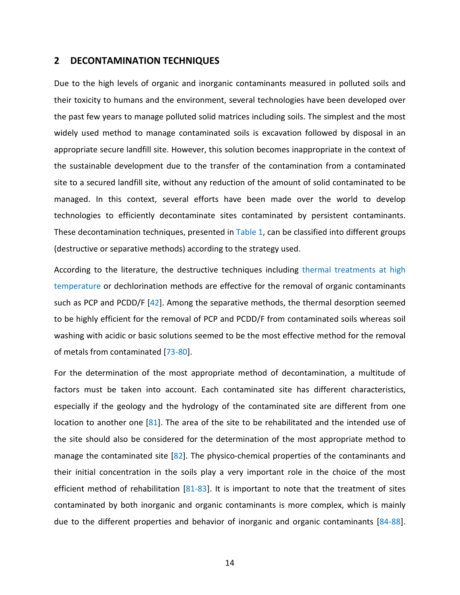#### **2 DECONTAMINATION TECHNIQUES**

Due to the high levels of organic and inorganic contaminants measured in polluted soils and their toxicity to humans and the environment, several technologies have been developed over the past few years to manage polluted solid matrices including soils. The simplest and the most widely used method to manage contaminated soils is excavation followed by disposal in an appropriate secure landfill site. However, this solution becomes inappropriate in the context of the sustainable development due to the transfer of the contamination from a contaminated site to a secured landfill site, without any reduction of the amount of solid contaminated to be managed. In this context, several efforts have been made over the world to develop technologies to efficiently decontaminate sites contaminated by persistent contaminants. These decontamination techniques, presented in Table 1, can be classified into different groups (destructive or separative methods) according to the strategy used.

context, several efforts have been made over the<br>fficiently decontaminate sites contaminated by persis<br>ation techniques, presented in Table 1, can be classified in<br>arative methods) according to the strategy used.<br>literatur According to the literature, the destructive techniques including thermal treatments at high temperature or dechlorination methods are effective for the removal of organic contaminants such as PCP and PCDD/F [42]. Among the separative methods, the thermal desorption seemed to be highly efficient for the removal of PCP and PCDD/F from contaminated soils whereas soil washing with acidic or basic solutions seemed to be the most effective method for the removal of metals from contaminated [73-80].

For the determination of the most appropriate method of decontamination, a multitude of factors must be taken into account. Each contaminated site has different characteristics, especially if the geology and the hydrology of the contaminated site are different from one location to another one [81]. The area of the site to be rehabilitated and the intended use of the site should also be considered for the determination of the most appropriate method to manage the contaminated site [82]. The physico-chemical properties of the contaminants and their initial concentration in the soils play a very important role in the choice of the most efficient method of rehabilitation [81-83]. It is important to note that the treatment of sites contaminated by both inorganic and organic contaminants is more complex, which is mainly due to the different properties and behavior of inorganic and organic contaminants [84-88].

14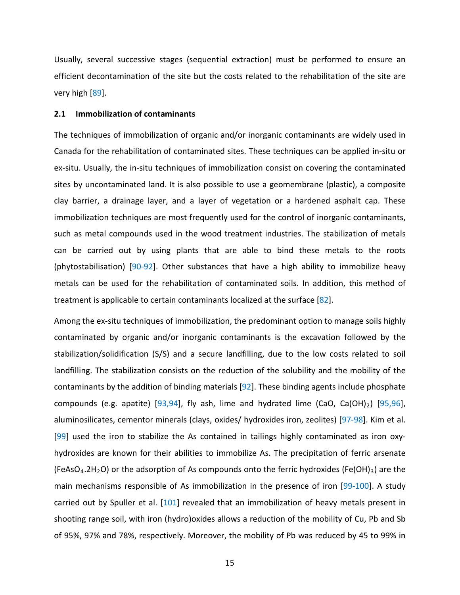Usually, several successive stages (sequential extraction) must be performed to ensure an efficient decontamination of the site but the costs related to the rehabilitation of the site are very high [89].

#### **2.1 Immobilization of contaminants**

inage layer, and a layer of vegetation or a hardened<br>hniques are most frequently used for the control of inory<br>apounds used in the wood treatment industries. The statut by using plants that are able to bind these m<br>applic The techniques of immobilization of organic and/or inorganic contaminants are widely used in Canada for the rehabilitation of contaminated sites. These techniques can be applied in-situ or ex-situ. Usually, the in-situ techniques of immobilization consist on covering the contaminated sites by uncontaminated land. It is also possible to use a geomembrane (plastic), a composite clay barrier, a drainage layer, and a layer of vegetation or a hardened asphalt cap. These immobilization techniques are most frequently used for the control of inorganic contaminants, such as metal compounds used in the wood treatment industries. The stabilization of metals can be carried out by using plants that are able to bind these metals to the roots (phytostabilisation) [90-92]. Other substances that have a high ability to immobilize heavy metals can be used for the rehabilitation of contaminated soils. In addition, this method of treatment is applicable to certain contaminants localized at the surface [82].

Among the ex-situ techniques of immobilization, the predominant option to manage soils highly contaminated by organic and/or inorganic contaminants is the excavation followed by the stabilization/solidification (S/S) and a secure landfilling, due to the low costs related to soil landfilling. The stabilization consists on the reduction of the solubility and the mobility of the contaminants by the addition of binding materials [92]. These binding agents include phosphate compounds (e.g. apatite) [93,94], fly ash, lime and hydrated lime (CaO, Ca(OH)<sub>2</sub>) [95,96], aluminosilicates, cementor minerals (clays, oxides/ hydroxides iron, zeolites) [97-98]. Kim et al. [99] used the iron to stabilize the As contained in tailings highly contaminated as iron oxyhydroxides are known for their abilities to immobilize As. The precipitation of ferric arsenate (FeAsO<sub>4</sub>.2H<sub>2</sub>O) or the adsorption of As compounds onto the ferric hydroxides (Fe(OH)<sub>3</sub>) are the main mechanisms responsible of As immobilization in the presence of iron [99-100]. A study carried out by Spuller et al. [101] revealed that an immobilization of heavy metals present in shooting range soil, with iron (hydro)oxides allows a reduction of the mobility of Cu, Pb and Sb of 95%, 97% and 78%, respectively. Moreover, the mobility of Pb was reduced by 45 to 99% in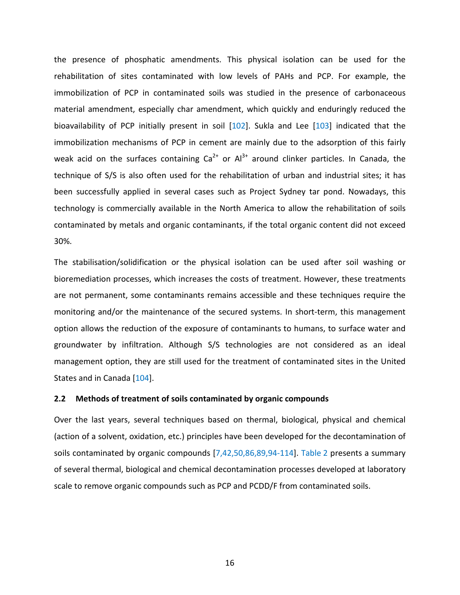the presence of phosphatic amendments. This physical isolation can be used for the rehabilitation of sites contaminated with low levels of PAHs and PCP. For example, the immobilization of PCP in contaminated soils was studied in the presence of carbonaceous material amendment, especially char amendment, which quickly and enduringly reduced the bioavailability of PCP initially present in soil [102]. Sukla and Lee [103] indicated that the immobilization mechanisms of PCP in cement are mainly due to the adsorption of this fairly weak acid on the surfaces containing  $Ca^{2+}$  or  $Al^{3+}$  around clinker particles. In Canada, the technique of S/S is also often used for the rehabilitation of urban and industrial sites; it has been successfully applied in several cases such as Project Sydney tar pond. Nowadays, this technology is commercially available in the North America to allow the rehabilitation of soils contaminated by metals and organic contaminants, if the total organic content did not exceed 30%.

mercially available in the North America to allow the remetals and organic contaminants, if the total organic consolidification or the physical isolation can be used affections.<br>
Solidification or the physical isolation ca The stabilisation/solidification or the physical isolation can be used after soil washing or bioremediation processes, which increases the costs of treatment. However, these treatments are not permanent, some contaminants remains accessible and these techniques require the monitoring and/or the maintenance of the secured systems. In short-term, this management option allows the reduction of the exposure of contaminants to humans, to surface water and groundwater by infiltration. Although S/S technologies are not considered as an ideal management option, they are still used for the treatment of contaminated sites in the United States and in Canada [104].

### **2.2 Methods of treatment of soils contaminated by organic compounds**

Over the last years, several techniques based on thermal, biological, physical and chemical (action of a solvent, oxidation, etc.) principles have been developed for the decontamination of soils contaminated by organic compounds [7,42,50,86,89,94-114]. Table 2 presents a summary of several thermal, biological and chemical decontamination processes developed at laboratory scale to remove organic compounds such as PCP and PCDD/F from contaminated soils.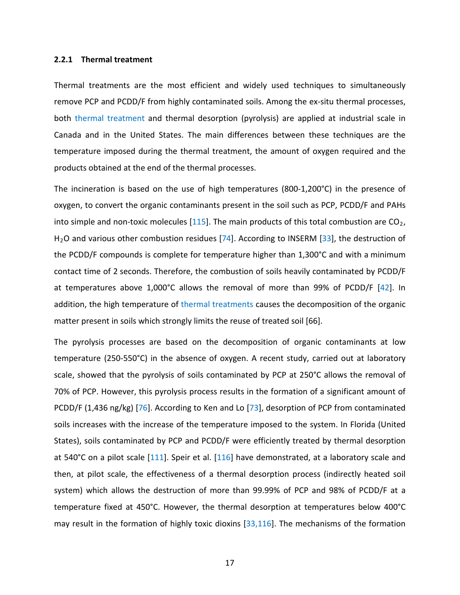#### **2.2.1 Thermal treatment**

Thermal treatments are the most efficient and widely used techniques to simultaneously remove PCP and PCDD/F from highly contaminated soils. Among the ex-situ thermal processes, both thermal treatment and thermal desorption (pyrolysis) are applied at industrial scale in Canada and in the United States. The main differences between these techniques are the temperature imposed during the thermal treatment, the amount of oxygen required and the products obtained at the end of the thermal processes.

the organic contaminants present in the soil such as PCI<br>n-toxic molecules [115]. The main products of this total c<br>ther combustion residues [74]. According to INSERM [33]<br>bunds is complete for temperature higher than 1,30 The incineration is based on the use of high temperatures (800-1,200°C) in the presence of oxygen, to convert the organic contaminants present in the soil such as PCP, PCDD/F and PAHs into simple and non-toxic molecules [115]. The main products of this total combustion are  $CO<sub>2</sub>$ , H<sub>2</sub>O and various other combustion residues [74]. According to INSERM [33], the destruction of the PCDD/F compounds is complete for temperature higher than 1,300°C and with a minimum contact time of 2 seconds. Therefore, the combustion of soils heavily contaminated by PCDD/F at temperatures above 1,000°C allows the removal of more than 99% of PCDD/F [42]. In addition, the high temperature of thermal treatments causes the decomposition of the organic matter present in soils which strongly limits the reuse of treated soil [66].

The pyrolysis processes are based on the decomposition of organic contaminants at low temperature (250-550°C) in the absence of oxygen. A recent study, carried out at laboratory scale, showed that the pyrolysis of soils contaminated by PCP at 250°C allows the removal of 70% of PCP. However, this pyrolysis process results in the formation of a significant amount of PCDD/F (1,436 ng/kg) [76]. According to Ken and Lo [73], desorption of PCP from contaminated soils increases with the increase of the temperature imposed to the system. In Florida (United States), soils contaminated by PCP and PCDD/F were efficiently treated by thermal desorption at 540°C on a pilot scale [111]. Speir et al. [116] have demonstrated, at a laboratory scale and then, at pilot scale, the effectiveness of a thermal desorption process (indirectly heated soil system) which allows the destruction of more than 99.99% of PCP and 98% of PCDD/F at a temperature fixed at 450°C. However, the thermal desorption at temperatures below 400°C may result in the formation of highly toxic dioxins [33,116]. The mechanisms of the formation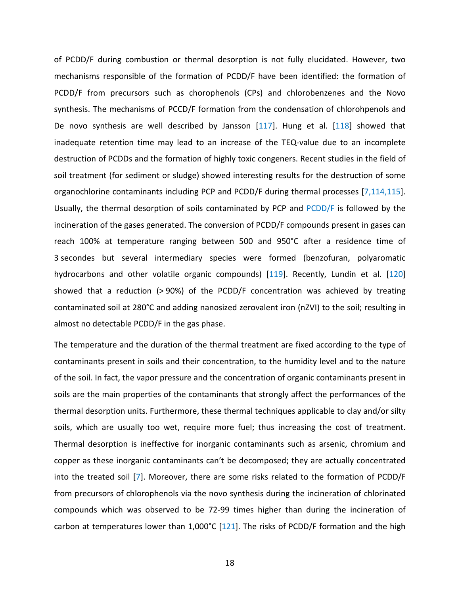nal desorption of soils contaminated by PCP and PCDD/F<br>gases generated. The conversion of PCDD/F compounds<br>emperature ranging between 500 and 950°C after a<br>several intermediary species were formed (benzoft<br>other volatile o of PCDD/F during combustion or thermal desorption is not fully elucidated. However, two mechanisms responsible of the formation of PCDD/F have been identified: the formation of PCDD/F from precursors such as chorophenols (CPs) and chlorobenzenes and the Novo synthesis. The mechanisms of PCCD/F formation from the condensation of chlorohpenols and De novo synthesis are well described by Jansson [117]. Hung et al. [118] showed that inadequate retention time may lead to an increase of the TEQ-value due to an incomplete destruction of PCDDs and the formation of highly toxic congeners. Recent studies in the field of soil treatment (for sediment or sludge) showed interesting results for the destruction of some organochlorine contaminants including PCP and PCDD/F during thermal processes [7,114,115]. Usually, the thermal desorption of soils contaminated by PCP and PCDD/F is followed by the incineration of the gases generated. The conversion of PCDD/F compounds present in gases can reach 100% at temperature ranging between 500 and 950°C after a residence time of 3 secondes but several intermediary species were formed (benzofuran, polyaromatic hydrocarbons and other volatile organic compounds) [119]. Recently, Lundin et al. [120] showed that a reduction (> 90%) of the PCDD/F concentration was achieved by treating contaminated soil at 280°C and adding nanosized zerovalent iron (nZVI) to the soil; resulting in almost no detectable PCDD/F in the gas phase.

The temperature and the duration of the thermal treatment are fixed according to the type of contaminants present in soils and their concentration, to the humidity level and to the nature of the soil. In fact, the vapor pressure and the concentration of organic contaminants present in soils are the main properties of the contaminants that strongly affect the performances of the thermal desorption units. Furthermore, these thermal techniques applicable to clay and/or silty soils, which are usually too wet, require more fuel; thus increasing the cost of treatment. Thermal desorption is ineffective for inorganic contaminants such as arsenic, chromium and copper as these inorganic contaminants can't be decomposed; they are actually concentrated into the treated soil [7]. Moreover, there are some risks related to the formation of PCDD/F from precursors of chlorophenols via the novo synthesis during the incineration of chlorinated compounds which was observed to be 72-99 times higher than during the incineration of carbon at temperatures lower than 1,000°C [121]. The risks of PCDD/F formation and the high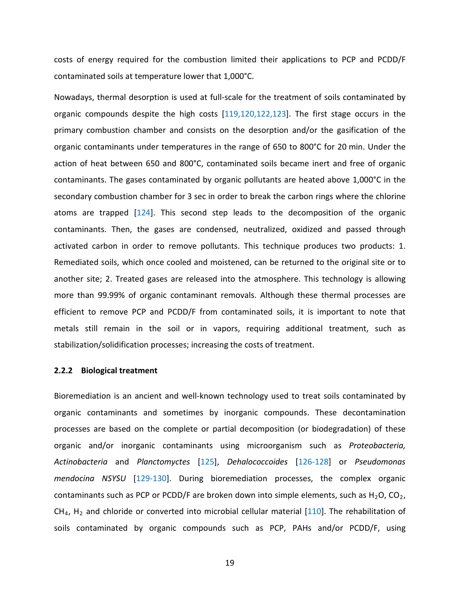costs of energy required for the combustion limited their applications to PCP and PCDD/F contaminated soils at temperature lower that 1,000°C.

tion chamber for 3 sec in order to break the carbon rings<br>ed [124]. This second step leads to the decomposition, the gases are condensed, neutralized, oxidized and<br>in order to remove pollutants. This technique produce<br>whic Nowadays, thermal desorption is used at full-scale for the treatment of soils contaminated by organic compounds despite the high costs [119,120,122,123]. The first stage occurs in the primary combustion chamber and consists on the desorption and/or the gasification of the organic contaminants under temperatures in the range of 650 to 800°C for 20 min. Under the action of heat between 650 and 800°C, contaminated soils became inert and free of organic contaminants. The gases contaminated by organic pollutants are heated above 1,000°C in the secondary combustion chamber for 3 sec in order to break the carbon rings where the chlorine atoms are trapped [124]. This second step leads to the decomposition of the organic contaminants. Then, the gases are condensed, neutralized, oxidized and passed through activated carbon in order to remove pollutants. This technique produces two products: 1. Remediated soils, which once cooled and moistened, can be returned to the original site or to another site; 2. Treated gases are released into the atmosphere. This technology is allowing more than 99.99% of organic contaminant removals. Although these thermal processes are efficient to remove PCP and PCDD/F from contaminated soils, it is important to note that metals still remain in the soil or in vapors, requiring additional treatment, such as stabilization/solidification processes; increasing the costs of treatment.

#### **2.2.2 Biological treatment**

Bioremediation is an ancient and well-known technology used to treat soils contaminated by organic contaminants and sometimes by inorganic compounds. These decontamination processes are based on the complete or partial decomposition (or biodegradation) of these organic and/or inorganic contaminants using microorganism such as *Proteobacteria, Actinobacteria* and *Planctomyctes* [125], *Dehalococcoides* [126-128] or *Pseudomonas mendocina NSYSU* [129-130]. During bioremediation processes, the complex organic contaminants such as PCP or PCDD/F are broken down into simple elements, such as  $H_2O$ , CO<sub>2</sub>,  $CH<sub>4</sub>$ , H<sub>2</sub> and chloride or converted into microbial cellular material [110]. The rehabilitation of soils contaminated by organic compounds such as PCP, PAHs and/or PCDD/F, using

19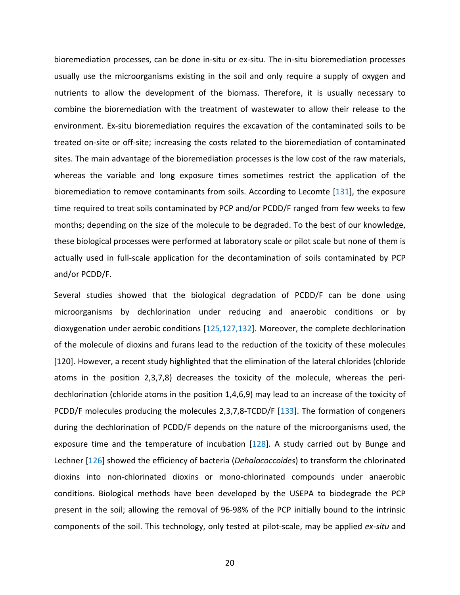bioremediation processes, can be done in-situ or ex-situ. The in-situ bioremediation processes usually use the microorganisms existing in the soil and only require a supply of oxygen and nutrients to allow the development of the biomass. Therefore, it is usually necessary to combine the bioremediation with the treatment of wastewater to allow their release to the environment. Ex-situ bioremediation requires the excavation of the contaminated soils to be treated on-site or off-site; increasing the costs related to the bioremediation of contaminated sites. The main advantage of the bioremediation processes is the low cost of the raw materials, whereas the variable and long exposure times sometimes restrict the application of the bioremediation to remove contaminants from soils. According to Lecomte [131], the exposure time required to treat soils contaminated by PCP and/or PCDD/F ranged from few weeks to few months; depending on the size of the molecule to be degraded. To the best of our knowledge, these biological processes were performed at laboratory scale or pilot scale but none of them is actually used in full-scale application for the decontamination of soils contaminated by PCP and/or PCDD/F.

remote entaminated by PCP and/or PCDD/F ranged from<br>g on the size of the molecule to be degraded. To the bes<br>ocesses were performed at laboratory scale or pilot scale<br>ull-scale application for the decontamination of soils Several studies showed that the biological degradation of PCDD/F can be done using microorganisms by dechlorination under reducing and anaerobic conditions or by dioxygenation under aerobic conditions [125,127,132]. Moreover, the complete dechlorination of the molecule of dioxins and furans lead to the reduction of the toxicity of these molecules [120]. However, a recent study highlighted that the elimination of the lateral chlorides (chloride atoms in the position 2,3,7,8) decreases the toxicity of the molecule, whereas the peridechlorination (chloride atoms in the position 1,4,6,9) may lead to an increase of the toxicity of PCDD/F molecules producing the molecules 2,3,7,8-TCDD/F [133]. The formation of congeners during the dechlorination of PCDD/F depends on the nature of the microorganisms used, the exposure time and the temperature of incubation [128]. A study carried out by Bunge and Lechner [126] showed the efficiency of bacteria (*Dehalococcoides*) to transform the chlorinated dioxins into non-chlorinated dioxins or mono-chlorinated compounds under anaerobic conditions. Biological methods have been developed by the USEPA to biodegrade the PCP present in the soil; allowing the removal of 96-98% of the PCP initially bound to the intrinsic components of the soil. This technology, only tested at pilot-scale, may be applied *ex-situ* and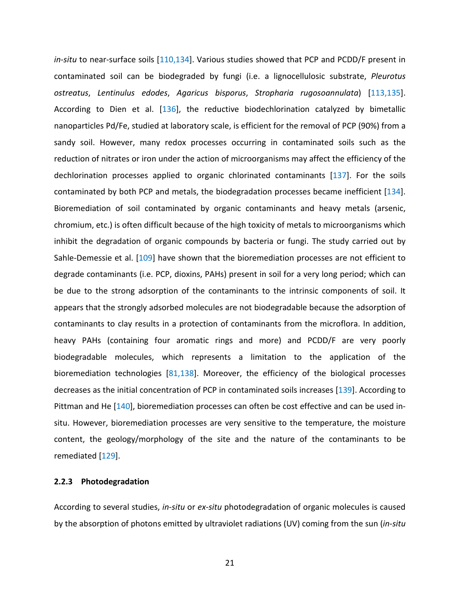Figure 1 and metals, the shottling incommunities and header in contaminants and header difficult because of the high toxicity of metals to midiom of organic compounds by bacteria or fungi. The s al. [109] have shown that *in-situ* to near-surface soils [110,134]. Various studies showed that PCP and PCDD/F present in contaminated soil can be biodegraded by fungi (i.e. a lignocellulosic substrate, *Pleurotus ostreatus*, *Lentinulus edodes*, *Agaricus bisporus*, *Stropharia rugosoannulata*) [113,135]. According to Dien et al. [136], the reductive biodechlorination catalyzed by bimetallic nanoparticles Pd/Fe, studied at laboratory scale, is efficient for the removal of PCP (90%) from a sandy soil. However, many redox processes occurring in contaminated soils such as the reduction of nitrates or iron under the action of microorganisms may affect the efficiency of the dechlorination processes applied to organic chlorinated contaminants [137]. For the soils contaminated by both PCP and metals, the biodegradation processes became inefficient [134]. Bioremediation of soil contaminated by organic contaminants and heavy metals (arsenic, chromium, etc.) is often difficult because of the high toxicity of metals to microorganisms which inhibit the degradation of organic compounds by bacteria or fungi. The study carried out by Sahle-Demessie et al. [109] have shown that the bioremediation processes are not efficient to degrade contaminants (i.e. PCP, dioxins, PAHs) present in soil for a very long period; which can be due to the strong adsorption of the contaminants to the intrinsic components of soil. It appears that the strongly adsorbed molecules are not biodegradable because the adsorption of contaminants to clay results in a protection of contaminants from the microflora. In addition, heavy PAHs (containing four aromatic rings and more) and PCDD/F are very poorly biodegradable molecules, which represents a limitation to the application of the bioremediation technologies  $[81,138]$ . Moreover, the efficiency of the biological processes decreases as the initial concentration of PCP in contaminated soils increases [139]. According to Pittman and He [140], bioremediation processes can often be cost effective and can be used insitu. However, bioremediation processes are very sensitive to the temperature, the moisture content, the geology/morphology of the site and the nature of the contaminants to be remediated [129].

#### **2.2.3 Photodegradation**

According to several studies, *in-situ* or *ex-situ* photodegradation of organic molecules is caused by the absorption of photons emitted by ultraviolet radiations (UV) coming from the sun (*in-situ*

21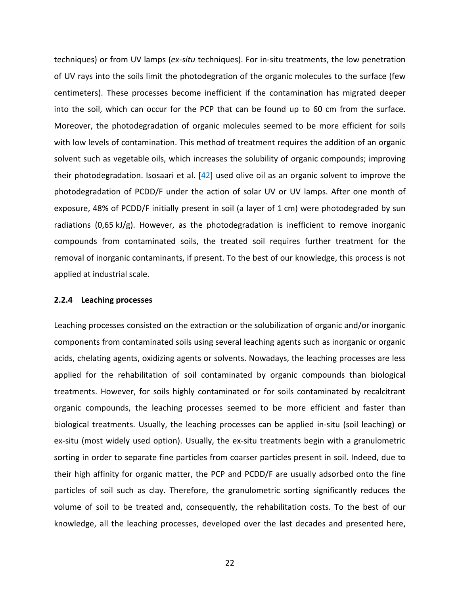PCDD/F initially present in soil (a layer of 1 cm) were photophysically present in soil (a layer of 1 cm) were photophysically present in soil (a layer of 1 cm) were photophysically contaminated soils, the treated soil req techniques) or from UV lamps (*ex-situ* techniques). For in-situ treatments, the low penetration of UV rays into the soils limit the photodegration of the organic molecules to the surface (few centimeters). These processes become inefficient if the contamination has migrated deeper into the soil, which can occur for the PCP that can be found up to 60 cm from the surface. Moreover, the photodegradation of organic molecules seemed to be more efficient for soils with low levels of contamination. This method of treatment requires the addition of an organic solvent such as vegetable oils, which increases the solubility of organic compounds; improving their photodegradation. Isosaari et al. [42] used olive oil as an organic solvent to improve the photodegradation of PCDD/F under the action of solar UV or UV lamps. After one month of exposure, 48% of PCDD/F initially present in soil (a layer of 1 cm) were photodegraded by sun radiations (0,65 kJ/g). However, as the photodegradation is inefficient to remove inorganic compounds from contaminated soils, the treated soil requires further treatment for the removal of inorganic contaminants, if present. To the best of our knowledge, this process is not applied at industrial scale.

#### **2.2.4 Leaching processes**

Leaching processes consisted on the extraction or the solubilization of organic and/or inorganic components from contaminated soils using several leaching agents such as inorganic or organic acids, chelating agents, oxidizing agents or solvents. Nowadays, the leaching processes are less applied for the rehabilitation of soil contaminated by organic compounds than biological treatments. However, for soils highly contaminated or for soils contaminated by recalcitrant organic compounds, the leaching processes seemed to be more efficient and faster than biological treatments. Usually, the leaching processes can be applied in-situ (soil leaching) or ex-situ (most widely used option). Usually, the ex-situ treatments begin with a granulometric sorting in order to separate fine particles from coarser particles present in soil. Indeed, due to their high affinity for organic matter, the PCP and PCDD/F are usually adsorbed onto the fine particles of soil such as clay. Therefore, the granulometric sorting significantly reduces the volume of soil to be treated and, consequently, the rehabilitation costs. To the best of our knowledge, all the leaching processes, developed over the last decades and presented here,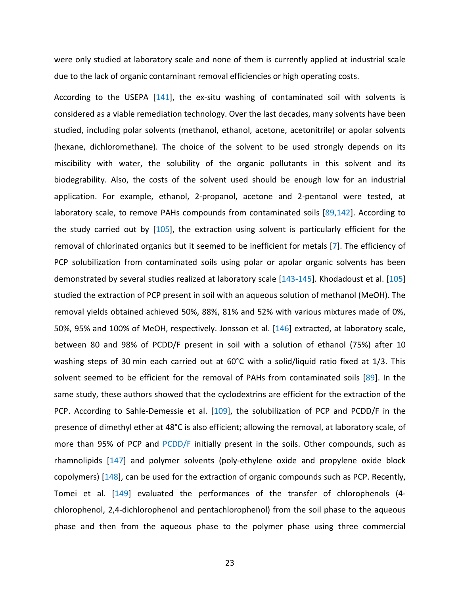were only studied at laboratory scale and none of them is currently applied at industrial scale due to the lack of organic contaminant removal efficiencies or high operating costs.

example, ethanol, 2-propanol, acetone and 2-pentano<br>o remove PAHs compounds from contaminated soils [89]<br>out by [105], the extraction using solvent is particular<br>ated organics but it seemed to be inefficient for metals [<br> According to the USEPA [141], the ex-situ washing of contaminated soil with solvents is considered as a viable remediation technology. Over the last decades, many solvents have been studied, including polar solvents (methanol, ethanol, acetone, acetonitrile) or apolar solvents (hexane, dichloromethane). The choice of the solvent to be used strongly depends on its miscibility with water, the solubility of the organic pollutants in this solvent and its biodegrability. Also, the costs of the solvent used should be enough low for an industrial application. For example, ethanol, 2-propanol, acetone and 2-pentanol were tested, at laboratory scale, to remove PAHs compounds from contaminated soils [89,142]. According to the study carried out by [105], the extraction using solvent is particularly efficient for the removal of chlorinated organics but it seemed to be inefficient for metals [7]. The efficiency of PCP solubilization from contaminated soils using polar or apolar organic solvents has been demonstrated by several studies realized at laboratory scale [143-145]. Khodadoust et al. [105] studied the extraction of PCP present in soil with an aqueous solution of methanol (MeOH). The removal yields obtained achieved 50%, 88%, 81% and 52% with various mixtures made of 0%, 50%, 95% and 100% of MeOH, respectively. Jonsson et al. [146] extracted, at laboratory scale, between 80 and 98% of PCDD/F present in soil with a solution of ethanol (75%) after 10 washing steps of 30 min each carried out at 60°C with a solid/liquid ratio fixed at 1/3. This solvent seemed to be efficient for the removal of PAHs from contaminated soils [89]. In the same study, these authors showed that the cyclodextrins are efficient for the extraction of the PCP. According to Sahle-Demessie et al. [109], the solubilization of PCP and PCDD/F in the presence of dimethyl ether at 48°C is also efficient; allowing the removal, at laboratory scale, of more than 95% of PCP and PCDD/F initially present in the soils. Other compounds, such as rhamnolipids [147] and polymer solvents (poly-ethylene oxide and propylene oxide block copolymers) [148], can be used for the extraction of organic compounds such as PCP. Recently, Tomei et al. [149] evaluated the performances of the transfer of chlorophenols (4 chlorophenol, 2,4-dichlorophenol and pentachlorophenol) from the soil phase to the aqueous phase and then from the aqueous phase to the polymer phase using three commercial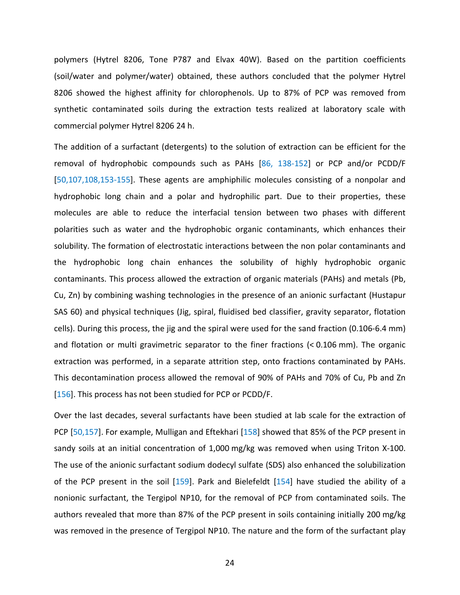polymers (Hytrel 8206, Tone P787 and Elvax 40W). Based on the partition coefficients (soil/water and polymer/water) obtained, these authors concluded that the polymer Hytrel 8206 showed the highest affinity for chlorophenols. Up to 87% of PCP was removed from synthetic contaminated soils during the extraction tests realized at laboratory scale with commercial polymer Hytrel 8206 24 h.

chain and a polar and hydrophilic part. Due to their<br>le to reduce the interfacial tension between two ph.<br>water and the hydrophobic organic contaminants, wh<br>nation of electrostatic interactions between the non pola<br>long c The addition of a surfactant (detergents) to the solution of extraction can be efficient for the removal of hydrophobic compounds such as PAHs [86, 138-152] or PCP and/or PCDD/F [50,107,108,153-155]. These agents are amphiphilic molecules consisting of a nonpolar and hydrophobic long chain and a polar and hydrophilic part. Due to their properties, these molecules are able to reduce the interfacial tension between two phases with different polarities such as water and the hydrophobic organic contaminants, which enhances their solubility. The formation of electrostatic interactions between the non polar contaminants and the hydrophobic long chain enhances the solubility of highly hydrophobic organic contaminants. This process allowed the extraction of organic materials (PAHs) and metals (Pb, Cu, Zn) by combining washing technologies in the presence of an anionic surfactant (Hustapur SAS 60) and physical techniques (Jig, spiral, fluidised bed classifier, gravity separator, flotation cells). During this process, the jig and the spiral were used for the sand fraction (0.106-6.4 mm) and flotation or multi gravimetric separator to the finer fractions (< 0.106 mm). The organic extraction was performed, in a separate attrition step, onto fractions contaminated by PAHs. This decontamination process allowed the removal of 90% of PAHs and 70% of Cu, Pb and Zn [156]. This process has not been studied for PCP or PCDD/F.

Over the last decades, several surfactants have been studied at lab scale for the extraction of PCP [50,157]. For example, Mulligan and Eftekhari [158] showed that 85% of the PCP present in sandy soils at an initial concentration of 1,000 mg/kg was removed when using Triton X-100. The use of the anionic surfactant sodium dodecyl sulfate (SDS) also enhanced the solubilization of the PCP present in the soil [159]. Park and Bielefeldt [154] have studied the ability of a nonionic surfactant, the Tergipol NP10, for the removal of PCP from contaminated soils. The authors revealed that more than 87% of the PCP present in soils containing initially 200 mg/kg was removed in the presence of Tergipol NP10. The nature and the form of the surfactant play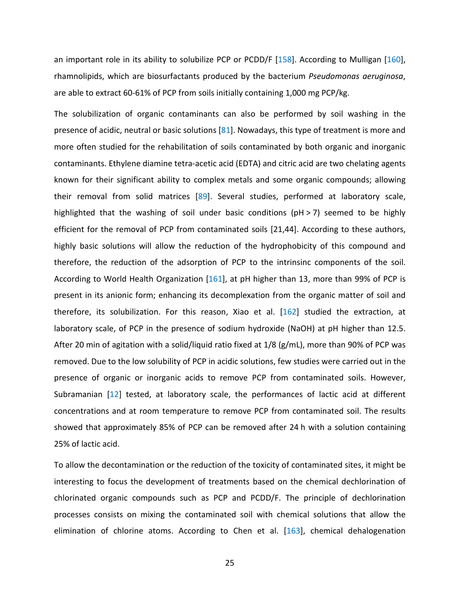an important role in its ability to solubilize PCP or PCDD/F [158]. According to Mulligan [160], rhamnolipids, which are biosurfactants produced by the bacterium *Pseudomonas aeruginosa*, are able to extract 60-61% of PCP from soils initially containing 1,000 mg PCP/kg.

m solid matrices [89]. Several studies, performed a<br>he washing of soil under basic conditions (pH > 7) se<br>moval of PCP from contaminated soils [21,44]. Accordin<br>ons will allow the reduction of the hydrophobicity of t<br>ucti The solubilization of organic contaminants can also be performed by soil washing in the presence of acidic, neutral or basic solutions [81]. Nowadays, this type of treatment is more and more often studied for the rehabilitation of soils contaminated by both organic and inorganic contaminants. Ethylene diamine tetra-acetic acid (EDTA) and citric acid are two chelating agents known for their significant ability to complex metals and some organic compounds; allowing their removal from solid matrices [89]. Several studies, performed at laboratory scale, highlighted that the washing of soil under basic conditions ( $pH > 7$ ) seemed to be highly efficient for the removal of PCP from contaminated soils [21,44]. According to these authors, highly basic solutions will allow the reduction of the hydrophobicity of this compound and therefore, the reduction of the adsorption of PCP to the intrinsinc components of the soil. According to World Health Organization [161], at pH higher than 13, more than 99% of PCP is present in its anionic form; enhancing its decomplexation from the organic matter of soil and therefore, its solubilization. For this reason, Xiao et al. [162] studied the extraction, at laboratory scale, of PCP in the presence of sodium hydroxide (NaOH) at pH higher than 12.5. After 20 min of agitation with a solid/liquid ratio fixed at 1/8 (g/mL), more than 90% of PCP was removed. Due to the low solubility of PCP in acidic solutions, few studies were carried out in the presence of organic or inorganic acids to remove PCP from contaminated soils. However, Subramanian [12] tested, at laboratory scale, the performances of lactic acid at different concentrations and at room temperature to remove PCP from contaminated soil. The results showed that approximately 85% of PCP can be removed after 24 h with a solution containing 25% of lactic acid.

To allow the decontamination or the reduction of the toxicity of contaminated sites, it might be interesting to focus the development of treatments based on the chemical dechlorination of chlorinated organic compounds such as PCP and PCDD/F. The principle of dechlorination processes consists on mixing the contaminated soil with chemical solutions that allow the elimination of chlorine atoms. According to Chen et al. [163], chemical dehalogenation

25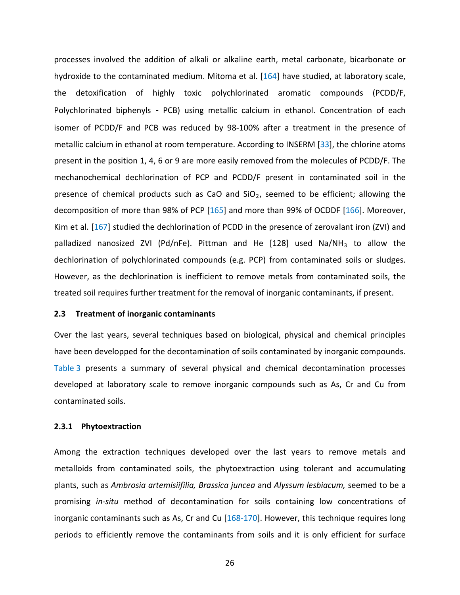Ical products such as CaO and SlO<sub>2</sub>, seemed to be enf<br>more than 98% of PCP [165] and more than 99% of OCDI<br>udied the dechlorination of PCDD in the presence of zerov<br>zed ZVI (Pd/nFe). Pittman and He [128] used Na/<br>polychlo processes involved the addition of alkali or alkaline earth, metal carbonate, bicarbonate or hydroxide to the contaminated medium. Mitoma et al. [164] have studied, at laboratory scale, the detoxification of highly toxic polychlorinated aromatic compounds (PCDD/F, [Polychlorinated biphenyls](https://en.wikipedia.org/wiki/Polychlorinated_biphenyl) - PCB) using metallic calcium in ethanol. Concentration of each isomer of PCDD/F and PCB was reduced by 98-100% after a treatment in the presence of metallic calcium in ethanol at room temperature. According to INSERM [33], the chlorine atoms present in the position 1, 4, 6 or 9 are more easily removed from the molecules of PCDD/F. The mechanochemical dechlorination of PCP and PCDD/F present in contaminated soil in the presence of chemical products such as CaO and  $SiO<sub>2</sub>$ , seemed to be efficient; allowing the decomposition of more than 98% of PCP [165] and more than 99% of OCDDF [166]. Moreover, Kim et al. [167] studied the dechlorination of PCDD in the presence of zerovalant iron (ZVI) and palladized nanosized ZVI (Pd/nFe). Pittman and He  $[128]$  used Na/NH<sub>3</sub> to allow the dechlorination of polychlorinated compounds (e.g. PCP) from contaminated soils or sludges. However, as the dechlorination is inefficient to remove metals from contaminated soils, the treated soil requires further treatment for the removal of inorganic contaminants, if present.

#### **2.3 Treatment of inorganic contaminants**

Over the last years, several techniques based on biological, physical and chemical principles have been developped for the decontamination of soils contaminated by inorganic compounds. Table 3 presents a summary of several physical and chemical decontamination processes developed at laboratory scale to remove inorganic compounds such as As, Cr and Cu from contaminated soils.

#### **2.3.1 Phytoextraction**

Among the extraction techniques developed over the last years to remove metals and metalloids from contaminated soils, the phytoextraction using tolerant and accumulating plants, such as *Ambrosia artemisiifilia, Brassica juncea* and *Alyssum lesbiacum,* seemed to be a promising *in-situ* method of decontamination for soils containing low concentrations of inorganic contaminants such as As, Cr and Cu  $[168-170]$ . However, this technique requires long periods to efficiently remove the contaminants from soils and it is only efficient for surface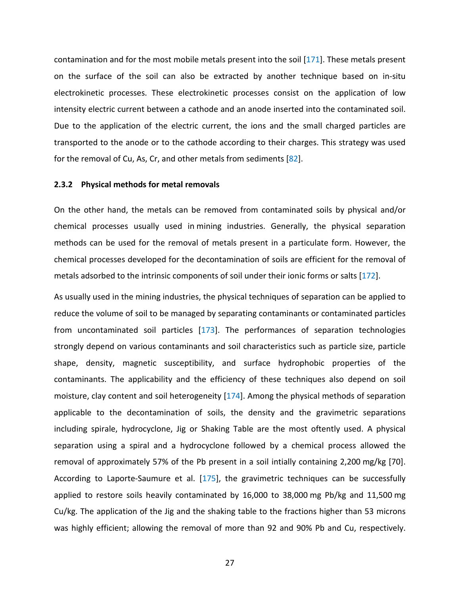contamination and for the most mobile metals present into the soil [171]. These metals present on the surface of the soil can also be extracted by another technique based on in-situ electrokinetic processes. These electrokinetic processes consist on the application of low intensity electric current between a cathode and an anode inserted into the contaminated soil. Due to the application of the electric current, the ions and the small charged particles are transported to the anode or to the cathode according to their charges. This strategy was used for the removal of Cu, As, Cr, and other metals from sediments [82].

#### **2.3.2 Physical methods for metal removals**

On the other hand, the metals can be removed from contaminated soils by physical and/or chemical processes usually used in mining industries. Generally, the physical separation methods can be used for the removal of metals present in a particulate form. However, the chemical processes developed for the decontamination of soils are efficient for the removal of metals adsorbed to the intrinsic components of soil under their ionic forms or salts [172].

d, the metals can be removed from contaminated soils<br>ses usually used in mining industries. Generally, the<br>sed for the removal of metals present in a particulate t<br>s developed for the decontamination of soils are efficien<br> As usually used in the mining industries, the physical techniques of separation can be applied to reduce the volume of soil to be managed by separating contaminants or contaminated particles from uncontaminated soil particles  $[173]$ . The performances of separation technologies strongly depend on various contaminants and soil characteristics such as particle size, particle shape, density, magnetic susceptibility, and surface hydrophobic properties of the contaminants. The applicability and the efficiency of these techniques also depend on soil moisture, clay content and soil heterogeneity [174]. Among the physical methods of separation applicable to the decontamination of soils, the density and the gravimetric separations including spirale, hydrocyclone, Jig or Shaking Table are the most oftently used. A physical separation using a spiral and a hydrocyclone followed by a chemical process allowed the removal of approximately 57% of the Pb present in a soil intially containing 2,200 mg/kg [70]. According to Laporte-Saumure et al. [175], the gravimetric techniques can be successfully applied to restore soils heavily contaminated by 16,000 to 38,000 mg Pb/kg and 11,500 mg Cu/kg. The application of the Jig and the shaking table to the fractions higher than 53 microns was highly efficient; allowing the removal of more than 92 and 90% Pb and Cu, respectively.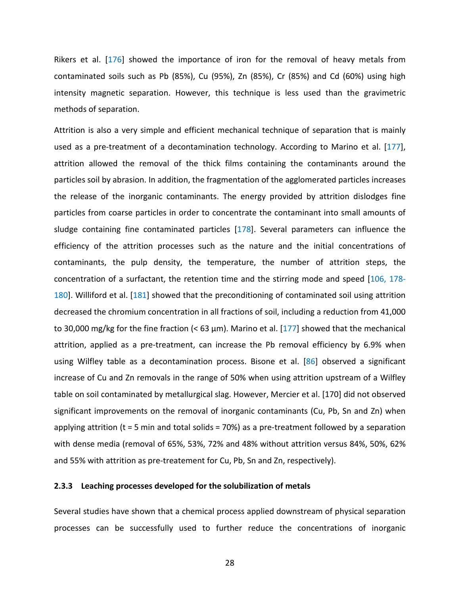Rikers et al. [176] showed the importance of iron for the removal of heavy metals from contaminated soils such as Pb (85%), Cu (95%), Zn (85%), Cr (85%) and Cd (60%) using high intensity magnetic separation. However, this technique is less used than the gravimetric methods of separation.

e inorganic contaminants. The energy provided by attrice particles in order to concentrate the contaminant in fine contaminated particles [178]. Several parameters attrition processes such as the nature and the initial e Attrition is also a very simple and efficient mechanical technique of separation that is mainly used as a pre-treatment of a decontamination technology. According to Marino et al. [177], attrition allowed the removal of the thick films containing the contaminants around the particles soil by abrasion. In addition, the fragmentation of the agglomerated particles increases the release of the inorganic contaminants. The energy provided by attrition dislodges fine particles from coarse particles in order to concentrate the contaminant into small amounts of sludge containing fine contaminated particles [178]. Several parameters can influence the efficiency of the attrition processes such as the nature and the initial concentrations of contaminants, the pulp density, the temperature, the number of attrition steps, the concentration of a surfactant, the retention time and the stirring mode and speed [106, 178- 180]. Williford et al. [181] showed that the preconditioning of contaminated soil using attrition decreased the chromium concentration in all fractions of soil, including a reduction from 41,000 to 30,000 mg/kg for the fine fraction ( $\leq 63$  µm). Marino et al. [177] showed that the mechanical attrition, applied as a pre-treatment, can increase the Pb removal efficiency by 6.9% when using Wilfley table as a decontamination process. Bisone et al. [86] observed a significant increase of Cu and Zn removals in the range of 50% when using attrition upstream of a Wilfley table on soil contaminated by metallurgical slag. However, Mercier et al. [170] did not observed significant improvements on the removal of inorganic contaminants (Cu, Pb, Sn and Zn) when applying attrition ( $t = 5$  min and total solids = 70%) as a pre-treatment followed by a separation with dense media (removal of 65%, 53%, 72% and 48% without attrition versus 84%, 50%, 62% and 55% with attrition as pre-treatement for Cu, Pb, Sn and Zn, respectively).

#### **2.3.3 Leaching processes developed for the solubilization of metals**

Several studies have shown that a chemical process applied downstream of physical separation processes can be successfully used to further reduce the concentrations of inorganic

28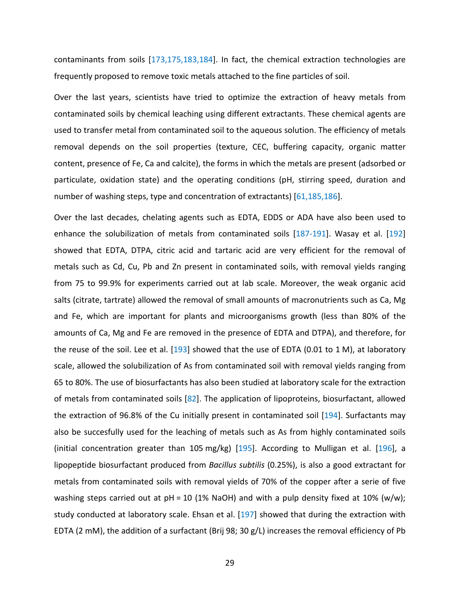contaminants from soils [173,175,183,184]. In fact, the chemical extraction technologies are frequently proposed to remove toxic metals attached to the fine particles of soil.

Over the last years, scientists have tried to optimize the extraction of heavy metals from contaminated soils by chemical leaching using different extractants. These chemical agents are used to transfer metal from contaminated soil to the aqueous solution. The efficiency of metals removal depends on the soil properties (texture, CEC, buffering capacity, organic matter content, presence of Fe, Ca and calcite), the forms in which the metals are present (adsorbed or particulate, oxidation state) and the operating conditions (pH, stirring speed, duration and number of washing steps, type and concentration of extractants) [61,185,186].

g steps, type and concentration of extractants) [61,185,18<br>ades, chelating agents such as EDTA, EDDS or ADA have<br>bilization of metals from contaminated soils [187-191].<br>A, DTPA, citric acid and tartaric acid are very effic Over the last decades, chelating agents such as EDTA, EDDS or ADA have also been used to enhance the solubilization of metals from contaminated soils [187-191]. Wasay et al. [192] showed that EDTA, DTPA, citric acid and tartaric acid are very efficient for the removal of metals such as Cd, Cu, Pb and Zn present in contaminated soils, with removal yields ranging from 75 to 99.9% for experiments carried out at lab scale. Moreover, the weak organic acid salts (citrate, tartrate) allowed the removal of small amounts of macronutrients such as Ca, Mg and Fe, which are important for plants and microorganisms growth (less than 80% of the amounts of Ca, Mg and Fe are removed in the presence of EDTA and DTPA), and therefore, for the reuse of the soil. Lee et al.  $[193]$  showed that the use of EDTA (0.01 to 1 M), at laboratory scale, allowed the solubilization of As from contaminated soil with removal yields ranging from 65 to 80%. The use of biosurfactants has also been studied at laboratory scale for the extraction of metals from contaminated soils [82]. The application of lipoproteins, biosurfactant, allowed the extraction of 96.8% of the Cu initially present in contaminated soil [194]. Surfactants may also be succesfully used for the leaching of metals such as As from highly contaminated soils (initial concentration greater than 105 mg/kg)  $[195]$ . According to Mulligan et al.  $[196]$ , a lipopeptide biosurfactant produced from *Bacillus subtilis* (0.25%), is also a good extractant for metals from contaminated soils with removal yields of 70% of the copper after a serie of five washing steps carried out at  $pH = 10$  (1% NaOH) and with a pulp density fixed at 10% (w/w); study conducted at laboratory scale. Ehsan et al. [197] showed that during the extraction with EDTA (2 mM), the addition of a surfactant (Brij 98; 30 g/L) increases the removal efficiency of Pb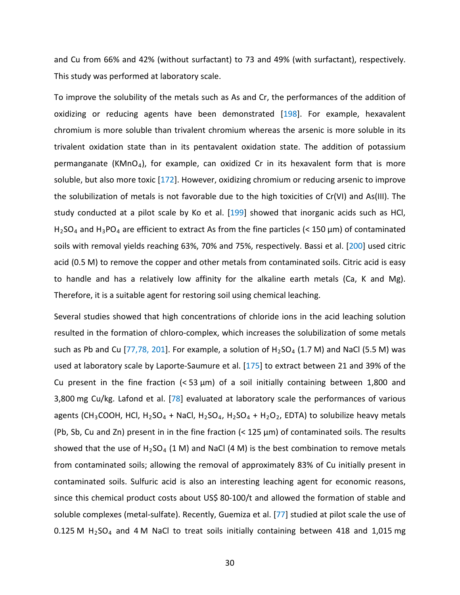and Cu from 66% and 42% (without surfactant) to 73 and 49% (with surfactant), respectively. This study was performed at laboratory scale.

of metals is not favorable due to the high toxicities of Cr<br>at a pilot scale by Ko et al. [199] showed that inorganic<br>are efficient to extract As from the fine particles (< 150  $\mu$ <br>yields reaching 63%, 70% and 75%, respe To improve the solubility of the metals such as As and Cr, the performances of the addition of oxidizing or reducing agents have been demonstrated [198]. For example, hexavalent chromium is more soluble than trivalent chromium whereas the arsenic is more soluble in its trivalent oxidation state than in its pentavalent oxidation state. The addition of potassium permanganate (KMnO<sub>4</sub>), for example, can oxidized Cr in its hexavalent form that is more soluble, but also more toxic [172]. However, oxidizing chromium or reducing arsenic to improve the solubilization of metals is not favorable due to the high toxicities of Cr(VI) and As(III). The study conducted at a pilot scale by Ko et al. [199] showed that inorganic acids such as HCl,  $H_2$ SO<sub>4</sub> and  $H_3$ PO<sub>4</sub> are efficient to extract As from the fine particles (< 150  $\mu$ m) of contaminated soils with removal yields reaching 63%, 70% and 75%, respectively. Bassi et al. [200] used citric acid (0.5 M) to remove the copper and other metals from contaminated soils. Citric acid is easy to handle and has a relatively low affinity for the alkaline earth metals (Ca, K and Mg). Therefore, it is a suitable agent for restoring soil using chemical leaching.

Several studies showed that high concentrations of chloride ions in the acid leaching solution resulted in the formation of chloro-complex, which increases the solubilization of some metals such as Pb and Cu [77,78, 201]. For example, a solution of  $H_2SO_4$  (1.7 M) and NaCl (5.5 M) was used at laboratory scale by Laporte-Saumure et al. [175] to extract between 21 and 39% of the Cu present in the fine fraction  $( $53 \mu m$ )$  of a soil initially containing between 1,800 and 3,800 mg Cu/kg. Lafond et al. [78] evaluated at laboratory scale the performances of various agents (CH<sub>3</sub>COOH, HCl, H<sub>2</sub>SO<sub>4</sub> + NaCl, H<sub>2</sub>SO<sub>4</sub>, H<sub>2</sub>SO<sub>4</sub> + H<sub>2</sub>O<sub>2</sub>, EDTA) to solubilize heavy metals (Pb, Sb, Cu and Zn) present in in the fine fraction (< 125 µm) of contaminated soils. The results showed that the use of H<sub>2</sub>SO<sub>4</sub> (1 M) and NaCl (4 M) is the best combination to remove metals from contaminated soils; allowing the removal of approximately 83% of Cu initially present in contaminated soils. Sulfuric acid is also an interesting leaching agent for economic reasons, since this chemical product costs about US\$ 80-100/t and allowed the formation of stable and soluble complexes (metal-sulfate). Recently, Guemiza et al. [77] studied at pilot scale the use of 0.125 M  $H<sub>2</sub>SO<sub>4</sub>$  and 4 M NaCl to treat soils initially containing between 418 and 1,015 mg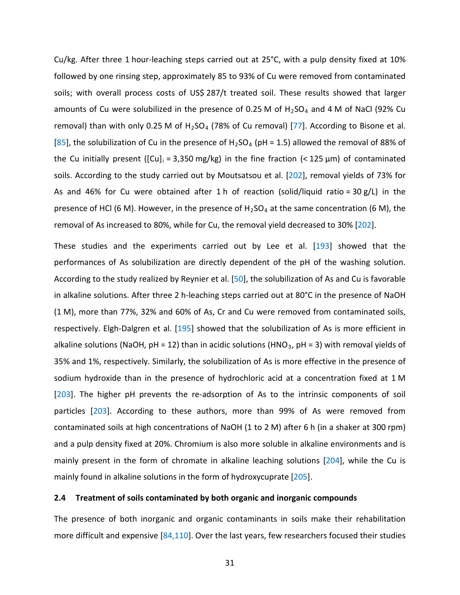Cu/kg. After three 1 hour-leaching steps carried out at 25°C, with a pulp density fixed at 10% followed by one rinsing step, approximately 85 to 93% of Cu were removed from contaminated soils; with overall process costs of US\$ 287/t treated soil. These results showed that larger amounts of Cu were solubilized in the presence of 0.25 M of  $H<sub>2</sub>SO<sub>4</sub>$  and 4 M of NaCl (92% Cu removal) than with only 0.25 M of  $H<sub>2</sub>SO<sub>4</sub>$  (78% of Cu removal) [77]. According to Bisone et al. [85], the solubilization of Cu in the presence of H<sub>2</sub>SO<sub>4</sub> (pH = 1.5) allowed the removal of 88% of the Cu initially present ( $\left[\text{Cu}\right]_i = 3,350 \text{ mg/kg}$ ) in the fine fraction (< 125 µm) of contaminated soils. According to the study carried out by Moutsatsou et al. [202], removal yields of 73% for As and 46% for Cu were obtained after 1 h of reaction (solid/liquid ratio = 30 g/L) in the presence of HCl (6 M). However, in the presence of  $H_2SO_4$  at the same concentration (6 M), the removal of As increased to 80%, while for Cu, the removal yield decreased to 30% [202].

M). However, in the presence of  $H_2SO_4$  at the same conceased to 80%, while for Cu, the removal yield decreased to the experiments carried out by Lee et al. [193] As solubilization are directly dependent of the pH of the These studies and the experiments carried out by Lee et al. [193] showed that the performances of As solubilization are directly dependent of the pH of the washing solution. According to the study realized by Reynier et al. [50], the solubilization of As and Cu is favorable in alkaline solutions. After three 2 h-leaching steps carried out at 80°C in the presence of NaOH (1 M), more than 77%, 32% and 60% of As, Cr and Cu were removed from contaminated soils, respectively. Elgh-Dalgren et al. [195] showed that the solubilization of As is more efficient in alkaline solutions (NaOH, pH = 12) than in acidic solutions (HNO<sub>3</sub>, pH = 3) with removal yields of 35% and 1%, respectively. Similarly, the solubilization of As is more effective in the presence of sodium hydroxide than in the presence of hydrochloric acid at a concentration fixed at 1 M [203]. The higher pH prevents the re-adsorption of As to the intrinsic components of soil particles [203]. According to these authors, more than 99% of As were removed from contaminated soils at high concentrations of NaOH (1 to 2 M) after 6 h (in a shaker at 300 rpm) and a pulp density fixed at 20%. Chromium is also more soluble in alkaline environments and is mainly present in the form of chromate in alkaline leaching solutions [204], while the Cu is mainly found in alkaline solutions in the form of hydroxycuprate [205].

#### **2.4 Treatment of soils contaminated by both organic and inorganic compounds**

The presence of both inorganic and organic contaminants in soils make their rehabilitation more difficult and expensive [84,110]. Over the last years, few researchers focused their studies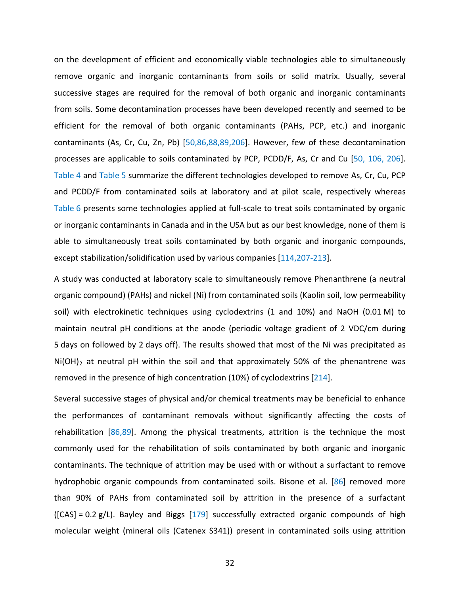on the development of efficient and economically viable technologies able to simultaneously remove organic and inorganic contaminants from soils or solid matrix. Usually, several successive stages are required for the removal of both organic and inorganic contaminants from soils. Some decontamination processes have been developed recently and seemed to be efficient for the removal of both organic contaminants (PAHs, PCP, etc.) and inorganic contaminants (As, Cr, Cu, Zn, Pb) [50,86,88,89,206]. However, few of these decontamination processes are applicable to soils contaminated by PCP, PCDD/F, As, Cr and Cu [50, 106, 206]. Table 4 and Table 5 summarize the different technologies developed to remove As, Cr, Cu, PCP and PCDD/F from contaminated soils at laboratory and at pilot scale, respectively whereas Table 6 presents some technologies applied at full-scale to treat soils contaminated by organic or inorganic contaminants in Canada and in the USA but as our best knowledge, none of them is able to simultaneously treat soils contaminated by both organic and inorganic compounds, except stabilization/solidification used by various companies [114,207-213].

containmeted sons at rabustatery and at pinot setting, recont<br>minants in Canada and in the USA but as our best knowled<br>ously treat soils contaminated by both organic and inc<br>n/solidification used by various companies [114, A study was conducted at laboratory scale to simultaneously remove Phenanthrene (a neutral organic compound) (PAHs) and nickel (Ni) from contaminated soils (Kaolin soil, low permeability soil) with electrokinetic techniques using cyclodextrins (1 and 10%) and NaOH (0.01 M) to maintain neutral pH conditions at the anode (periodic voltage gradient of 2 VDC/cm during 5 days on followed by 2 days off). The results showed that most of the Ni was precipitated as  $Ni(OH)_2$  at neutral pH within the soil and that approximately 50% of the phenantrene was removed in the presence of high concentration (10%) of cyclodextrins [214].

Several successive stages of physical and/or chemical treatments may be beneficial to enhance the performances of contaminant removals without significantly affecting the costs of rehabilitation [86,89]. Among the physical treatments, attrition is the technique the most commonly used for the rehabilitation of soils contaminated by both organic and inorganic contaminants. The technique of attrition may be used with or without a surfactant to remove hydrophobic organic compounds from contaminated soils. Bisone et al. [86] removed more than 90% of PAHs from contaminated soil by attrition in the presence of a surfactant  $({[CAS] = 0.2 g/L})$ . Bayley and Biggs [179] successfully extracted organic compounds of high molecular weight (mineral oils (Catenex S341)) present in contaminated soils using attrition

32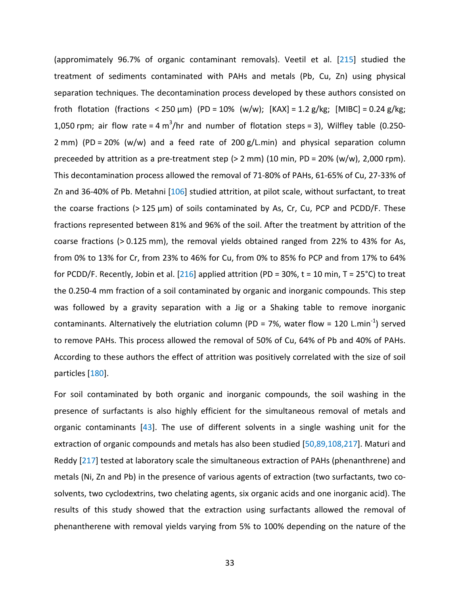S. Metalmir [26] statical definition, at prior scale, while the state of the solic contaminated by As, Cr, Cu, PCP<br>ted between 81% and 96% of the soil. After the treatmer<br> $0.125$  mm), the removal yields obtained ranged fr (appromimately 96.7% of organic contaminant removals). Veetil et al. [215] studied the treatment of sediments contaminated with PAHs and metals (Pb, Cu, Zn) using physical separation techniques. The decontamination process developed by these authors consisted on froth flotation (fractions < 250 µm) (PD = 10% (w/w); [KAX] = 1.2 g/kg; [MIBC] = 0.24 g/kg; 1,050 rpm; air flow rate = 4 m<sup>3</sup>/hr and number of flotation steps = 3), Wilfley table (0.250-2 mm) (PD = 20% (w/w) and a feed rate of 200 g/L.min) and physical separation column preceeded by attrition as a pre-treatment step (> 2 mm) (10 min, PD = 20% (w/w), 2,000 rpm). This decontamination process allowed the removal of 71-80% of PAHs, 61-65% of Cu, 27-33% of Zn and 36-40% of Pb. Metahni [106] studied attrition, at pilot scale, without surfactant, to treat the coarse fractions (> 125 µm) of soils contaminated by As, Cr, Cu, PCP and PCDD/F. These fractions represented between 81% and 96% of the soil. After the treatment by attrition of the coarse fractions (> 0.125 mm), the removal yields obtained ranged from 22% to 43% for As, from 0% to 13% for Cr, from 23% to 46% for Cu, from 0% to 85% fo PCP and from 17% to 64% for PCDD/F. Recently, Jobin et al. [216] applied attrition (PD = 30%, t = 10 min, T = 25°C) to treat the 0.250-4 mm fraction of a soil contaminated by organic and inorganic compounds. This step was followed by a gravity separation with a Jig or a Shaking table to remove inorganic contaminants. Alternatively the elutriation column (PD = 7%, water flow = 120 L.min<sup>-1</sup>) served to remove PAHs. This process allowed the removal of 50% of Cu, 64% of Pb and 40% of PAHs. According to these authors the effect of attrition was positively correlated with the size of soil particles [180].

For soil contaminated by both organic and inorganic compounds, the soil washing in the presence of surfactants is also highly efficient for the simultaneous removal of metals and organic contaminants [43]. The use of different solvents in a single washing unit for the extraction of organic compounds and metals has also been studied [50,89,108,217]. Maturi and Reddy [217] tested at laboratory scale the simultaneous extraction of PAHs (phenanthrene) and metals (Ni, Zn and Pb) in the presence of various agents of extraction (two surfactants, two cosolvents, two cyclodextrins, two chelating agents, six organic acids and one inorganic acid). The results of this study showed that the extraction using surfactants allowed the removal of phenantherene with removal yields varying from 5% to 100% depending on the nature of the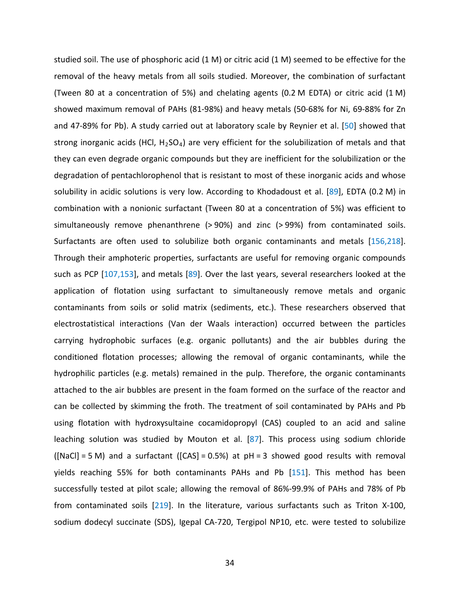a nonionic surfactant (Tween 80 at a concentration of 5<br>a nonionic surfactant (Tween 80 at a concentration of 5<br>move phenanthrene (> 90%) and zinc (> 99%) from the<br>ften used to solubilize both organic contaminants and<br>bhot studied soil. The use of phosphoric acid (1 M) or citric acid (1 M) seemed to be effective for the removal of the heavy metals from all soils studied. Moreover, the combination of surfactant (Tween 80 at a concentration of 5%) and chelating agents (0.2 M EDTA) or citric acid (1 M) showed maximum removal of PAHs (81-98%) and heavy metals (50-68% for Ni, 69-88% for Zn and 47-89% for Pb). A study carried out at laboratory scale by Reynier et al. [50] showed that strong inorganic acids (HCl, H<sub>2</sub>SO<sub>4</sub>) are very efficient for the solubilization of metals and that they can even degrade organic compounds but they are inefficient for the solubilization or the degradation of pentachlorophenol that is resistant to most of these inorganic acids and whose solubility in acidic solutions is very low. According to Khodadoust et al. [89], EDTA (0.2 M) in combination with a nonionic surfactant (Tween 80 at a concentration of 5%) was efficient to simultaneously remove phenanthrene (> 90%) and zinc (> 99%) from contaminated soils. Surfactants are often used to solubilize both organic contaminants and metals [156,218]. Through their amphoteric properties, surfactants are useful for removing organic compounds such as PCP [107,153], and metals [89]. Over the last years, several researchers looked at the application of flotation using surfactant to simultaneously remove metals and organic contaminants from soils or solid matrix (sediments, etc.). These researchers observed that electrostatistical interactions (Van der Waals interaction) occurred between the particles carrying hydrophobic surfaces (e.g. organic pollutants) and the air bubbles during the conditioned flotation processes; allowing the removal of organic contaminants, while the hydrophilic particles (e.g. metals) remained in the pulp. Therefore, the organic contaminants attached to the air bubbles are present in the foam formed on the surface of the reactor and can be collected by skimming the froth. The treatment of soil contaminated by PAHs and Pb using flotation with hydroxysultaine cocamidopropyl (CAS) coupled to an acid and saline leaching solution was studied by Mouton et al. [87]. This process using sodium chloride  $(NaCl) = 5 M$ ) and a surfactant ( $[CAS] = 0.5\%$ ) at  $pH = 3$  showed good results with removal yields reaching 55% for both contaminants PAHs and Pb [151]. This method has been successfully tested at pilot scale; allowing the removal of 86%-99.9% of PAHs and 78% of Pb from contaminated soils [219]. In the literature, various surfactants such as Triton X-100, sodium dodecyl succinate (SDS), Igepal CA-720, Tergipol NP10, etc. were tested to solubilize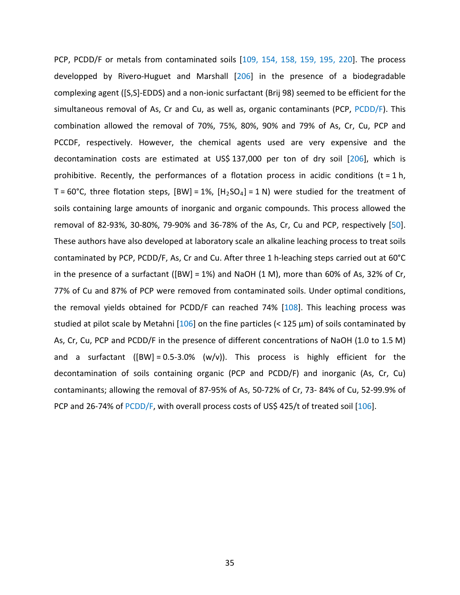reaction steps, [bvt] 170, [17204] 114, were steaded to<br>ge amounts of inorganic and organic compounds. This is<br>6, 30-80%, 79-90% and 36-78% of the As, Cr, Cu and PC<br>e also developed at laboratory scale an alkaline leachin PCP, PCDD/F or metals from contaminated soils [109, 154, 158, 159, 195, 220]. The process developped by Rivero-Huguet and Marshall [206] in the presence of a biodegradable complexing agent ([S,S]-EDDS) and a non-ionic surfactant (Brij 98) seemed to be efficient for the simultaneous removal of As, Cr and Cu, as well as, organic contaminants (PCP, PCDD/F). This combination allowed the removal of 70%, 75%, 80%, 90% and 79% of As, Cr, Cu, PCP and PCCDF, respectively. However, the chemical agents used are very expensive and the decontamination costs are estimated at US\$ 137,000 per ton of dry soil [206], which is prohibitive. Recently, the performances of a flotation process in acidic conditions ( $t = 1 h$ , T = 60°C, three flotation steps,  $[BW] = 1\%$ ,  $[H_2SO_4] = 1 N$ ) were studied for the treatment of soils containing large amounts of inorganic and organic compounds. This process allowed the removal of 82-93%, 30-80%, 79-90% and 36-78% of the As, Cr, Cu and PCP, respectively [50]. These authors have also developed at laboratory scale an alkaline leaching process to treat soils contaminated by PCP, PCDD/F, As, Cr and Cu. After three 1 h-leaching steps carried out at 60°C in the presence of a surfactant ([BW] = 1%) and NaOH  $(1 \text{ M})$ , more than 60% of As, 32% of Cr, 77% of Cu and 87% of PCP were removed from contaminated soils. Under optimal conditions, the removal yields obtained for PCDD/F can reached 74% [108]. This leaching process was studied at pilot scale by Metahni [106] on the fine particles (< 125 µm) of soils contaminated by As, Cr, Cu, PCP and PCDD/F in the presence of different concentrations of NaOH (1.0 to 1.5 M) and a surfactant ( $[BW] = 0.5-3.0\%$  (w/v)). This process is highly efficient for the decontamination of soils containing organic (PCP and PCDD/F) and inorganic (As, Cr, Cu) contaminants; allowing the removal of 87-95% of As, 50-72% of Cr, 73- 84% of Cu, 52-99.9% of PCP and 26-74% of PCDD/F, with overall process costs of US\$ 425/t of treated soil [106].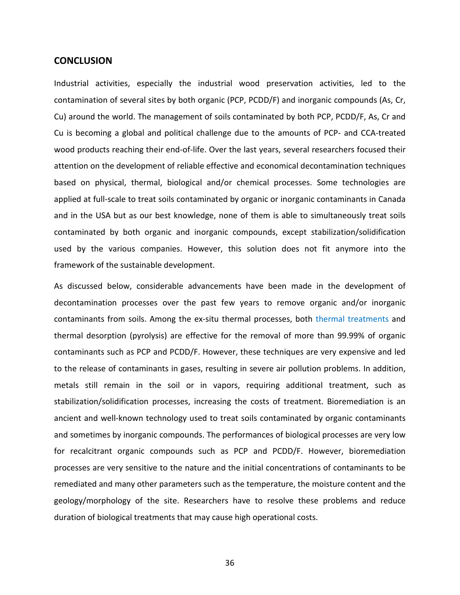#### **CONCLUSION**

Industrial activities, especially the industrial wood preservation activities, led to the contamination of several sites by both organic (PCP, PCDD/F) and inorganic compounds (As, Cr, Cu) around the world. The management of soils contaminated by both PCP, PCDD/F, As, Cr and Cu is becoming a global and political challenge due to the amounts of PCP- and CCA-treated wood products reaching their end-of-life. Over the last years, several researchers focused their attention on the development of reliable effective and economical decontamination techniques based on physical, thermal, biological and/or chemical processes. Some technologies are applied at full-scale to treat soils contaminated by organic or inorganic contaminants in Canada and in the USA but as our best knowledge, none of them is able to simultaneously treat soils contaminated by both organic and inorganic compounds, except stabilization/solidification used by the various companies. However, this solution does not fit anymore into the framework of the sustainable development.

e to treat soils contaminated by organic or inorganic cont<br>t as our best knowledge, none of them is able to simult<br>both organic and inorganic compounds, except stabili<br>ous companies. However, this solution does not fit<br>tus As discussed below, considerable advancements have been made in the development of decontamination processes over the past few years to remove organic and/or inorganic contaminants from soils. Among the ex-situ thermal processes, both thermal treatments and thermal desorption (pyrolysis) are effective for the removal of more than 99.99% of organic contaminants such as PCP and PCDD/F. However, these techniques are very expensive and led to the release of contaminants in gases, resulting in severe air pollution problems. In addition, metals still remain in the soil or in vapors, requiring additional treatment, such as stabilization/solidification processes, increasing the costs of treatment. Bioremediation is an ancient and well-known technology used to treat soils contaminated by organic contaminants and sometimes by inorganic compounds. The performances of biological processes are very low for recalcitrant organic compounds such as PCP and PCDD/F. However, bioremediation processes are very sensitive to the nature and the initial concentrations of contaminants to be remediated and many other parameters such as the temperature, the moisture content and the geology/morphology of the site. Researchers have to resolve these problems and reduce duration of biological treatments that may cause high operational costs.

36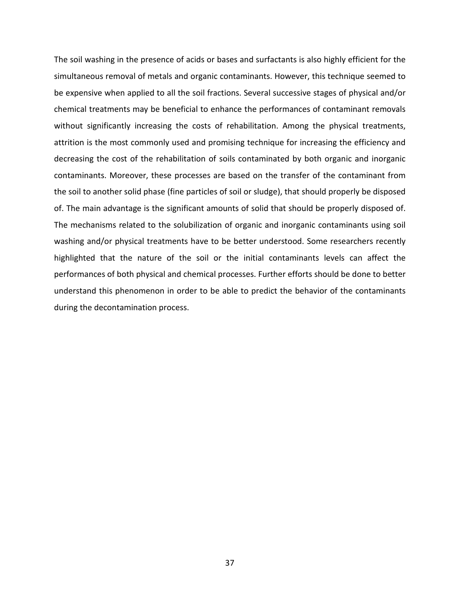Solid phase (the particles of solid to study), that should be p<br>thage is the significant amounts of solid that should be p<br>elated to the solubilization of organic and inorganic cont<br>hysical treatments have to be better und The soil washing in the presence of acids or bases and surfactants is also highly efficient for the simultaneous removal of metals and organic contaminants. However, this technique seemed to be expensive when applied to all the soil fractions. Several successive stages of physical and/or chemical treatments may be beneficial to enhance the performances of contaminant removals without significantly increasing the costs of rehabilitation. Among the physical treatments, attrition is the most commonly used and promising technique for increasing the efficiency and decreasing the cost of the rehabilitation of soils contaminated by both organic and inorganic contaminants. Moreover, these processes are based on the transfer of the contaminant from the soil to another solid phase (fine particles of soil or sludge), that should properly be disposed of. The main advantage is the significant amounts of solid that should be properly disposed of. The mechanisms related to the solubilization of organic and inorganic contaminants using soil washing and/or physical treatments have to be better understood. Some researchers recently highlighted that the nature of the soil or the initial contaminants levels can affect the performances of both physical and chemical processes. Further efforts should be done to better understand this phenomenon in order to be able to predict the behavior of the contaminants during the decontamination process.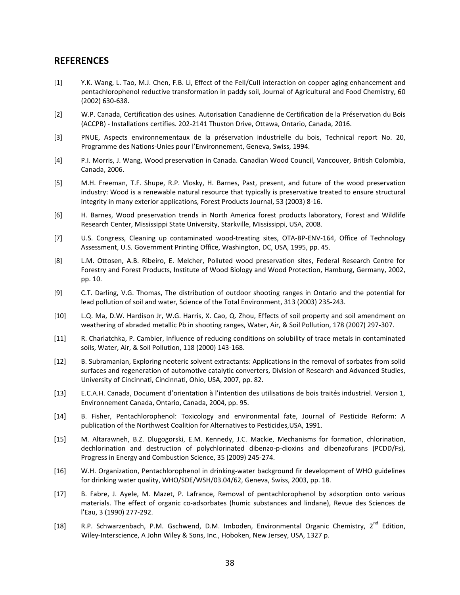## **REFERENCES**

- [1] Y.K. Wang, L. Tao, M.J. Chen, F.B. Li, Effect of the FeII/CuII interaction on copper aging enhancement and pentachlorophenol reductive transformation in paddy soil, Journal of Agricultural and Food Chemistry, 60 (2002) 630-638.
- [2] W.P. Canada, Certification des usines. Autorisation Canadienne de Certification de la Préservation du Bois (ACCPB) - Installations certifies. 202-2141 Thuston Drive, Ottawa, Ontario, Canada, 2016.
- [3] PNUE, Aspects environnementaux de la préservation industrielle du bois, Technical report No. 20, Programme des Nations-Unies pour l'Environnement, Geneva, Swiss, 1994.
- [4] P.I. Morris, J. Wang, Wood preservation in Canada. Canadian Wood Council, Vancouver, British Colombia, Canada, 2006.
- [5] M.H. Freeman, T.F. Shupe, R.P. Vlosky, H. Barnes, Past, present, and future of the wood preservation industry: Wood is a renewable natural resource that typically is preservative treated to ensure structural integrity in many exterior applications, Forest Products Journal, 53 (2003) 8-16.
- [6] H. Barnes, Wood preservation trends in North America forest products laboratory, Forest and Wildlife Research Center, Mississippi State University, Starkville, Mississippi, USA, 2008.
- [7] U.S. Congress, Cleaning up contaminated wood-treating sites, OTA-BP-ENV-164, Office of Technology Assessment, U.S. Government Printing Office, Washington, DC, USA, 1995, pp. 45.
- or a cherence interval resource that venture in the present of the cherence that and exterior applications, Forest Products lournal, 53 (2003) 8-16.<br>
Acter, Mississippi State University, Starkville, Mississippi, USA, 2008. [8] L.M. Ottosen, A.B. Ribeiro, E. Melcher, Polluted wood preservation sites, Federal Research Centre for Forestry and Forest Products, Institute of Wood Biology and Wood Protection, Hamburg, Germany, 2002, pp. 10.
- [9] C.T. Darling, V.G. Thomas, The distribution of outdoor shooting ranges in Ontario and the potential for lead pollution of soil and water, Science of the Total Environment, 313 (2003) 235-243.
- [10] L.Q. Ma, D.W. Hardison Jr, W.G. Harris, X. Cao, Q. Zhou, Effects of soil property and soil amendment on weathering of abraded metallic Pb in shooting ranges, Water, Air, & Soil Pollution, 178 (2007) 297-307.
- [11] R. Charlatchka, P. Cambier, Influence of reducing conditions on solubility of trace metals in contaminated soils, Water, Air, & Soil Pollution, 118 (2000) 143-168.
- [12] B. Subramanian, Exploring neoteric solvent extractants: Applications in the removal of sorbates from solid surfaces and regeneration of automotive catalytic converters, Division of Research and Advanced Studies, University of Cincinnati, Cincinnati, Ohio, USA, 2007, pp. 82.
- [13] E.C.A.H. Canada, Document d'orientation à l'intention des utilisations de bois traités industriel. Version 1, Environnement Canada, Ontario, Canada, 2004, pp. 95.
- [14] B. Fisher, Pentachlorophenol: Toxicology and environmental fate, Journal of Pesticide Reform: A publication of the Northwest Coalition for Alternatives to Pesticides,USA, 1991.
- [15] M. Altarawneh, B.Z. Dlugogorski, E.M. Kennedy, J.C. Mackie, Mechanisms for formation, chlorination, dechlorination and destruction of polychlorinated dibenzo-p-dioxins and dibenzofurans (PCDD/Fs), Progress in Energy and Combustion Science, 35 (2009) 245-274.
- [16] W.H. Organization, Pentachlorophenol in drinking-water background fir development of WHO guidelines for drinking water quality, WHO/SDE/WSH/03.04/62, Geneva, Swiss, 2003, pp. 18.
- [17] B. Fabre, J. Ayele, M. Mazet, P. Lafrance, Removal of pentachlorophenol by adsorption onto various materials. The effect of organic co-adsorbates (humic substances and lindane), Revue des Sciences de l'Eau, 3 (1990) 277-292.
- [18] R.P. Schwarzenbach, P.M. Gschwend, D.M. Imboden, Environmental Organic Chemistry, 2<sup>nd</sup> Edition, Wiley-Interscience, A John Wiley & Sons, Inc., Hoboken, New Jersey, USA, 1327 p.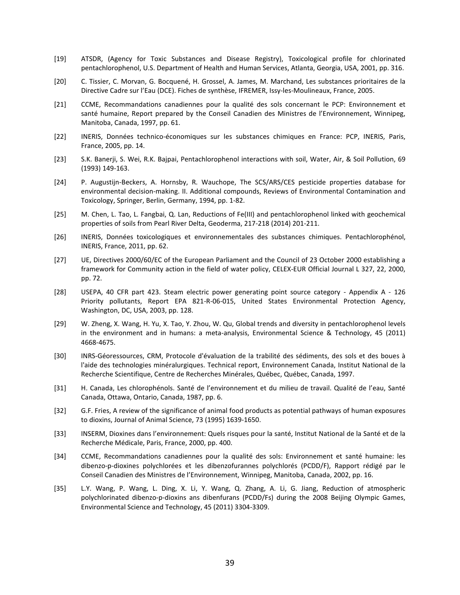- [19] ATSDR, (Agency for Toxic Substances and Disease Registry), Toxicological profile for chlorinated pentachlorophenol, U.S. Department of Health and Human Services, Atlanta, Georgia, USA, 2001, pp. 316.
- [20] C. Tissier, C. Morvan, G. Bocquené, H. Grossel, A. James, M. Marchand, Les substances prioritaires de la Directive Cadre sur l'Eau (DCE). Fiches de synthèse, IFREMER, Issy-les-Moulineaux, France, 2005.
- [21] CCME, Recommandations canadiennes pour la qualité des sols concernant le PCP: Environnement et santé humaine, Report prepared by the Conseil Canadien des Ministres de l'Environnement, Winnipeg, Manitoba, Canada, 1997, pp. 61.
- [22] INERIS, Données technico-économiques sur les substances chimiques en France: PCP, INERIS, Paris, France, 2005, pp. 14.
- [23] S.K. Banerji, S. Wei, R.K. Bajpai, Pentachlorophenol interactions with soil, Water, Air, & Soil Pollution, 69 (1993) 149-163.
- [24] P. Augustijn-Beckers, A. Hornsby, R. Wauchope, The SCS/ARS/CES pesticide properties database for environmental decision-making. II. Additional compounds, Reviews of Environmental Contamination and Toxicology, Springer, Berlin, Germany, 1994, pp. 1-82.
- [25] M. Chen, L. Tao, L. Fangbai, Q. Lan, Reductions of Fe(III) and pentachlorophenol linked with geochemical properties of soils from Pearl River Delta, Geoderma, 217-218 (2014) 201-211.
- [26] INERIS, Données toxicologiques et environnementales des substances chimiques. Pentachlorophénol, INERIS, France, 2011, pp. 62.
- [27] UE, Directives 2000/60/EC of the European Parliament and the Council of 23 October 2000 establishing a framework for Community action in the field of water policy, CELEX-EUR Official Journal L 327, 22, 2000, pp. 72.
- Fringer, Berlin, Germany, 1994, pp. 1-82.<br>
ao, L. Fangbai, Q. Lan, Reductions of Fe(III) and pentachlorophenol Isolis from Pearl River Delta, Geoderma, 217-218 (2014) 201-211.<br>
ses toxicologiques et environnementales des s [28] USEPA, 40 CFR part 423. Steam electric power generating point source category - Appendix A - 126 Priority pollutants, Report EPA 821-R-06-015, United States Environmental Protection Agency, Washington, DC, USA, 2003, pp. 128.
- [29] W. Zheng, X. Wang, H. Yu, X. Tao, Y. Zhou, W. Qu, Global trends and diversity in pentachlorophenol levels in the environment and in humans: a meta-analysis, Environmental Science & Technology, 45 (2011) 4668-4675.
- [30] INRS-Géoressources, CRM, Protocole d'évaluation de la trabilité des sédiments, des sols et des boues à l'aide des technologies minéralurgiques. Technical report, Environnement Canada, Institut National de la Recherche Scientifique, Centre de Recherches Minérales, Québec, Québec, Canada, 1997.
- [31] H. Canada, Les chlorophénols. Santé de l'environnement et du milieu de travail. Qualité de l'eau, Santé Canada, Ottawa, Ontario, Canada, 1987, pp. 6.
- [32] G.F. Fries, A review of the significance of animal food products as potential pathways of human exposures to dioxins, Journal of Animal Science, 73 (1995) 1639-1650.
- [33] INSERM, Dioxines dans l'environnement: Quels risques pour la santé, Institut National de la Santé et de la Recherche Médicale, Paris, France, 2000, pp. 400.
- [34] CCME, Recommandations canadiennes pour la qualité des sols: Environnement et santé humaine: les dibenzo-p-dioxines polychlorées et les dibenzofurannes polychlorés (PCDD/F), Rapport rédigé par le Conseil Canadien des Ministres de l'Environnement, Winnipeg, Manitoba, Canada, 2002, pp. 16.
- [35] L.Y. Wang, P. Wang, L. Ding, X. Li, Y. Wang, Q. Zhang, A. Li, G. Jiang, Reduction of atmospheric polychlorinated dibenzo-p-dioxins ans dibenfurans (PCDD/Fs) during the 2008 Beijing Olympic Games, Environmental Science and Technology, 45 (2011) 3304-3309.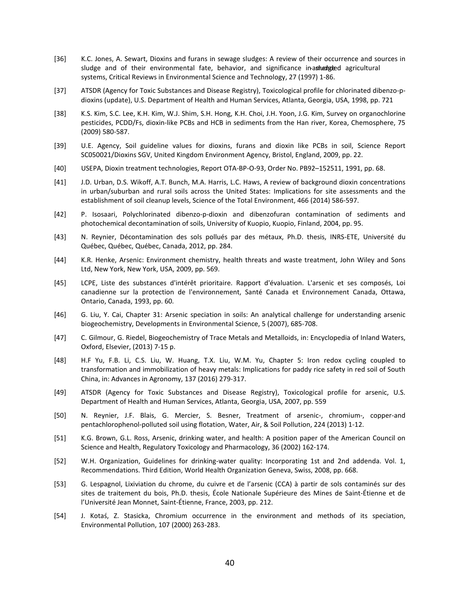- [36] K.C. Jones, A. Sewart, Dioxins and furans in sewage sludges: A review of their occurrence and sources in sludge and of their environmental fate, behavior, and significance in ashed gedenged agricultural systems, Critical Reviews in Environmental Science and Technology, 27 (1997) 1-86.
- [37] ATSDR (Agency for Toxic Substances and Disease Registry), Toxicological profile for chlorinated dibenzo-pdioxins (update), U.S. Department of Health and Human Services, Atlanta, Georgia, USA, 1998, pp. 721
- [38] K.S. Kim, S.C. Lee, K.H. Kim, W.J. Shim, S.H. Hong, K.H. Choi, J.H. Yoon, J.G. Kim, Survey on organochlorine pesticides, PCDD/Fs, dioxin-like PCBs and HCB in sediments from the Han river, Korea, Chemosphere, 75 (2009) 580-587.
- [39] U.E. Agency, Soil guideline values for dioxins, furans and dioxin like PCBs in soil, Science Report SC050021/Dioxins SGV, United Kingdom Environment Agency, Bristol, England, 2009, pp. 22.
- [40] USEPA, Dioxin treatment technologies, Report OTA-BP-O-93, Order No. PB92–152511, 1991, pp. 68.
- [41] J.D. Urban, D.S. Wikoff, A.T. Bunch, M.A. Harris, L.C. Haws, A review of background dioxin concentrations in urban/suburban and rural soils across the United States: Implications for site assessments and the establishment of soil cleanup levels, Science of the Total Environment, 466 (2014) 586-597.
- [42] P. Isosaari, Polychlorinated dibenzo-p-dioxin and dibenzofuran contamination of sediments and photochemical decontamination of soils, University of Kuopio, Kuopio, Finland, 2004, pp. 95.
- [43] N. Reynier, Décontamination des sols pollués par des métaux, Ph.D. thesis, INRS-ETE, Université du Québec, Québec, Québec, Canada, 2012, pp. 284.
- [44] K.R. Henke, Arsenic: Environment chemistry, health threats and waste treatment, John Wiley and Sons Ltd, New York, New York, USA, 2009, pp. 569.
- [45] LCPE, Liste des substances d'intérêt prioritaire. Rapport d'évaluation. L'arsenic et ses composés, Loi canadienne sur la protection de l'environnement, Santé Canada et Environnement Canada, Ottawa, Ontario, Canada, 1993, pp. 60.
- [46] G. Liu, Y. Cai, Chapter 31: Arsenic speciation in soils: An analytical challenge for understanding arsenic biogeochemistry, Developments in Environmental Science, 5 (2007), 685-708.
- [47] C. Gilmour, G. Riedel, Biogeochemistry of Trace Metals and Metalloids, in: Encyclopedia of Inland Waters, Oxford, Elsevier, (2013) 7-15 p.
- to fiscal change levels, Science of the Total Environment, 466 (2014)<br>
Polychlorinated dibenzo-p-dioxin and dibenzofuran contaminatial<br>
Polychlorinated dibenzo-p-dioxin and dibenzofuran contaminatial<br>
all decontamination o [48] H.F Yu, F.B. Li, C.S. Liu, W. Huang, T.X. Liu, W.M. Yu, Chapter 5: Iron redox cycling coupled to transformation and immobilization of heavy metals: Implications for paddy rice safety in red soil of South China, in: Advances in Agronomy, 137 (2016) 279-317.
- [49] ATSDR (Agency for Toxic Substances and Disease Registry), Toxicological profile for arsenic, U.S. Department of Health and Human Services, Atlanta, Georgia, USA, 2007, pp. 559
- [50] N. Reynier, J.F. Blais, G. Mercier, S. Besner, Treatment of arsenic-, chromium-, copper-and pentachlorophenol-polluted soil using flotation, Water, Air, & Soil Pollution, 224 (2013) 1-12.
- [51] K.G. Brown, G.L. Ross, Arsenic, drinking water, and health: A position paper of the American Council on Science and Health, Regulatory Toxicology and Pharmacology, 36 (2002) 162-174.
- [52] W.H. Organization, Guidelines for drinking-water quality: Incorporating 1st and 2nd addenda. Vol. 1, Recommendations. Third Edition, World Health Organization Geneva, Swiss, 2008, pp. 668.
- [53] G. Lespagnol, Lixiviation du chrome, du cuivre et de l'arsenic (CCA) à partir de sols contaminés sur des sites de traitement du bois, Ph.D. thesis, École Nationale Supérieure des Mines de Saint-Étienne et de l'Université Jean Monnet, Saint-Étienne, France, 2003, pp. 212.
- [54] J. Kotaś, Z. Stasicka, Chromium occurrence in the environment and methods of its speciation, Environmental Pollution, 107 (2000) 263-283.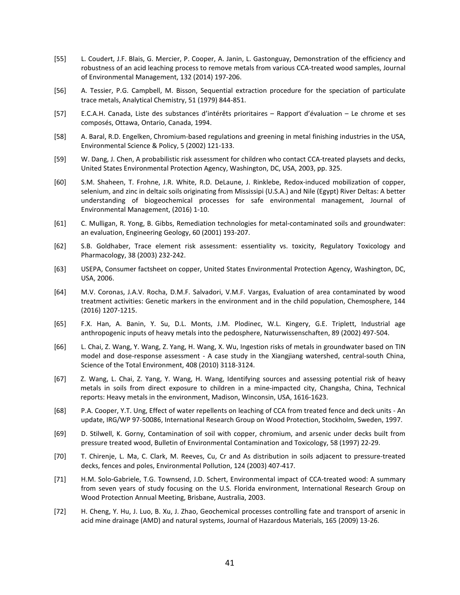- [55] L. Coudert, J.F. Blais, G. Mercier, P. Cooper, A. Janin, L. Gastonguay, Demonstration of the efficiency and robustness of an acid leaching process to remove metals from various CCA-treated wood samples, Journal of Environmental Management, 132 (2014) 197-206.
- [56] A. Tessier, P.G. Campbell, M. Bisson, Sequential extraction procedure for the speciation of particulate trace metals, Analytical Chemistry, 51 (1979) 844-851.
- [57] E.C.A.H. Canada, Liste des substances d'intérêts prioritaires Rapport d'évaluation Le chrome et ses composés, Ottawa, Ontario, Canada, 1994.
- [58] A. Baral, R.D. Engelken, Chromium-based regulations and greening in metal finishing industries in the USA, Environmental Science & Policy, 5 (2002) 121-133.
- [59] W. Dang, J. Chen, A probabilistic risk assessment for children who contact CCA-treated playsets and decks, United States Environmental Protection Agency, Washington, DC, USA, 2003, pp. 325.
- [60] S.M. Shaheen, T. Frohne, J.R. White, R.D. DeLaune, J. Rinklebe, Redox-induced mobilization of copper, selenium, and zinc in deltaic soils originating from Mississipi (U.S.A.) and Nile (Egypt) River Deltas: A better understanding of biogeochemical processes for safe environmental management, Journal of Environmental Management, (2016) 1-10.
- [61] C. Mulligan, R. Yong, B. Gibbs, Remediation technologies for metal-contaminated soils and groundwater: an evaluation, Engineering Geology, 60 (2001) 193-207.
- [62] S.B. Goldhaber, Trace element risk assessment: essentiality vs. toxicity, Regulatory Toxicology and Pharmacology, 38 (2003) 232-242.
- [63] USEPA, Consumer factsheet on copper, United States Environmental Protection Agency, Washington, DC, USA, 2006.
- g of biogeochemical processes for safe environmental management, (2016) 1-10.<br>
Il Management, (2016) 1-10.<br>
Il Management, (2016) 1-10.<br>
Compare the environmental management (See Environmental management, (2016) 1-10.<br>
Fig [64] M.V. Coronas, J.A.V. Rocha, D.M.F. Salvadori, V.M.F. Vargas, Evaluation of area contaminated by wood treatment activities: Genetic markers in the environment and in the child population, Chemosphere, 144 (2016) 1207-1215.
- [65] F.X. Han, A. Banin, Y. Su, D.L. Monts, J.M. Plodinec, W.L. Kingery, G.E. Triplett, Industrial age anthropogenic inputs of heavy metals into the pedosphere, Naturwissenschaften, 89 (2002) 497-504.
- [66] L. Chai, Z. Wang, Y. Wang, Z. Yang, H. Wang, X. Wu, Ingestion risks of metals in groundwater based on TIN model and dose-response assessment - A case study in the Xiangjiang watershed, central-south China, Science of the Total Environment, 408 (2010) 3118-3124.
- [67] Z. Wang, L. Chai, Z. Yang, Y. Wang, H. Wang, Identifying sources and assessing potential risk of heavy metals in soils from direct exposure to children in a mine-impacted city, Changsha, China, Technical reports: Heavy metals in the environment, Madison, Winconsin, USA, 1616-1623.
- [68] P.A. Cooper, Y.T. Ung, Effect of water repellents on leaching of CCA from treated fence and deck units An update, IRG/WP 97-50086, International Research Group on Wood Protection, Stockholm, Sweden, 1997.
- [69] D. Stilwell, K. Gorny, Contamination of soil with copper, chromium, and arsenic under decks built from pressure treated wood, Bulletin of Environmental Contamination and Toxicology, 58 (1997) 22-29.
- [70] T. Chirenje, L. Ma, C. Clark, M. Reeves, Cu, Cr and As distribution in soils adjacent to pressure-treated decks, fences and poles, Environmental Pollution, 124 (2003) 407-417.
- [71] H.M. Solo-Gabriele, T.G. Townsend, J.D. Schert, Environmental impact of CCA-treated wood: A summary from seven years of study focusing on the U.S. Florida environment, International Research Group on Wood Protection Annual Meeting, Brisbane, Australia, 2003.
- [72] H. Cheng, Y. Hu, J. Luo, B. Xu, J. Zhao, Geochemical processes controlling fate and transport of arsenic in acid mine drainage (AMD) and natural systems, Journal of Hazardous Materials, 165 (2009) 13-26.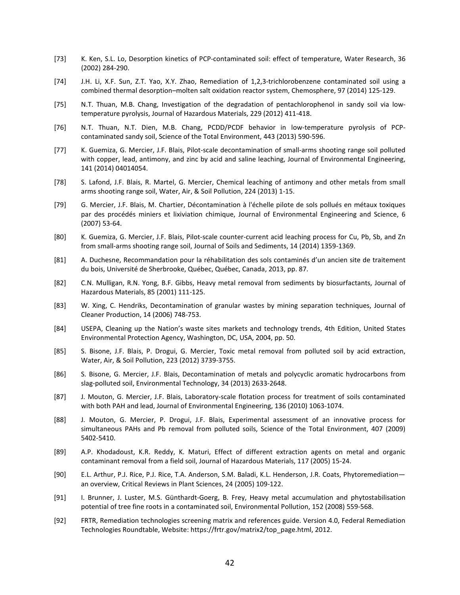- [73] K. Ken, S.L. Lo, Desorption kinetics of PCP-contaminated soil: effect of temperature, Water Research, 36 (2002) 284-290.
- [74] J.H. Li, X.F. Sun, Z.T. Yao, X.Y. Zhao, Remediation of 1,2,3-trichlorobenzene contaminated soil using a combined thermal desorption–molten salt oxidation reactor system, Chemosphere, 97 (2014) 125-129.
- [75] N.T. Thuan, M.B. Chang, Investigation of the degradation of pentachlorophenol in sandy soil via lowtemperature pyrolysis, Journal of Hazardous Materials, 229 (2012) 411-418.
- [76] N.T. Thuan, N.T. Dien, M.B. Chang, PCDD/PCDF behavior in low-temperature pyrolysis of PCPcontaminated sandy soil, Science of the Total Environment, 443 (2013) 590-596.
- [77] K. Guemiza, G. Mercier, J.F. Blais, Pilot-scale decontamination of small-arms shooting range soil polluted with copper, lead, antimony, and zinc by acid and saline leaching, Journal of Environmental Engineering, 141 (2014) 04014054.
- [78] S. Lafond, J.F. Blais, R. Martel, G. Mercier, Chemical leaching of antimony and other metals from small arms shooting range soil, Water, Air, & Soil Pollution, 224 (2013) 1-15.
- F. Blais, M. Chartier, Décontamination à l'échelle pilote de sols polls<br>
F. Blais, M. Chartier, Décontamination à l'échelle pilote de sols polls<br>
S. Mercier, J.F. Blais, Pilot-scale counter-current add leaching proces<br>
S. [79] G. Mercier, J.F. Blais, M. Chartier, Décontamination à l'échelle pilote de sols pollués en métaux toxiques par des procédés miniers et lixiviation chimique, Journal of Environmental Engineering and Science, 6 (2007) 53-64.
- [80] K. Guemiza, G. Mercier, J.F. Blais, Pilot-scale counter-current acid leaching process for Cu, Pb, Sb, and Zn from small-arms shooting range soil, Journal of Soils and Sediments, 14 (2014) 1359-1369.
- [81] A. Duchesne, Recommandation pour la réhabilitation des sols contaminés d'un ancien site de traitement du bois, Université de Sherbrooke, Québec, Québec, Canada, 2013, pp. 87.
- [82] C.N. Mulligan, R.N. Yong, B.F. Gibbs, Heavy metal removal from sediments by biosurfactants, Journal of Hazardous Materials, 85 (2001) 111-125.
- [83] W. Xing, C. Hendriks, Decontamination of granular wastes by mining separation techniques, Journal of Cleaner Production, 14 (2006) 748-753.
- [84] USEPA, Cleaning up the Nation's waste sites markets and technology trends, 4th Edition, United States Environmental Protection Agency, Washington, DC, USA, 2004, pp. 50.
- [85] S. Bisone, J.F. Blais, P. Drogui, G. Mercier, Toxic metal removal from polluted soil by acid extraction, Water, Air, & Soil Pollution, 223 (2012) 3739-3755.
- [86] S. Bisone, G. Mercier, J.F. Blais, Decontamination of metals and polycyclic aromatic hydrocarbons from slag-polluted soil, Environmental Technology, 34 (2013) 2633-2648.
- [87] J. Mouton, G. Mercier, J.F. Blais, Laboratory-scale flotation process for treatment of soils contaminated with both PAH and lead, Journal of Environmental Engineering, 136 (2010) 1063-1074.
- [88] J. Mouton, G. Mercier, P. Drogui, J.F. Blais, Experimental assessment of an innovative process for simultaneous PAHs and Pb removal from polluted soils, Science of the Total Environment, 407 (2009) 5402-5410.
- [89] A.P. Khodadoust, K.R. Reddy, K. Maturi, Effect of different extraction agents on metal and organic contaminant removal from a field soil, Journal of Hazardous Materials, 117 (2005) 15-24.
- [90] E.L. Arthur, P.J. Rice, P.J. Rice, T.A. Anderson, S.M. Baladi, K.L. Henderson, J.R. Coats, Phytoremediation an overview, Critical Reviews in Plant Sciences, 24 (2005) 109-122.
- [91] I. Brunner, J. Luster, M.S. Günthardt-Goerg, B. Frey, Heavy metal accumulation and phytostabilisation potential of tree fine roots in a contaminated soil, Environmental Pollution, 152 (2008) 559-568.
- [92] FRTR, Remediation technologies screening matrix and references guide. Version 4.0, Federal Remediation Technologies Roundtable, Website: https://frtr.gov/matrix2/top\_page.html, 2012.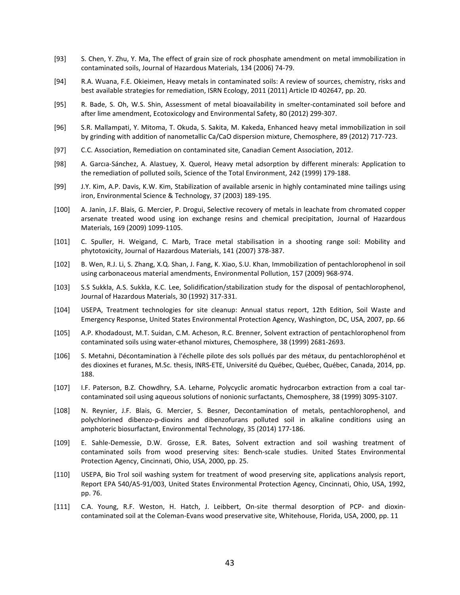- [93] S. Chen, Y. Zhu, Y. Ma, The effect of grain size of rock phosphate amendment on metal immobilization in contaminated soils, Journal of Hazardous Materials, 134 (2006) 74-79.
- [94] R.A. Wuana, F.E. Okieimen, Heavy metals in contaminated soils: A review of sources, chemistry, risks and best available strategies for remediation, ISRN Ecology, 2011 (2011) Article ID 402647, pp. 20.
- [95] R. Bade, S. Oh, W.S. Shin, Assessment of metal bioavailability in smelter-contaminated soil before and after lime amendment, Ecotoxicology and Environmental Safety, 80 (2012) 299-307.
- [96] S.R. Mallampati, Y. Mitoma, T. Okuda, S. Sakita, M. Kakeda, Enhanced heavy metal immobilization in soil by grinding with addition of nanometallic Ca/CaO dispersion mixture, Chemosphere, 89 (2012) 717-723.
- [97] C.C. Association, Remediation on contaminated site, Canadian Cement Association, 2012.
- [98] A. Garcıa-Sánchez, A. Alastuey, X. Querol, Heavy metal adsorption by different minerals: Application to the remediation of polluted soils, Science of the Total Environment, 242 (1999) 179-188.
- [99] J.Y. Kim, A.P. Davis, K.W. Kim, Stabilization of available arsenic in highly contaminated mine tailings using iron, Environmental Science & Technology, 37 (2003) 189-195.
- mental Science & Technology, 37 (2003) 189-195.<br>
Blais, G. Mercier, P. Drogui, Selective recovery of metals in leachate thed wood using ion exchange resins and chemical precipitation, a (2009) 1099-1105.<br>
. Weigand, C. Mar [100] A. Janin, J.F. Blais, G. Mercier, P. Drogui, Selective recovery of metals in leachate from chromated copper arsenate treated wood using ion exchange resins and chemical precipitation, Journal of Hazardous Materials, 169 (2009) 1099-1105.
- [101] C. Spuller, H. Weigand, C. Marb, Trace metal stabilisation in a shooting range soil: Mobility and phytotoxicity, Journal of Hazardous Materials, 141 (2007) 378-387.
- [102] B. Wen, R.J. Li, S. Zhang, X.Q. Shan, J. Fang, K. Xiao, S.U. Khan, Immobilization of pentachlorophenol in soil using carbonaceous material amendments, Environmental Pollution, 157 (2009) 968-974.
- [103] S.S Sukkla, A.S. Sukkla, K.C. Lee, Solidification/stabilization study for the disposal of pentachlorophenol, Journal of Hazardous Materials, 30 (1992) 317-331.
- [104] USEPA, Treatment technologies for site cleanup: Annual status report, 12th Edition, Soil Waste and Emergency Response, United States Environmental Protection Agency, Washington, DC, USA, 2007, pp. 66
- [105] A.P. Khodadoust, M.T. Suidan, C.M. Acheson, R.C. Brenner, Solvent extraction of pentachlorophenol from contaminated soils using water-ethanol mixtures, Chemosphere, 38 (1999) 2681-2693.
- [106] S. Metahni, Décontamination à l'échelle pilote des sols pollués par des métaux, du pentachlorophénol et des dioxines et furanes, M.Sc. thesis, INRS-ETE, Université du Québec, Québec, Québec, Canada, 2014, pp. 188.
- [107] I.F. Paterson, B.Z. Chowdhry, S.A. Leharne, Polycyclic aromatic hydrocarbon extraction from a coal tarcontaminated soil using aqueous solutions of nonionic surfactants, Chemosphere, 38 (1999) 3095-3107.
- [108] N. Reynier, J.F. Blais, G. Mercier, S. Besner, Decontamination of metals, pentachlorophenol, and polychlorined dibenzo-p-dioxins and dibenzofurans polluted soil in alkaline conditions using an amphoteric biosurfactant, Environmental Technology, 35 (2014) 177-186.
- [109] E. Sahle-Demessie, D.W. Grosse, E.R. Bates, Solvent extraction and soil washing treatment of contaminated soils from wood preserving sites: Bench-scale studies. United States Environmental Protection Agency, Cincinnati, Ohio, USA, 2000, pp. 25.
- [110] USEPA, Bio Trol soil washing system for treatment of wood preserving site, applications analysis report, Report EPA 540/A5-91/003, United States Environmental Protection Agency, Cincinnati, Ohio, USA, 1992, pp. 76.
- [111] C.A. Young, R.F. Weston, H. Hatch, J. Leibbert, On-site thermal desorption of PCP- and dioxincontaminated soil at the Coleman-Evans wood preservative site, Whitehouse, Florida, USA, 2000, pp. 11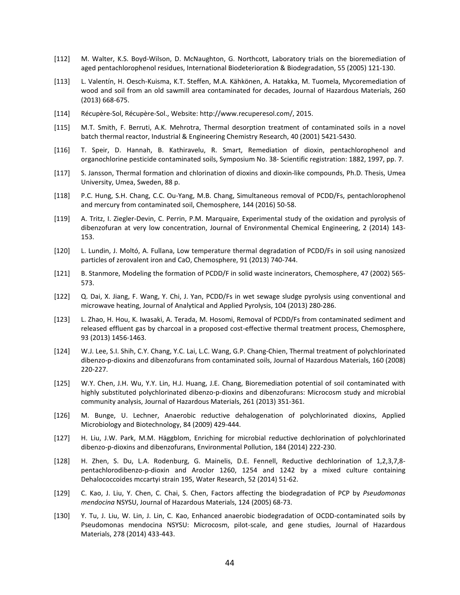- [112] M. Walter, K.S. Boyd-Wilson, D. McNaughton, G. Northcott, Laboratory trials on the bioremediation of aged pentachlorophenol residues, International Biodeterioration & Biodegradation, 55 (2005) 121-130.
- [113] L. Valentín, H. Oesch-Kuisma, K.T. Steffen, M.A. Kähkönen, A. Hatakka, M. Tuomela, Mycoremediation of wood and soil from an old sawmill area contaminated for decades, Journal of Hazardous Materials, 260 (2013) 668-675.
- [114] Récupère-Sol, Récupère-Sol., Website: http://www.recuperesol.com/, 2015.
- [115] M.T. Smith, F. Berruti, A.K. Mehrotra, Thermal desorption treatment of contaminated soils in a novel batch thermal reactor, Industrial & Engineering Chemistry Research, 40 (2001) 5421-5430.
- [116] T. Speir, D. Hannah, B. Kathiravelu, R. Smart, Remediation of dioxin, pentachlorophenol and organochlorine pesticide contaminated soils, Symposium No. 38- Scientific registration: 1882, 1997, pp. 7.
- [117] S. Jansson, Thermal formation and chlorination of dioxins and dioxin-like compounds, Ph.D. Thesis, Umea University, Umea, Sweden, 88 p.
- [118] P.C. Hung, S.H. Chang, C.C. Ou-Yang, M.B. Chang, Simultaneous removal of PCDD/Fs, pentachlorophenol and mercury from contaminated soil, Chemosphere, 144 (2016) 50-58.
- H. Chang, C.C. Ou-Yang, M.B. Chang, Simultaneous removal of PCDD<br>from contaminated soil, Chemosphere, 144 (2016) 50-58.<br>gler-Devin, C. Perrin, P.M. Marquaire, Experimental study of the ox<br>at very low concentration, Journal [119] A. Tritz, I. Ziegler-Devin, C. Perrin, P.M. Marquaire, Experimental study of the oxidation and pyrolysis of dibenzofuran at very low concentration, Journal of Environmental Chemical Engineering, 2 (2014) 143- 153.
- [120] L. Lundin, J. Moltó, A. Fullana, Low temperature thermal degradation of PCDD/Fs in soil using nanosized particles of zerovalent iron and CaO, Chemosphere, 91 (2013) 740-744.
- [121] B. Stanmore, Modeling the formation of PCDD/F in solid waste incinerators, Chemosphere, 47 (2002) 565- 573.
- [122] Q. Dai, X. Jiang, F. Wang, Y. Chi, J. Yan, PCDD/Fs in wet sewage sludge pyrolysis using conventional and microwave heating, Journal of Analytical and Applied Pyrolysis, 104 (2013) 280-286.
- [123] L. Zhao, H. Hou, K. Iwasaki, A. Terada, M. Hosomi, Removal of PCDD/Fs from contaminated sediment and released effluent gas by charcoal in a proposed cost-effective thermal treatment process, Chemosphere, 93 (2013) 1456-1463.
- [124] W.J. Lee, S.I. Shih, C.Y. Chang, Y.C. Lai, L.C. Wang, G.P. Chang-Chien, Thermal treatment of polychlorinated dibenzo-p-dioxins and dibenzofurans from contaminated soils, Journal of Hazardous Materials, 160 (2008) 220-227.
- [125] W.Y. Chen, J.H. Wu, Y.Y. Lin, H.J. Huang, J.E. Chang, Bioremediation potential of soil contaminated with highly substituted polychlorinated dibenzo-p-dioxins and dibenzofurans: Microcosm study and microbial community analysis, Journal of Hazardous Materials, 261 (2013) 351-361.
- [126] M. Bunge, U. Lechner, Anaerobic reductive dehalogenation of polychlorinated dioxins, Applied Microbiology and Biotechnology, 84 (2009) 429-444.
- [127] H. Liu, J.W. Park, M.M. Häggblom, Enriching for microbial reductive dechlorination of polychlorinated dibenzo-p-dioxins and dibenzofurans, Environmental Pollution, 184 (2014) 222-230.
- [128] H. Zhen, S. Du, L.A. Rodenburg, G. Mainelis, D.E. Fennell, Reductive dechlorination of 1,2,3,7,8 pentachlorodibenzo-p-dioxin and Aroclor 1260, 1254 and 1242 by a mixed culture containing Dehalococcoides mccartyi strain 195, Water Research, 52 (2014) 51-62.
- [129] C. Kao, J. Liu, Y. Chen, C. Chai, S. Chen, Factors affecting the biodegradation of PCP by *Pseudomonas mendocina* NSYSU, Journal of Hazardous Materials, 124 (2005) 68-73.
- [130] Y. Tu, J. Liu, W. Lin, J. Lin, C. Kao, Enhanced anaerobic biodegradation of OCDD-contaminated soils by Pseudomonas mendocina NSYSU: Microcosm, pilot-scale, and gene studies, Journal of Hazardous Materials, 278 (2014) 433-443.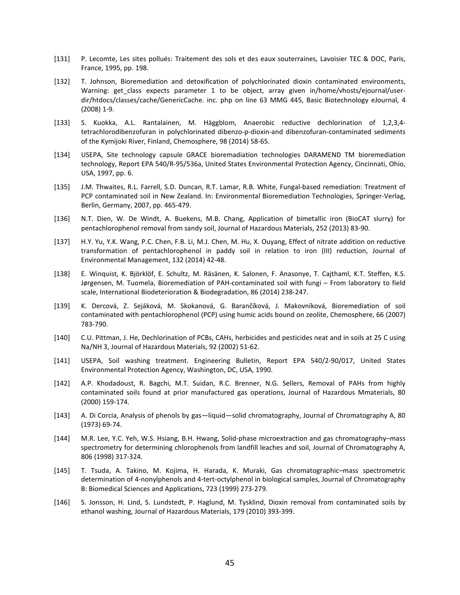- [131] P. Lecomte, Les sites pollués: Traitement des sols et des eaux souterraines, Lavoisier TEC & DOC, Paris, France, 1995, pp. 198.
- [132] T. Johnson, Bioremediation and detoxification of polychlorinated dioxin contaminated environments, Warning: get class expects parameter 1 to be object, array given in/home/vhosts/ejournal/userdir/htdocs/classes/cache/GenericCache. inc. php on line 63 MMG 445, Basic Biotechnology eJournal, 4 (2008) 1-9.
- [133] S. Kuokka, A.L. Rantalainen, M. Häggblom, Anaerobic reductive dechlorination of 1,2,3,4 tetrachlorodibenzofuran in polychlorinated dibenzo-p-dioxin-and dibenzofuran-contaminated sediments of the Kymijoki River, Finland, Chemosphere, 98 (2014) 58-65.
- [134] USEPA, Site technology capsule GRACE bioremadiation technologies DARAMEND TM bioremediation technology, Report EPA 540/R-95/536a, United States Environmental Protection Agency, Cincinnati, Ohio, USA, 1997, pp. 6.
- [135] J.M. Thwaites, R.L. Farrell, S.D. Duncan, R.T. Lamar, R.B. White, Fungal-based remediation: Treatment of PCP contaminated soil in New Zealand. In: Environmental Bioremediation Technologies, Springer-Verlag, Berlin, Germany, 2007, pp. 465-479.
- [136] N.T. Dien, W. De Windt, A. Buekens, M.B. Chang, Application of bimetallic iron (BioCAT slurry) for pentachlorophenol removal from sandy soil, Journal of Hazardous Materials, 252 (2013) 83-90.
- [137] H.Y. Yu, Y.K. Wang, P.C. Chen, F.B. Li, M.J. Chen, M. Hu, X. Ouyang, Effect of nitrate addition on reductive transformation of pentachlorophenol in paddy soil in relation to iron (III) reduction, Journal of Environmental Management, 132 (2014) 42-48.
- aated soil in New Zealand. In: Environmental Bioremediation Techna<br>my, 2007, pp. 465-479.<br>
7. De Windt, A. Buekens, M.B. Chang, Application of bimetallic in<br>
henol removal from sandy soil, Journal of Hazardous Materials, 2 [138] E. Winquist, K. Björklöf, E. Schultz, M. Räsänen, K. Salonen, F. Anasonye, T. Cajthaml, K.T. Steffen, K.S. Jørgensen, M. Tuomela, Bioremediation of PAH-contaminated soil with fungi – From laboratory to field scale, International Biodeterioration & Biodegradation, 86 (2014) 238-247.
- [139] K. Dercová, Z. Sejáková, M. Skokanová, G. Barančíková, J. Makovníková, Bioremediation of soil contaminated with pentachlorophenol (PCP) using humic acids bound on zeolite, Chemosphere, 66 (2007) 783-790.
- [140] C.U. Pittman, J. He, Dechlorination of PCBs, CAHs, herbicides and pesticides neat and in soils at 25 C using Na/NH 3, Journal of Hazardous Materials, 92 (2002) 51-62.
- [141] USEPA, Soil washing treatment. Engineering Bulletin, Report EPA 540/2-90/017, United States Environmental Protection Agency, Washington, DC, USA, 1990.
- [142] A.P. Khodadoust, R. Bagchi, M.T. Suidan, R.C. Brenner, N.G. Sellers, Removal of PAHs from highly contaminated soils found at prior manufactured gas operations, Journal of Hazardous Mmaterials, 80 (2000) 159-174.
- [143] A. Di Corcia, Analysis of phenols by gas—liquid—solid chromatography, Journal of Chromatography A, 80 (1973) 69-74.
- [144] M.R. Lee, Y.C. Yeh, W.S. Hsiang, B.H. Hwang, Solid-phase microextraction and gas chromatography–mass spectrometry for determining chlorophenols from landfill leaches and soil, Journal of Chromatography A, 806 (1998) 317-324.
- [145] T. Tsuda, A. Takino, M. Kojima, H. Harada, K. Muraki, Gas chromatographic–mass spectrometric determination of 4-nonylphenols and 4-tert-octylphenol in biological samples, Journal of Chromatography B: Biomedical Sciences and Applications, 723 (1999) 273-279.
- [146] S. Jonsson, H. Lind, S. Lundstedt, P. Haglund, M. Tysklind, Dioxin removal from contaminated soils by ethanol washing, Journal of Hazardous Materials, 179 (2010) 393-399.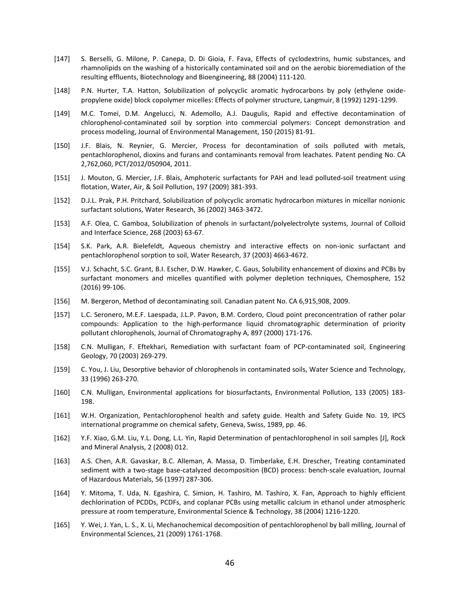- [147] S. Berselli, G. Milone, P. Canepa, D. Di Gioia, F. Fava, Effects of cyclodextrins, humic substances, and rhamnolipids on the washing of a historically contaminated soil and on the aerobic bioremediation of the resulting effluents, Biotechnology and Bioengineering, 88 (2004) 111-120.
- [148] P.N. Hurter, T.A. Hatton, Solubilization of polycyclic aromatic hydrocarbons by poly (ethylene oxidepropylene oxide) block copolymer micelles: Effects of polymer structure, Langmuir, 8 (1992) 1291-1299.
- [149] M.C. Tomei, D.M. Angelucci, N. Ademollo, A.J. Daugulis, Rapid and effective decontamination of chlorophenol-contaminated soil by sorption into commercial polymers: Concept demonstration and process modeling, Journal of Environmental Management, 150 (2015) 81-91.
- [150] J.F. Blais, N. Reynier, G. Mercier, Process for decontamination of soils polluted with metals, pentachlorophenol, dioxins and furans and contaminants removal from leachates. Patent pending No. CA 2,762,060, PCT/2012/050904, 2011.
- [151] J. Mouton, G. Mercier, J.F. Blais, Amphoteric surfactants for PAH and lead polluted-soil treatment using flotation, Water, Air, & Soil Pollution, 197 (2009) 381-393.
- [152] D.J.L. Prak, P.H. Pritchard, Solubilization of polycyclic aromatic hydrocarbon mixtures in micellar nonionic surfactant solutions, Water Research, 36 (2002) 3463-3472.
- [153] A.F. Olea, C. Gamboa, Solubilization of phenols in surfactant/polyelectrolyte systems, Journal of Colloid and Interface Science, 268 (2003) 63-67.
- [154] S.K. Park, A.R. Bielefeldt, Aqueous chemistry and interactive effects on non-ionic surfactant and pentachlorophenol sorption to soil, Water Research, 37 (2003) 4663-4672.
- [155] V.J. Schacht, S.C. Grant, B.I. Escher, D.W. Hawker, C. Gaus, Solubility enhancement of dioxins and PCBs by surfactant monomers and micelles quantified with polymer depletion techniques, Chemosphere, 152 (2016) 99-106.
- [156] M. Bergeron, Method of decontaminating soil. Canadian patent No. CA 6,915,908, 2009.
- H. Pritchard, Solubilization of polycyclic aromatic hydrocarbon mixtu<br>utions, Water Research, 36 (2002) 3463-3472.<br>Gamboa, Solubilization of phenols in surfactant/polyelectrolyte syst<br>Science, 268 (2003) 63-67.<br>R. Bielefel [157] L.C. Seronero, M.E.F. Laespada, J.L.P. Pavon, B.M. Cordero, Cloud point preconcentration of rather polar compounds: Application to the high-performance liquid chromatographic determination of priority pollutant chlorophenols, Journal of Chromatography A, 897 (2000) 171-176.
- [158] C.N. Mulligan, F. Eftekhari, Remediation with surfactant foam of PCP-contaminated soil, Engineering Geology, 70 (2003) 269-279.
- [159] C. You, J. Liu, Desorptive behavior of chlorophenols in contaminated soils, Water Science and Technology, 33 (1996) 263-270.
- [160] C.N. Mulligan, Environmental applications for biosurfactants, Environmental Pollution, 133 (2005) 183- 198.
- [161] W.H. Organization, Pentachlorophenol health and safety guide. Health and Safety Guide No. 19, IPCS international programme on chemical safety, Geneva, Swiss, 1989, pp. 46.
- [162] Y.F. Xiao, G.M. Liu, Y.L. Dong, L.L. Yin, Rapid Determination of pentachlorophenol in soil samples [J], Rock and Mineral Analysis, 2 (2008) 012.
- [163] A.S. Chen, A.R. Gavaskar, B.C. Alleman, A. Massa, D. Timberlake, E.H. Drescher, Treating contaminated sediment with a two-stage base-catalyzed decomposition (BCD) process: bench-scale evaluation, Journal of Hazardous Materials, 56 (1997) 287-306.
- [164] Y. Mitoma, T. Uda, N. Egashira, C. Simion, H. Tashiro, M. Tashiro, X. Fan, Approach to highly efficient dechlorination of PCDDs, PCDFs, and coplanar PCBs using metallic calcium in ethanol under atmospheric pressure at room temperature, Environmental Science & Technology, 38 (2004) 1216-1220.
- [165] Y. Wei, J. Yan, L. S., X. Li, Mechanochemical decomposition of pentachlorophenol by ball milling, Journal of Environmental Sciences, 21 (2009) 1761-1768.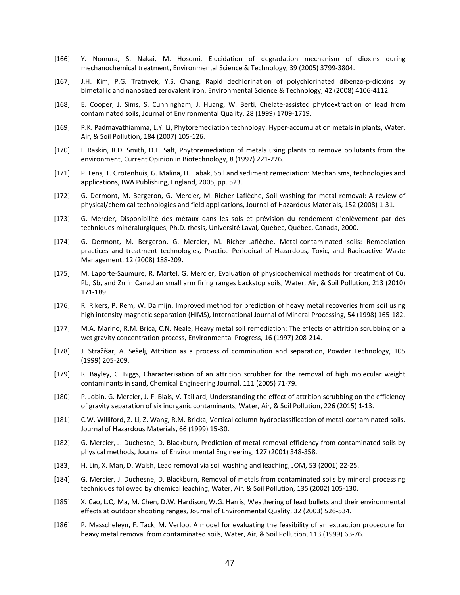- [166] Y. Nomura, S. Nakai, M. Hosomi, Elucidation of degradation mechanism of dioxins during mechanochemical treatment, Environmental Science & Technology, 39 (2005) 3799-3804.
- [167] J.H. Kim, P.G. Tratnyek, Y.S. Chang, Rapid dechlorination of polychlorinated dibenzo-p-dioxins by bimetallic and nanosized zerovalent iron, Environmental Science & Technology, 42 (2008) 4106-4112.
- [168] E. Cooper, J. Sims, S. Cunningham, J. Huang, W. Berti, Chelate-assisted phytoextraction of lead from contaminated soils, Journal of Environmental Quality, 28 (1999) 1709-1719.
- [169] P.K. Padmavathiamma, L.Y. Li, Phytoremediation technology: Hyper-accumulation metals in plants, Water, Air, & Soil Pollution, 184 (2007) 105-126.
- [170] I. Raskin, R.D. Smith, D.E. Salt, Phytoremediation of metals using plants to remove pollutants from the environment, Current Opinion in Biotechnology, 8 (1997) 221-226.
- [171] P. Lens, T. Grotenhuis, G. Malina, H. Tabak, Soil and sediment remediation: Mechanisms, technologies and applications, IWA Publishing, England, 2005, pp. 523.
- [172] G. Dermont, M. Bergeron, G. Mercier, M. Richer-Laflèche, Soil washing for metal removal: A review of physical/chemical technologies and field applications, Journal of Hazardous Materials, 152 (2008) 1-31.
- [173] G. Mercier, Disponibilité des métaux dans les sols et prévision du rendement d'enlèvement par des techniques minéralurgiques, Ph.D. thesis, Université Laval, Québec, Québec, Canada, 2000.
- M. Bergeron, G. Mercier, M. Richer-Laflèche, Soil washing for metaical technologies and field applications, Journal of Hazardous Materi<br>Disponibilité des métaux dans les sols et prévision du rendement<br>inéralurgiques, Ph.D. [174] G. Dermont, M. Bergeron, G. Mercier, M. Richer-Laflèche, Metal-contaminated soils: Remediation practices and treatment technologies, Practice Periodical of Hazardous, Toxic, and Radioactive Waste Management, 12 (2008) 188-209.
- [175] M. Laporte-Saumure, R. Martel, G. Mercier, Evaluation of physicochemical methods for treatment of Cu, Pb, Sb, and Zn in Canadian small arm firing ranges backstop soils, Water, Air, & Soil Pollution, 213 (2010) 171-189.
- [176] R. Rikers, P. Rem, W. Dalmijn, Improved method for prediction of heavy metal recoveries from soil using high intensity magnetic separation (HIMS), International Journal of Mineral Processing, 54 (1998) 165-182.
- [177] M.A. Marino, R.M. Brica, C.N. Neale, Heavy metal soil remediation: The effects of attrition scrubbing on a wet gravity concentration process, Environmental Progress, 16 (1997) 208-214.
- [178] J. Stražišar, A. Sešelj, Attrition as a process of comminution and separation, Powder Technology, 105 (1999) 205-209.
- [179] R. Bayley, C. Biggs, Characterisation of an attrition scrubber for the removal of high molecular weight contaminants in sand, Chemical Engineering Journal, 111 (2005) 71-79.
- [180] P. Jobin, G. Mercier, J.-F. Blais, V. Taillard, Understanding the effect of attrition scrubbing on the efficiency of gravity separation of six inorganic contaminants, Water, Air, & Soil Pollution, 226 (2015) 1-13.
- [181] C.W. Williford, Z. Li, Z. Wang, R.M. Bricka, Vertical column hydroclassification of metal-contaminated soils, Journal of Hazardous Materials, 66 (1999) 15-30.
- [182] G. Mercier, J. Duchesne, D. Blackburn, Prediction of metal removal efficiency from contaminated soils by physical methods, Journal of Environmental Engineering, 127 (2001) 348-358.
- [183] H. Lin, X. Man, D. Walsh, Lead removal via soil washing and leaching, JOM, 53 (2001) 22-25.
- [184] G. Mercier, J. Duchesne, D. Blackburn, Removal of metals from contaminated soils by mineral processing techniques followed by chemical leaching, Water, Air, & Soil Pollution, 135 (2002) 105-130.
- [185] X. Cao, L.Q. Ma, M. Chen, D.W. Hardison, W.G. Harris, Weathering of lead bullets and their environmental effects at outdoor shooting ranges, Journal of Environmental Quality, 32 (2003) 526-534.
- [186] P. Masscheleyn, F. Tack, M. Verloo, A model for evaluating the feasibility of an extraction procedure for heavy metal removal from contaminated soils, Water, Air, & Soil Pollution, 113 (1999) 63-76.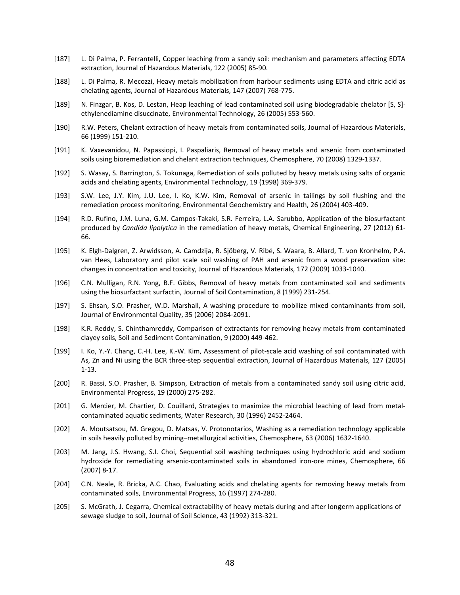- [187] L. Di Palma, P. Ferrantelli, Copper leaching from a sandy soil: mechanism and parameters affecting EDTA extraction, Journal of Hazardous Materials, 122 (2005) 85-90.
- [188] L. Di Palma, R. Mecozzi, Heavy metals mobilization from harbour sediments using EDTA and citric acid as chelating agents, Journal of Hazardous Materials, 147 (2007) 768-775.
- [189] N. Finzgar, B. Kos, D. Lestan, Heap leaching of lead contaminated soil using biodegradable chelator [S, S] ethylenediamine disuccinate, Environmental Technology, 26 (2005) 553-560.
- [190] R.W. Peters, Chelant extraction of heavy metals from contaminated soils, Journal of Hazardous Materials, 66 (1999) 151-210.
- [191] K. Vaxevanidou, N. Papassiopi, I. Paspaliaris, Removal of heavy metals and arsenic from contaminated soils using bioremediation and chelant extraction techniques, Chemosphere, 70 (2008) 1329-1337.
- [192] S. Wasay, S. Barrington, S. Tokunaga, Remediation of soils polluted by heavy metals using salts of organic acids and chelating agents, Environmental Technology, 19 (1998) 369-379.
- [193] S.W. Lee, J.Y. Kim, J.U. Lee, I. Ko, K.W. Kim, Removal of arsenic in tailings by soil flushing and the remediation process monitoring, Environmental Geochemistry and Health, 26 (2004) 403-409.
- . Kim, J.U. Lee, I. Ko, K.W. Kim, Removal of arsenic in tailings b<br>process monitoring, Environmental Geochemistry and Health, 26 (200<br>C.M. Luna, G.M. Campos-Takaki, S.R. Ferreira, L.A. Sarubbo, Applicati<br>Candida lipolytica [194] R.D. Rufino, J.M. Luna, G.M. Campos-Takaki, S.R. Ferreira, L.A. Sarubbo, Application of the biosurfactant produced by *Candida lipolytica* in the remediation of heavy metals, Chemical Engineering, 27 (2012) 61- 66.
- [195] K. Elgh-Dalgren, Z. Arwidsson, A. Camdzija, R. Sjöberg, V. Ribé, S. Waara, B. Allard, T. von Kronhelm, P.A. van Hees, Laboratory and pilot scale soil washing of PAH and arsenic from a wood preservation site: changes in concentration and toxicity, Journal of Hazardous Materials, 172 (2009) 1033-1040.
- [196] C.N. Mulligan, R.N. Yong, B.F. Gibbs, Removal of heavy metals from contaminated soil and sediments using the biosurfactant surfactin, Journal of Soil Contamination, 8 (1999) 231-254.
- [197] S. Ehsan, S.O. Prasher, W.D. Marshall, A washing procedure to mobilize mixed contaminants from soil, Journal of Environmental Quality, 35 (2006) 2084-2091.
- [198] K.R. Reddy, S. Chinthamreddy, Comparison of extractants for removing heavy metals from contaminated clayey soils, Soil and Sediment Contamination, 9 (2000) 449-462.
- [199] I. Ko, Y.-Y. Chang, C.-H. Lee, K.-W. Kim, Assessment of pilot-scale acid washing of soil contaminated with As, Zn and Ni using the BCR three-step sequential extraction, Journal of Hazardous Materials, 127 (2005) 1-13.
- [200] R. Bassi, S.O. Prasher, B. Simpson, Extraction of metals from a contaminated sandy soil using citric acid, Environmental Progress, 19 (2000) 275-282.
- [201] G. Mercier, M. Chartier, D. Couillard, Strategies to maximize the microbial leaching of lead from metalcontaminated aquatic sediments, Water Research, 30 (1996) 2452-2464.
- [202] A. Moutsatsou, M. Gregou, D. Matsas, V. Protonotarios, Washing as a remediation technology applicable in soils heavily polluted by mining–metallurgical activities, Chemosphere, 63 (2006) 1632-1640.
- [203] M. Jang, J.S. Hwang, S.I. Choi, Sequential soil washing techniques using hydrochloric acid and sodium hydroxide for remediating arsenic-contaminated soils in abandoned iron-ore mines, Chemosphere, 66 (2007) 8-17.
- [204] C.N. Neale, R. Bricka, A.C. Chao, Evaluating acids and chelating agents for removing heavy metals from contaminated soils, Environmental Progress, 16 (1997) 274-280.
- [205] S. McGrath, J. Cegarra, Chemical extractability of heavy metals during and after longerm applications of sewage sludge to soil, Journal of Soil Science, 43 (1992) 313-321.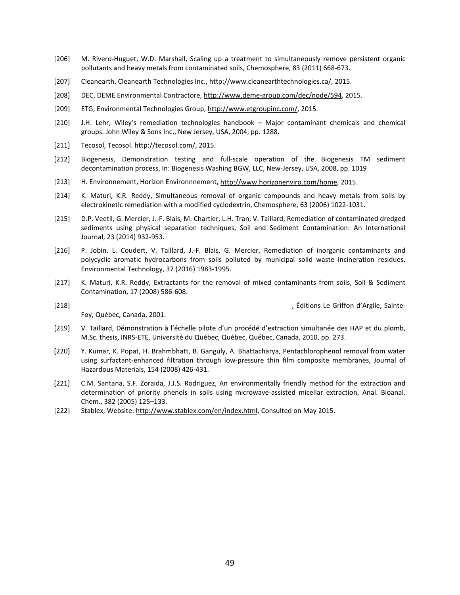- [206] M. Rivero-Huguet, W.D. Marshall, Scaling up a treatment to simultaneously remove persistent organic pollutants and heavy metals from contaminated soils, Chemosphere, 83 (2011) 668-673.
- [207] Cleanearth, Cleanearth Technologies Inc., [http://www.cleanearthtechnologies.ca/,](http://www.cleanearthtechnologies.ca/) 2015.
- [208] DEC, DEME Environmental Contractore, [http://www.deme-group.com/dec/node/594,](http://www.deme-group.com/dec/node/594) 2015.
- [209] ETG, Environmental Technologies Group[, http://www.etgroupinc.com/,](http://www.etgroupinc.com/) 2015.
- [210] J.H. Lehr, Wiley's remediation technologies handbook Major contaminant chemicals and chemical groups. John Wiley & Sons Inc., New Jersey, USA, 2004, pp. 1288.
- [211] Tecosol, Tecosol. [http://tecosol.com/,](http://tecosol.com/) 2015.
- [212] Biogenesis, Demonstration testing and full-scale operation of the Biogenesis TM sediment decontamination process, In: Biogenesis Washing BGW, LLC, New-Jersey, USA, 2008, pp. 1019
- [213] H. Environnement, Horizon Environnnement[, http://www.horizonenviro.com/home,](http://www.horizonenviro.com/home) 2015.
- [214] K. Maturi, K.R. Reddy, Simultaneous removal of organic compounds and heavy metals from soils by electrokinetic remediation with a modified cyclodextrin, Chemosphere, 63 (2006) 1022-1031.
- [215] D.P. Veetil, G. Mercier, J.-F. Blais, M. Chartier, L.H. Tran, V. Taillard, Remediation of contaminated dredged sediments using physical separation techniques, Soil and Sediment Contamination: An International Journal, 23 (2014) 932-953.
- R. Reddy, Simultaneous removal of organic compounds and heav<br>
remediation with a modified cyclodextrin, Chemosphere, 63 (2006) :<br>
Mercier, J.-F. Blais, M. Chartier, L.H. Tran, V. Taillard, Remediation of<br>
ing physical sepa [216] P. Jobin, L. Coudert, V. Taillard, J.-F. Blais, G. Mercier, Remediation of inorganic contaminants and polycyclic aromatic hydrocarbons from soils polluted by municipal solid waste incineration residues, Environmental Technology, 37 (2016) 1983-1995.
- [217] K. Maturi, K.R. Reddy, Extractants for the removal of mixed contaminants from soils, Soil & Sediment Contamination, 17 (2008) 586-608.
- [218] , Éditions Le Griffon d'Argile, Sainte-

Foy, Québec, Canada, 2001.

- [219] V. Taillard, Démonstration à l'échelle pilote d'un procédé d'extraction simultanée des HAP et du plomb, M.Sc. thesis, INRS-ETE, Université du Québec, Québec, Québec, Canada, 2010, pp. 273.
- [220] Y. Kumar, K. Popat, H. Brahmbhatt, B. Ganguly, A. Bhattacharya, Pentachlorophenol removal from water using surfactant-enhanced filtration through low-pressure thin film composite membranes, Journal of Hazardous Materials, 154 (2008) 426-431.
- [221] C.M. Santana, S.F. Zoraida, J.J.S. Rodriguez, An environmentally friendly method for the extraction and determination of priority phenols in soils using microwave-assisted micellar extraction, Anal. Bioanal. Chem., 382 (2005) 125–133.
- [222] Stablex, Website: [http://www.stablex.com/en/index.html,](http://www.stablex.com/en/index.html) Consulted on May 2015.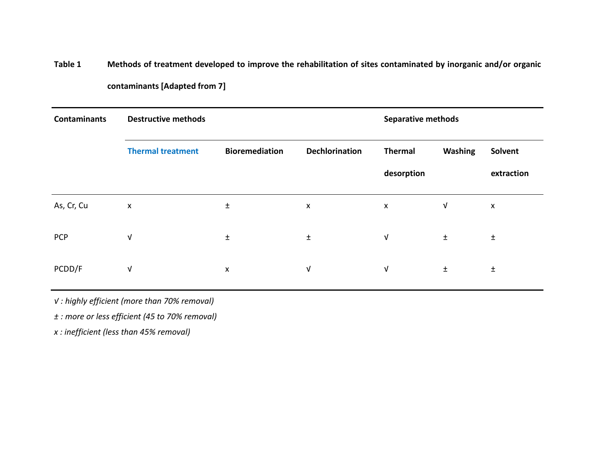**Table 1 Methods of treatment developed to improve the rehabilitation of sites contaminated by inorganic and/or organic contaminants [Adapted from 7]** 

| <b>Contaminants</b> | <b>Destructive methods</b>                     |                       |                       | <b>Separative methods</b> |                |            |
|---------------------|------------------------------------------------|-----------------------|-----------------------|---------------------------|----------------|------------|
|                     | <b>Thermal treatment</b>                       | <b>Bioremediation</b> | <b>Dechlorination</b> | <b>Thermal</b>            | <b>Washing</b> | Solvent    |
|                     |                                                |                       |                       | desorption                |                | extraction |
| As, Cr, Cu          | $\pmb{\mathsf{X}}$                             | $\pm$                 |                       | $\pmb{\times}$            | $\sqrt{ }$     | X          |
| <b>PCP</b>          | V                                              | $\pm$                 |                       | $\sqrt{ }$                | $\pm$          | $\pm$      |
| PCDD/F              | V                                              | $\pmb{\times}$        |                       | $\sqrt{ }$                | $\pm$          | $\pm$      |
|                     | V: highly efficient (more than 70% removal)    |                       |                       |                           |                |            |
|                     | ± : more or less efficient (45 to 70% removal) |                       |                       |                           |                |            |
|                     | x : inefficient (less than 45% removal)        |                       |                       |                           |                |            |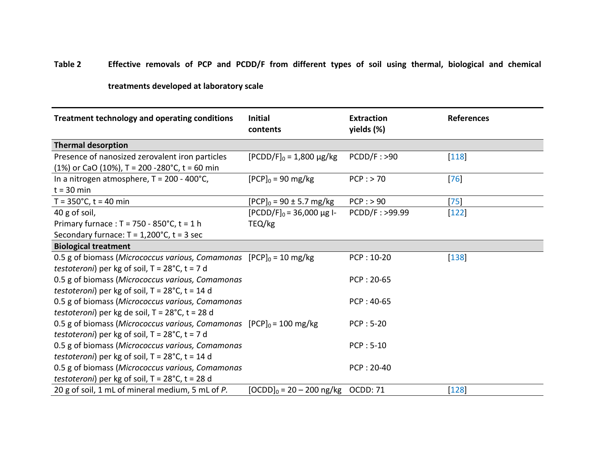## **Table 2 Effective removals of PCP and PCDD/F from different types of soil using thermal, biological and chemical**

## **treatments developed at laboratory scale**

| <b>Treatment technology and operating conditions</b>                                             | <b>Initial</b><br>contents     | <b>Extraction</b><br>yields (%) | <b>References</b> |
|--------------------------------------------------------------------------------------------------|--------------------------------|---------------------------------|-------------------|
| <b>Thermal desorption</b>                                                                        |                                |                                 |                   |
| Presence of nanosized zerovalent iron particles<br>(1%) or CaO (10%), T = 200 -280°C, t = 60 min | $[PCDD/F]_0 = 1,800 \mu g/kg$  | PCDD/F : >90                    | $[118]$           |
| In a nitrogen atmosphere, $T = 200 - 400^{\circ}C$ ,<br>$t = 30$ min                             | $[PCP]_0 = 90$ mg/kg           | $PCP:$ > 70                     | 76                |
| $T = 350^{\circ}$ C, t = 40 min                                                                  | $[PCP]_0 = 90 \pm 5.7$ mg/kg   | $PCP:$ > 90                     | 75                |
| 40 g of soil,                                                                                    | $[PCDD/F]_0 = 36,000 \mu g$ l- | PCDD/F: >99.99                  | $[122]$           |
| Primary furnace : $T = 750 - 850^{\circ}C$ , $t = 1 h$                                           | TEQ/kg                         |                                 |                   |
| Secondary furnace: $T = 1,200^{\circ}$ C, $t = 3$ sec                                            |                                |                                 |                   |
| <b>Biological treatment</b>                                                                      |                                |                                 |                   |
| 0.5 g of biomass (Micrococcus various, Comamonas [PCP] $_0$ = 10 mg/kg                           |                                | PCP: 10-20                      | $[138]$           |
| testoteroni) per kg of soil, T = 28°C, t = 7 d                                                   |                                |                                 |                   |
| 0.5 g of biomass (Micrococcus various, Comamonas                                                 |                                | PCP: 20-65                      |                   |
| testoteroni) per kg of soil, $T = 28^{\circ}$ C, t = 14 d                                        |                                |                                 |                   |
| 0.5 g of biomass (Micrococcus various, Comamonas                                                 |                                | $PCP: 40-65$                    |                   |
| testoteroni) per kg de soil, $T = 28^{\circ}$ C, t = 28 d                                        |                                |                                 |                   |
| 0.5 g of biomass (Micrococcus various, Comamonas [PCP] $_0$ = 100 mg/kg                          |                                | $PCP: 5-20$                     |                   |
| testoteroni) per kg of soil, $T = 28^{\circ}C$ , $t = 7d$                                        |                                |                                 |                   |
| 0.5 g of biomass (Micrococcus various, Comamonas                                                 |                                | $PCP: 5-10$                     |                   |
| testoteroni) per kg of soil, $T = 28^{\circ}$ C, t = 14 d                                        |                                |                                 |                   |
| 0.5 g of biomass (Micrococcus various, Comamonas                                                 |                                | PCP: 20-40                      |                   |
| testoteroni) per kg of soil, $T = 28^{\circ}$ C, t = 28 d                                        |                                |                                 |                   |
| 20 g of soil, 1 mL of mineral medium, 5 mL of P.                                                 | $[OCDD]_0 = 20 - 200$ ng/kg    | <b>OCDD: 71</b>                 | $[128]$           |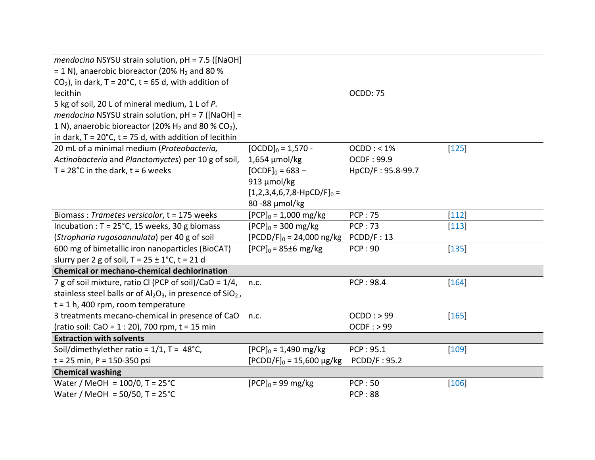| mendocina NSYSU strain solution, $pH = 7.5$ ([NaOH]<br>= 1 N), anaerobic bioreactor (20% $H_2$ and 80 % |                                |                     |         |
|---------------------------------------------------------------------------------------------------------|--------------------------------|---------------------|---------|
| $CO2$ ), in dark, T = 20°C, t = 65 d, with addition of                                                  |                                |                     |         |
| lecithin                                                                                                |                                | <b>OCDD: 75</b>     |         |
| 5 kg of soil, 20 L of mineral medium, 1 L of P.                                                         |                                |                     |         |
| mendocina NSYSU strain solution, $pH = 7$ ([NaOH] =                                                     |                                |                     |         |
| 1 N), anaerobic bioreactor (20% $H_2$ and 80 % CO <sub>2</sub> ),                                       |                                |                     |         |
| in dark, $T = 20^{\circ}C$ , $t = 75$ d, with addition of lecithin                                      |                                |                     |         |
| 20 mL of a minimal medium (Proteobacteria,                                                              | $[OCDD]_0 = 1,570 -$           | OCDD: < 1%          | $ 125 $ |
| Actinobacteria and Planctomyctes) per 10 g of soil,                                                     | $1,654 \mu$ mol/kg             | <b>OCDF: 99.9</b>   |         |
| $T = 28^{\circ}C$ in the dark, $t = 6$ weeks                                                            | $[OCDF]_0 = 683 -$             | HpCD/F: 95.8-99.7   |         |
|                                                                                                         | 913 µmol/kg                    |                     |         |
|                                                                                                         | $[1,2,3,4,6,7,8-HpCD/F]_0 =$   |                     |         |
|                                                                                                         | 80 - 88 $\mu$ mol/kg           |                     |         |
| Biomass: Trametes versicolor, t = 175 weeks                                                             | $[PCP]_0 = 1,000$ mg/kg        | <b>PCP: 75</b>      | $[112]$ |
| Incubation : $T = 25^{\circ}C$ , 15 weeks, 30 g biomass                                                 | $[PCP]_0 = 300$ mg/kg          | <b>PCP:73</b>       | $[113]$ |
| (Stropharia rugosoannulata) per 40 g of soil                                                            | $[PCDD/F]_0 = 24,000$ ng/kg    | PCDD/F: 13          |         |
| 600 mg of bimetallic iron nanoparticles (BioCAT)                                                        | $[PCP]_0 = 85 \pm 6$ mg/kg     | <b>PCP: 90</b>      | $ 135 $ |
| slurry per 2 g of soil, $T = 25 \pm 1^{\circ}$ C, t = 21 d                                              |                                |                     |         |
| <b>Chemical or mechano-chemical dechlorination</b>                                                      |                                |                     |         |
| 7 g of soil mixture, ratio CI (PCP of soil)/CaO = 1/4,                                                  | n.c.                           | PCP: 98.4           | $ 164 $ |
| stainless steel balls or of $Al_2O_3$ , in presence of $SiO_2$ ,                                        |                                |                     |         |
| $t = 1 h$ , 400 rpm, room temperature                                                                   |                                |                     |         |
| 3 treatments mecano-chemical in presence of CaO                                                         | n.c.                           | $OCDD:$ > 99        | $ 165 $ |
| (ratio soil: CaO = 1 : 20), 700 rpm, t = 15 min                                                         |                                | OCDF : > 99         |         |
| <b>Extraction with solvents</b>                                                                         |                                |                     |         |
| Soil/dimethylether ratio = $1/1$ , T = 48°C,                                                            | $[PCP]_0 = 1,490$ mg/kg        | PCP: 95.1           | $[109]$ |
| $t = 25$ min, P = 150-350 psi                                                                           | $[PCDD/F]_0 = 15,600 \mu g/kg$ | <b>PCDD/F: 95.2</b> |         |
| <b>Chemical washing</b>                                                                                 |                                |                     |         |
| Water / MeOH = $100/0$ , T = $25^{\circ}$ C                                                             | $[PCP]_0 = 99 \text{ mg/kg}$   | <b>PCP:50</b>       | $[106]$ |
| Water / MeOH = $50/50$ , T = $25^{\circ}$ C                                                             |                                | <b>PCP:88</b>       |         |
|                                                                                                         |                                |                     |         |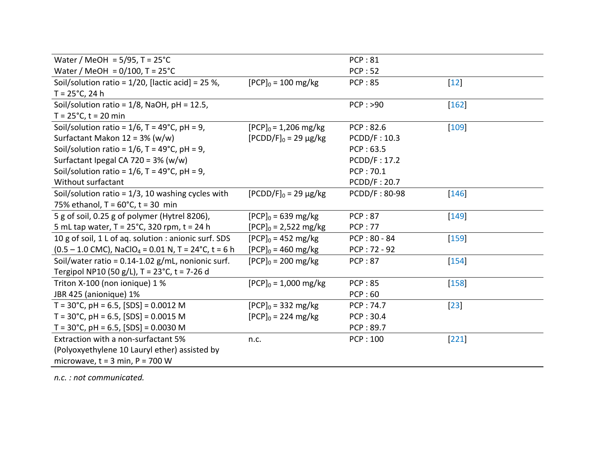| Water / MeOH = $5/95$ , T = $25^{\circ}$ C                                     |                                 | <b>PCP:81</b>        |              |
|--------------------------------------------------------------------------------|---------------------------------|----------------------|--------------|
| Water / MeOH = $0/100$ , T = $25^{\circ}$ C                                    |                                 | <b>PCP:52</b>        |              |
| Soil/solution ratio = $1/20$ , [lactic acid] = 25 %,                           | $[PCP]_0 = 100 \text{ mg/kg}$   | <b>PCP:85</b>        | $\boxed{12}$ |
| $T = 25^{\circ}C$ , 24 h                                                       |                                 |                      |              |
| Soil/solution ratio = $1/8$ , NaOH, pH = 12.5,                                 |                                 | PCP: >90             | $ 162 $      |
| $T = 25^{\circ}C$ , t = 20 min                                                 |                                 |                      |              |
| Soil/solution ratio = $1/6$ , T = 49°C, pH = 9,                                | $[PCP]_0 = 1,206 \text{ mg/kg}$ | PCP: 82.6            | $[109]$      |
| Surfactant Makon $12 = 3\%$ (w/w)                                              | $[PCDD/F]_0 = 29 \mu g/kg$      | PCDD/F: 10.3         |              |
| Soil/solution ratio = $1/6$ , T = 49°C, pH = 9,                                |                                 | PCP: 63.5            |              |
| Surfactant Ipegal CA 720 = $3\%$ (w/w)                                         |                                 | PCDD/F: 17.2         |              |
| Soil/solution ratio = $1/6$ , T = 49°C, pH = 9,                                |                                 | PCP: 70.1            |              |
| Without surfactant                                                             |                                 | PCDD/F: 20.7         |              |
| Soil/solution ratio = $1/3$ , 10 washing cycles with                           | $[PCDD/F]_0 = 29 \mu g/kg$      | <b>PCDD/F: 80-98</b> | <b>146</b>   |
| 75% ethanol, $T = 60^{\circ}$ C, $t = 30$ min                                  |                                 |                      |              |
| 5 g of soil, 0.25 g of polymer (Hytrel 8206),                                  | $[PCP]_0 = 639 \text{ mg/kg}$   | <b>PCP:87</b>        | 149          |
| 5 mL tap water, $T = 25^{\circ}$ C, 320 rpm, t = 24 h                          | $[PCP]_0 = 2,522 \text{ mg/kg}$ | <b>PCP:77</b>        |              |
| 10 g of soil, 1 L of aq. solution : anionic surf. SDS                          | $[PCP]_0 = 452 \text{ mg/kg}$   | $PCP: 80 - 84$       | 159          |
| $(0.5 - 1.0$ CMC), NaClO <sub>4</sub> = 0.01 N, T = 24 <sup>°</sup> C, t = 6 h | $[PCP]_0 = 460$ mg/kg           | $PCP: 72 - 92$       |              |
| Soil/water ratio = $0.14$ -1.02 g/mL, nonionic surf.                           | $[PCP]_0 = 200$ mg/kg           | <b>PCP:87</b>        | $[154]$      |
| Tergipol NP10 (50 g/L), T = 23°C, t = 7-26 d                                   |                                 |                      |              |
| Triton X-100 (non ionique) 1 %                                                 | $[PCP]_0 = 1,000 \text{ mg/kg}$ | <b>PCP:85</b>        | $[158]$      |
| JBR 425 (anionique) 1%                                                         |                                 | PCP:60               |              |
| $T = 30^{\circ}$ C, pH = 6.5, [SDS] = 0.0012 M                                 | $[PCP]_0 = 332 \text{ mg/kg}$   | <b>PCP: 74.7</b>     | 23           |
| $T = 30^{\circ}$ C, pH = 6.5, [SDS] = 0.0015 M                                 | $[PCP]_0 = 224 \text{ mg/kg}$   | PCP: 30.4            |              |
| $T = 30^{\circ}$ C, pH = 6.5, [SDS] = 0.0030 M                                 |                                 | PCP: 89.7            |              |
| Extraction with a non-surfactant 5%                                            | n.c.                            | <b>PCP: 100</b>      | $[221]$      |
| (Polyoxyethylene 10 Lauryl ether) assisted by                                  |                                 |                      |              |
| microwave, $t = 3$ min, $P = 700$ W                                            |                                 |                      |              |
|                                                                                |                                 |                      |              |

*n.c. : not communicated.*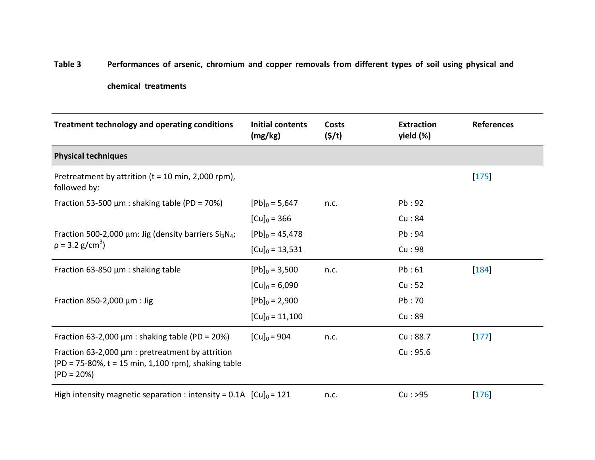## **Table 3 Performances of arsenic, chromium and copper removals from different types of soil using physical and**

## **chemical treatments**

| Treatment technology and operating conditions                                                                           | <b>Initial contents</b><br>(mg/kg) | <b>Costs</b><br>(5/t) | <b>Extraction</b><br>yield (%) | <b>References</b> |
|-------------------------------------------------------------------------------------------------------------------------|------------------------------------|-----------------------|--------------------------------|-------------------|
| <b>Physical techniques</b>                                                                                              |                                    |                       |                                |                   |
| Pretreatment by attrition ( $t = 10$ min, 2,000 rpm),<br>followed by:                                                   |                                    |                       |                                | $[175]$           |
| Fraction 53-500 $\mu$ m : shaking table (PD = 70%)                                                                      | $[Pb]_0 = 5,647$                   | n.c.                  | Pb:92                          |                   |
|                                                                                                                         | $[Cu]_0 = 366$                     |                       | Cu:84                          |                   |
| Fraction 500-2,000 $\mu$ m: Jig (density barriers Si <sub>3</sub> N <sub>4</sub> ;                                      | $[Pb]_0 = 45,478$                  |                       | Pb:94                          |                   |
| $p = 3.2$ g/cm <sup>3</sup> )                                                                                           | $[Cu]_0 = 13,531$                  |                       | Cu:98                          |                   |
| Fraction 63-850 $\mu$ m : shaking table                                                                                 | $[Pb]_0 = 3,500$                   | n.c.                  | Pb:61                          | $ 184 $           |
|                                                                                                                         | $[Cu]_0 = 6,090$                   |                       | Cu:52                          |                   |
| Fraction 850-2,000 $\mu$ m : Jig                                                                                        | $[Pb]_0 = 2,900$                   |                       | Pb:70                          |                   |
|                                                                                                                         | $[Cu]_0 = 11,100$                  |                       | Cu:89                          |                   |
| Fraction 63-2,000 $\mu$ m : shaking table (PD = 20%)                                                                    | $[Cu]_0 = 904$                     | n.c.                  | Cu:88.7                        | $[177]$           |
| Fraction 63-2,000 µm : pretreatment by attrition<br>(PD = 75-80%, t = 15 min, 1,100 rpm), shaking table<br>$(PD = 20%)$ |                                    |                       | Cu:95.6                        |                   |
| High intensity magnetic separation : intensity = 0.1A $\left[ Cu \right]_0 = 121$                                       |                                    | n.c.                  | Cu: >95                        | $[176]$           |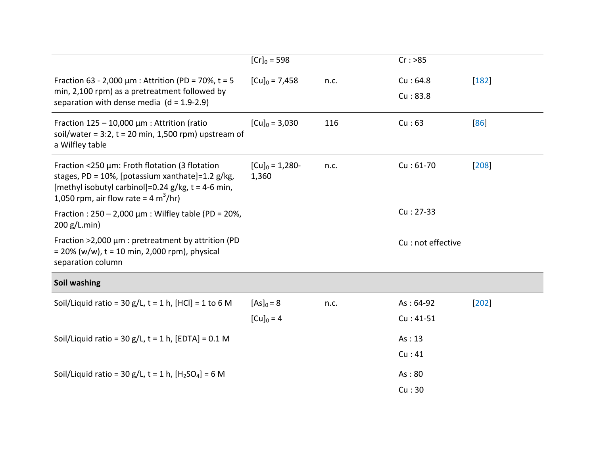|                                                                                                                                                                                                                       | $[Cr]_0 = 598$               |      | Cr: >85                   |         |
|-----------------------------------------------------------------------------------------------------------------------------------------------------------------------------------------------------------------------|------------------------------|------|---------------------------|---------|
| Fraction 63 - 2,000 $\mu$ m : Attrition (PD = 70%, t = 5<br>min, 2,100 rpm) as a pretreatment followed by<br>separation with dense media $(d = 1.9-2.9)$                                                              | $[Cu]_0 = 7,458$             | n.c. | Cu: 64.8<br>Cu:83.8       | $[182]$ |
| Fraction $125 - 10,000 \mu m$ : Attrition (ratio<br>soil/water = $3:2$ , t = 20 min, 1,500 rpm) upstream of<br>a Wilfley table                                                                                        | $[Cu]_0 = 3,030$             | 116  | Cu:63                     | 86      |
| Fraction <250 µm: Froth flotation (3 flotation<br>stages, PD = 10%, [potassium xanthate]=1.2 g/kg,<br>[methyl isobutyl carbinol]=0.24 $g/kg$ , t = 4-6 min,<br>1,050 rpm, air flow rate = $4 \text{ m}^3/\text{hr}$ ) | $[Cu]_0 = 1,280-$<br>1,360   | n.c. | $Cu: 61-70$               | 208     |
| Fraction : $250 - 2,000 \mu m$ : Wilfley table (PD = 20%,<br>200 g/L.min)                                                                                                                                             |                              |      | $Cu: 27-33$               |         |
| Fraction >2,000 µm : pretreatment by attrition (PD<br>$= 20\%$ (w/w), t = 10 min, 2,000 rpm), physical<br>separation column                                                                                           |                              |      | Cu : not effective        |         |
| Soil washing                                                                                                                                                                                                          |                              |      |                           |         |
| Soil/Liquid ratio = 30 g/L, t = 1 h, [HCl] = 1 to 6 M                                                                                                                                                                 | $[As]_0 = 8$<br>$[Cu]_0 = 4$ | n.c. | $As: 64-92$<br>$Cu:41-51$ | $ 202 $ |
| Soil/Liquid ratio = $30 g/L$ , t = 1 h, [EDTA] = $0.1 M$                                                                                                                                                              |                              |      | As: 13<br>Cu:41           |         |
| Soil/Liquid ratio = 30 g/L, t = 1 h, $[H_2SO_4] = 6 M$                                                                                                                                                                |                              |      | As:80<br>Cu:30            |         |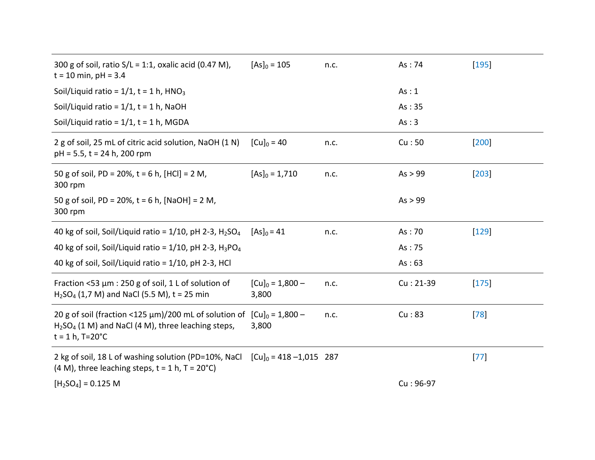| 300 g of soil, ratio $S/L = 1:1$ , oxalic acid (0.47 M),<br>$t = 10$ min, pH = 3.4                                                 | $[As]_0 = 105$              | n.c. | As: 74      | 195     |
|------------------------------------------------------------------------------------------------------------------------------------|-----------------------------|------|-------------|---------|
| Soil/Liquid ratio = $1/1$ , t = 1 h, HNO <sub>3</sub>                                                                              |                             |      | As: 1       |         |
| Soil/Liquid ratio = $1/1$ , t = 1 h, NaOH                                                                                          |                             |      | As:35       |         |
| Soil/Liquid ratio = $1/1$ , t = 1 h, MGDA                                                                                          |                             |      | As:3        |         |
| 2 g of soil, 25 mL of citric acid solution, NaOH (1 N)<br>$pH = 5.5$ , t = 24 h, 200 rpm                                           | $[Cu]_0 = 40$               | n.c. | Cu:50       | $[200]$ |
| 50 g of soil, PD = 20%, t = 6 h, [HCl] = 2 M,<br>300 rpm                                                                           | $[As]_0 = 1,710$            | n.c. | As > 99     | $[203]$ |
| 50 g of soil, PD = 20%, t = 6 h, [NaOH] = 2 M,<br>300 rpm                                                                          |                             |      | As > 99     |         |
| 40 kg of soil, Soil/Liquid ratio = $1/10$ , pH 2-3, H <sub>2</sub> SO <sub>4</sub>                                                 | $[As]_0 = 41$               | n.c. | As:70       | $[129]$ |
| 40 kg of soil, Soil/Liquid ratio = $1/10$ , pH 2-3, H <sub>3</sub> PO <sub>4</sub>                                                 |                             |      | As: 75      |         |
| 40 kg of soil, Soil/Liquid ratio = 1/10, pH 2-3, HCl                                                                               |                             |      | As:63       |         |
| Fraction <53 $\mu$ m : 250 g of soil, 1 L of solution of<br>$H_2SO_4$ (1,7 M) and NaCl (5.5 M), t = 25 min.                        | $[Cu]_0 = 1,800 -$<br>3,800 | n.c. | $Cu: 21-39$ | $[175]$ |
| 20 g of soil (fraction <125 µm)/200 mL of solution of<br>$H2SO4$ (1 M) and NaCl (4 M), three leaching steps,<br>$t = 1 h$ , T=20°C | $[Cu]_0 = 1,800 -$<br>3,800 | n.c. | Cu:83       | 78      |
| 2 kg of soil, 18 L of washing solution (PD=10%, NaCl<br>$(4 M)$ , three leaching steps, t = 1 h, T = 20 $^{\circ}$ C)              | $[Cu]_0 = 418 - 1,015$ 287  |      |             | 77      |
| $[H2SO4] = 0.125 M$                                                                                                                |                             |      | $Cu:96-97$  |         |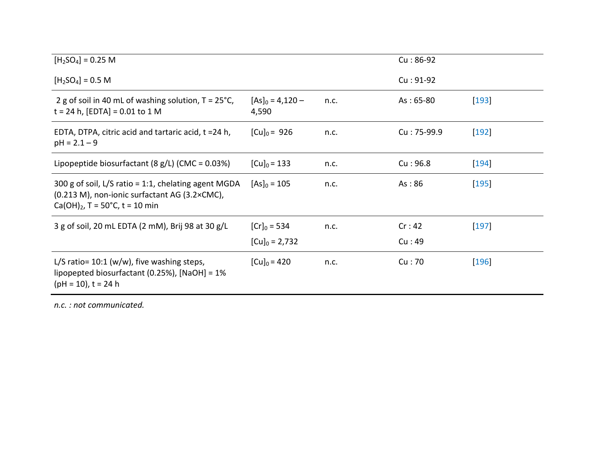| $[H2SO4] = 0.25 M$                                                                                                                        |                             |      | $Cu:86-92$  |         |
|-------------------------------------------------------------------------------------------------------------------------------------------|-----------------------------|------|-------------|---------|
| $[H2SO4] = 0.5 M$                                                                                                                         |                             |      | $Cu: 91-92$ |         |
| 2 g of soil in 40 mL of washing solution, $T = 25^{\circ}C$ ,<br>$t = 24$ h, [EDTA] = 0.01 to 1 M                                         | $[As]_0 = 4,120 -$<br>4,590 | n.c. | $As: 65-80$ | $[193]$ |
| EDTA, DTPA, citric acid and tartaric acid, t =24 h,<br>$pH = 2.1 - 9$                                                                     | $[Cu]_0 = 926$              | n.c. | Cu: 75-99.9 | $[192]$ |
| Lipopeptide biosurfactant (8 g/L) (CMC = $0.03\%$ )                                                                                       | $[Cu]_0 = 133$              | n.c. | Cu:96.8     | $[194]$ |
| 300 g of soil, L/S ratio = 1:1, chelating agent MGDA<br>(0.213 M), non-ionic surfactant AG (3.2×CMC),<br>$Ca(OH)2$ , T = 50°C, t = 10 min | $[As]_0 = 105$              | n.c. | As:86       | $[195]$ |
| 3 g of soil, 20 mL EDTA (2 mM), Brij 98 at 30 g/L                                                                                         | $[Cr]_0 = 534$              | n.c. | Cr:42       | $ 197 $ |
|                                                                                                                                           | $[Cu]_0 = 2,732$            |      | Cu:49       |         |
| L/S ratio= $10:1$ (w/w), five washing steps,<br>lipopepted biosurfactant (0.25%), $[NaOH] = 1%$<br>$(pH = 10)$ , t = 24 h                 | $[Cu]_0 = 420$              | n.c. | Cu:70       | $[196]$ |
| n.c.: not communicated.                                                                                                                   |                             |      |             |         |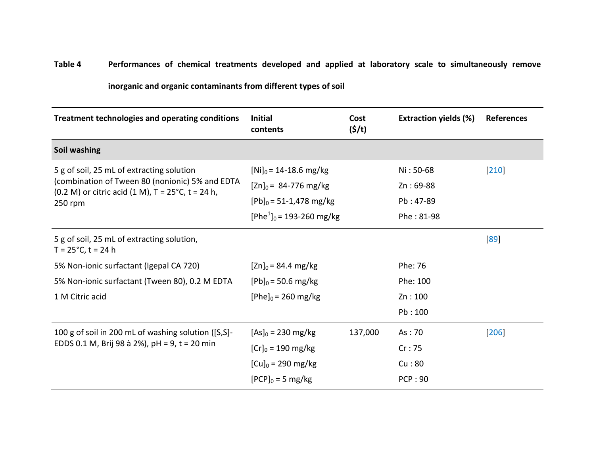## **Table 4 Performances of chemical treatments developed and applied at laboratory scale to simultaneously remove**

## **inorganic and organic contaminants from different types of soil**

| <b>Treatment technologies and operating conditions</b>                                                               | <b>Initial</b><br>contents   | Cost<br>(S/t) | <b>Extraction yields (%)</b> | <b>References</b> |
|----------------------------------------------------------------------------------------------------------------------|------------------------------|---------------|------------------------------|-------------------|
| Soil washing                                                                                                         |                              |               |                              |                   |
| 5 g of soil, 25 mL of extracting solution                                                                            | $[Ni]_0 = 14 - 18.6$ mg/kg   |               | Ni: 50-68                    | $ 210 $           |
| (combination of Tween 80 (nonionic) 5% and EDTA<br>$(0.2 M)$ or citric acid $(1 M)$ , T = 25°C, t = 24 h,<br>250 rpm | $[Zn]_0 = 84-776$ mg/kg      |               | $Zn: 69-88$                  |                   |
|                                                                                                                      | $[Pb]_0 = 51 - 1,478$ mg/kg  |               | Pb: 47-89                    |                   |
|                                                                                                                      | $[Phe1]_{0}$ = 193-260 mg/kg |               | Phe: 81-98                   |                   |
| 5 g of soil, 25 mL of extracting solution,<br>$T = 25^{\circ}C$ , t = 24 h                                           |                              |               |                              | 89                |
| 5% Non-ionic surfactant (Igepal CA 720)                                                                              | $[Zn]_0 = 84.4$ mg/kg        |               | Phe: 76                      |                   |
| 5% Non-ionic surfactant (Tween 80), 0.2 M EDTA                                                                       | $[Pb]_0 = 50.6$ mg/kg        |               | Phe: 100                     |                   |
| 1 M Citric acid                                                                                                      | $[Phe]_0 = 260$ mg/kg        |               | Zn:100                       |                   |
|                                                                                                                      |                              |               | Pb:100                       |                   |
| 100 g of soil in 200 mL of washing solution ([S,S]-                                                                  | $[As]_0 = 230$ mg/kg         | 137,000       | As:70                        | 206               |
| EDDS 0.1 M, Brij 98 à 2%), pH = 9, t = 20 min                                                                        | $[Cr]_0 = 190$ mg/kg         |               | Cr:75                        |                   |
|                                                                                                                      | $[Cu]_0 = 290$ mg/kg         |               | Cu:80                        |                   |
|                                                                                                                      | $[PCP]_0 = 5$ mg/kg          |               | PCP:90                       |                   |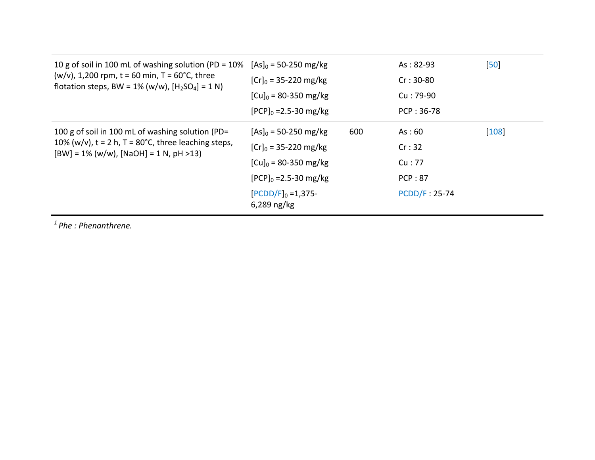| 10 g of soil in 100 mL of washing solution (PD = 10%                                                       | $[As]_0 = 50 - 250$ mg/kg           |     | $As: 82-93$          | 50      |
|------------------------------------------------------------------------------------------------------------|-------------------------------------|-----|----------------------|---------|
| $(w/v)$ , 1,200 rpm, t = 60 min, T = 60°C, three<br>flotation steps, BW = $1\%$ (w/w), $[H_2SO_4] = 1 N$ ) | $[Cr]_0 = 35 - 220$ mg/kg           |     | $Cr: 30-80$          |         |
|                                                                                                            | $[Cu]_0 = 80 - 350$ mg/kg           |     | Cu: 79-90            |         |
|                                                                                                            | $[PCP]_0 = 2.5 - 30$ mg/kg          |     | PCP: 36-78           |         |
| 100 g of soil in 100 mL of washing solution (PD=                                                           | $[As]_0 = 50 - 250$ mg/kg           | 600 | As:60                | $[108]$ |
| 10% (w/v), $t = 2 h$ , T = 80°C, three leaching steps,<br>$[BW] = 1\% (w/w), [NaOH] = 1 N, pH > 13)$       | $[Cr]_0 = 35 - 220$ mg/kg           |     | Cr:32                |         |
|                                                                                                            | $[Cu]_0 = 80 - 350$ mg/kg           |     | Cu:77                |         |
|                                                                                                            | $[PCP]_0 = 2.5 - 30$ mg/kg          |     | <b>PCP: 87</b>       |         |
|                                                                                                            | $[PCDD/F]_0 = 1,375$<br>6,289 ng/kg |     | <b>PCDD/F: 25-74</b> |         |
| $1$ Phe : Phenanthrene.                                                                                    |                                     |     |                      |         |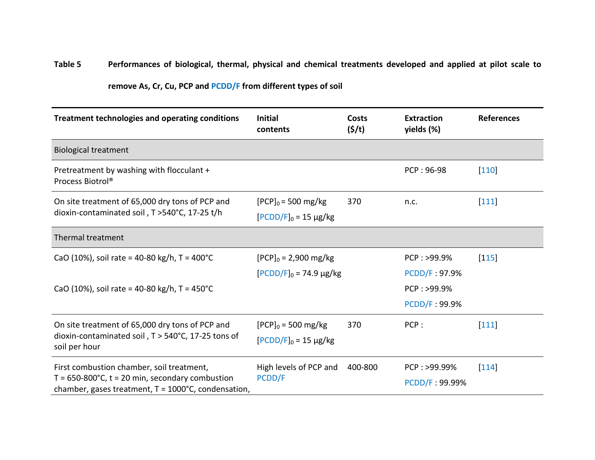## **Table 5 Performances of biological, thermal, physical and chemical treatments developed and applied at pilot scale to**

| remove As, Cr, Cu, PCP and PCDD/F from different types of soil |  |  |  |  |
|----------------------------------------------------------------|--|--|--|--|
|----------------------------------------------------------------|--|--|--|--|

| Treatment technologies and operating conditions                                                                     | <b>Initial</b><br>contents                          | <b>Costs</b><br>$(\frac{\zeta}{t})$ | <b>Extraction</b><br>yields (%) | <b>References</b> |
|---------------------------------------------------------------------------------------------------------------------|-----------------------------------------------------|-------------------------------------|---------------------------------|-------------------|
| <b>Biological treatment</b>                                                                                         |                                                     |                                     |                                 |                   |
| Pretreatment by washing with flocculant +<br>Process Biotrol®                                                       |                                                     |                                     | PCP: 96-98                      | $[110]$           |
| On site treatment of 65,000 dry tons of PCP and<br>dioxin-contaminated soil, T > 540°C, 17-25 t/h                   | $[PCP]_0 = 500$ mg/kg<br>$[PCDD/F]_0 = 15 \mu g/kg$ | 370                                 | n.c.                            | $[111]$           |
| Thermal treatment                                                                                                   |                                                     |                                     |                                 |                   |
| CaO (10%), soil rate = 40-80 kg/h, T = 400°C                                                                        | $[PCP]_0 = 2,900 \text{ mg/kg}$                     |                                     | PCP: >99.9%                     | $[115]$           |
|                                                                                                                     | $[PCDD/F]_0 = 74.9 \mu g/kg$                        |                                     | <b>PCDD/F: 97.9%</b>            |                   |
| CaO (10%), soil rate = 40-80 kg/h, T = 450°C.                                                                       |                                                     |                                     | PCP: >99.9%                     |                   |
|                                                                                                                     |                                                     |                                     | <b>PCDD/F: 99.9%</b>            |                   |
| On site treatment of 65,000 dry tons of PCP and                                                                     | $[PCP]_0 = 500$ mg/kg                               | 370                                 | PCP:                            | $[111]$           |
| dioxin-contaminated soil, T > 540°C, 17-25 tons of<br>soil per hour                                                 | $[PCDD/F]_0 = 15 \mu g/kg$                          |                                     |                                 |                   |
| First combustion chamber, soil treatment,                                                                           | High levels of PCP and                              | 400-800                             | PCP: >99.99%                    | $ 114 $           |
| $T = 650-800$ °C, t = 20 min, secondary combustion<br>chamber, gases treatment, $T = 1000^{\circ}$ C, condensation, | PCDD/F                                              |                                     | PCDD/F: 99.99%                  |                   |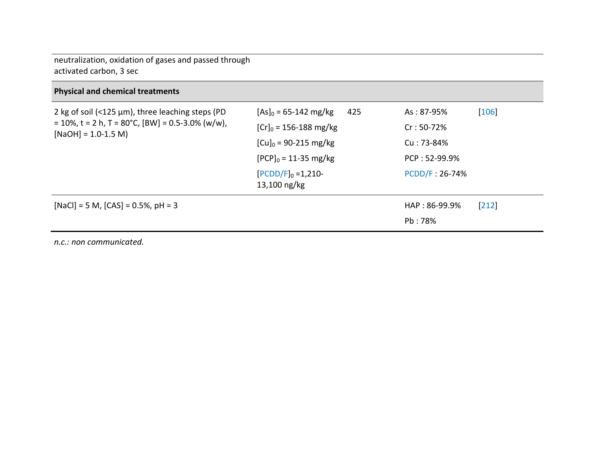neutralization, oxidation of gases and passed through activated carbon, 3 sec

## **Physical and chemical treatments**

| 2 kg of soil (<125 $\mu$ m), three leaching steps (PD<br>$= 10\%$ , t = 2 h, T = 80°C, [BW] = 0.5-3.0% (w/w),<br>$[NaOH] = 1.0-1.5 M)$ | $[As]_0 = 65 - 142$ mg/kg<br>425<br>$[Cr]_0 = 156 - 188$ mg/kg<br>$[Cu]_0 = 90 - 215$ mg/kg<br>$[PCP]_0 = 11-35$ mg/kg<br>$[PCDD/F]_0 = 1,210$<br>13,100 ng/kg | As: 87-95%<br>$Cr: 50-72%$<br>Cu: 73-84%<br>PCP: 52-99.9%<br>PCDD/F: 26-74% | $[106]$ |
|----------------------------------------------------------------------------------------------------------------------------------------|----------------------------------------------------------------------------------------------------------------------------------------------------------------|-----------------------------------------------------------------------------|---------|
| $[NaCl] = 5 M$ , $[CAS] = 0.5%$ , $pH = 3$                                                                                             |                                                                                                                                                                | HAP: 86-99.9%<br>Pb: 78%                                                    | $[212]$ |
| n.c.: non communicated.                                                                                                                |                                                                                                                                                                |                                                                             |         |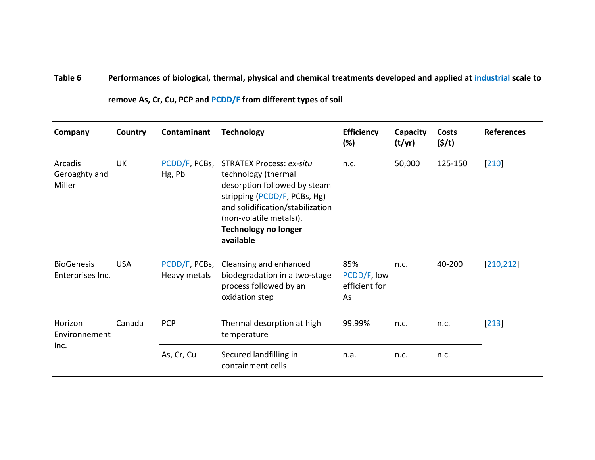## **Table 6 Performances of biological, thermal, physical and chemical treatments developed and applied at industrial scale to**

| Company                               | Country    | Contaminant                   | <b>Technology</b>                                                                                                                                                                                                          | <b>Efficiency</b><br>(%)                  | Capacity<br>(t/yr) | Costs<br>(5/t) | <b>References</b> |
|---------------------------------------|------------|-------------------------------|----------------------------------------------------------------------------------------------------------------------------------------------------------------------------------------------------------------------------|-------------------------------------------|--------------------|----------------|-------------------|
| Arcadis<br>Geroaghty and<br>Miller    | <b>UK</b>  | PCDD/F, PCBs,<br>Hg, Pb       | <b>STRATEX Process: ex-situ</b><br>technology (thermal<br>desorption followed by steam<br>stripping (PCDD/F, PCBs, Hg)<br>and solidification/stabilization<br>(non-volatile metals)).<br>Technology no longer<br>available | n.c.                                      | 50,000             | 125-150        | $[210]$           |
| <b>BioGenesis</b><br>Enterprises Inc. | <b>USA</b> | PCDD/F, PCBs,<br>Heavy metals | Cleansing and enhanced<br>biodegradation in a two-stage<br>process followed by an<br>oxidation step                                                                                                                        | 85%<br>PCDD/F, low<br>efficient for<br>As | n.c.               | 40-200         | [210, 212]        |
| Horizon<br>Environnement<br>Inc.      | Canada     | <b>PCP</b>                    | Thermal desorption at high<br>temperature                                                                                                                                                                                  | 99.99%                                    | n.c.               | n.c.           | $\vert 213 \vert$ |
|                                       |            | As, Cr, Cu                    | Secured landfilling in<br>containment cells                                                                                                                                                                                | n.a.                                      | n.c.               | n.c.           |                   |

**remove As, Cr, Cu, PCP and PCDD/F from different types of soil**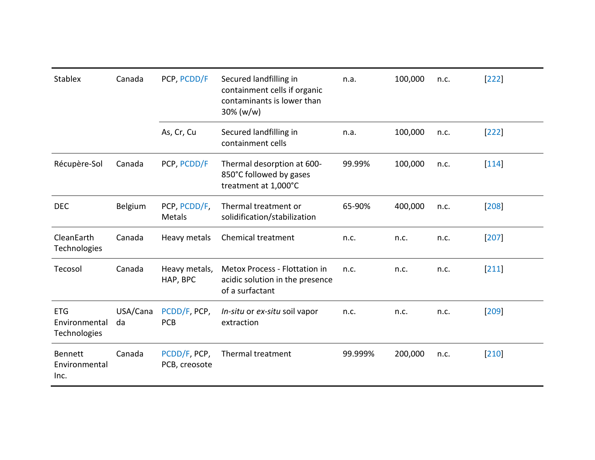| <b>Stablex</b>                              | Canada         | PCP, PCDD/F                   | Secured landfilling in<br>containment cells if organic<br>contaminants is lower than<br>$30\% (w/w)$ | n.a.    | 100,000 | n.c. | $ 222 $ |
|---------------------------------------------|----------------|-------------------------------|------------------------------------------------------------------------------------------------------|---------|---------|------|---------|
|                                             |                | As, Cr, Cu                    | Secured landfilling in<br>containment cells                                                          | n.a.    | 100,000 | n.c. | $[222]$ |
| Récupère-Sol                                | Canada         | PCP, PCDD/F                   | Thermal desorption at 600-<br>850°C followed by gases<br>treatment at 1,000°C                        | 99.99%  | 100,000 | n.c. | $ 114 $ |
| <b>DEC</b>                                  | Belgium        | PCP, PCDD/F,<br>Metals        | Thermal treatment or<br>solidification/stabilization                                                 | 65-90%  | 400,000 | n.c. | [208]   |
| CleanEarth<br>Technologies                  | Canada         | Heavy metals                  | Chemical treatment                                                                                   | n.c.    | n.c.    | n.c. | 207     |
| Tecosol                                     | Canada         | Heavy metals,<br>HAP, BPC     | Metox Process - Flottation in<br>acidic solution in the presence<br>of a surfactant                  | n.c.    | n.c.    | n.c. | $[211]$ |
| <b>ETG</b><br>Environmental<br>Technologies | USA/Cana<br>da | PCDD/F, PCP,<br><b>PCB</b>    | In-situ or ex-situ soil vapor<br>extraction                                                          | n.c.    | n.c.    | n.c. | [209]   |
| <b>Bennett</b><br>Environmental<br>Inc.     | Canada         | PCDD/F, PCP,<br>PCB, creosote | Thermal treatment                                                                                    | 99.999% | 200,000 | n.c. | $[210]$ |